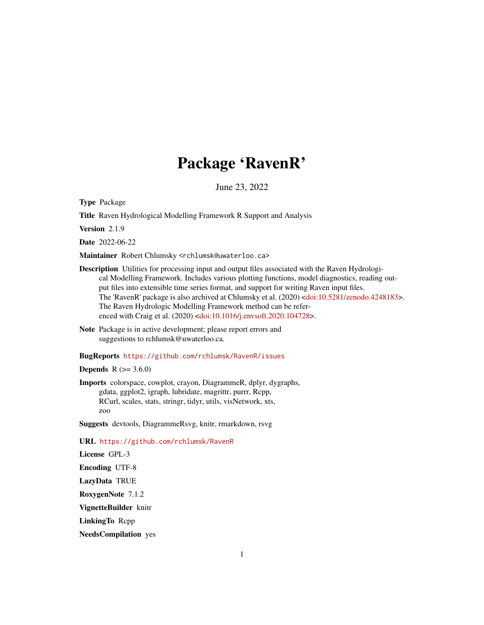# Package 'RavenR'

June 23, 2022

<span id="page-0-0"></span>Type Package

Title Raven Hydrological Modelling Framework R Support and Analysis

Version 2.1.9

Date 2022-06-22

Maintainer Robert Chlumsky <rchlumsk@uwaterloo.ca>

- Description Utilities for processing input and output files associated with the Raven Hydrological Modelling Framework. Includes various plotting functions, model diagnostics, reading output files into extensible time series format, and support for writing Raven input files. The 'RavenR' package is also archived at Chlumsky et al. (2020) [<doi:10.5281/zenodo.4248183>](https://doi.org/10.5281/zenodo.4248183). The Raven Hydrologic Modelling Framework method can be refer-enced with Craig et al. (2020) [<doi:10.1016/j.envsoft.2020.104728>](https://doi.org/10.1016/j.envsoft.2020.104728).
- Note Package is in active development; please report errors and suggestions to rchlumsk@uwaterloo.ca.

#### BugReports <https://github.com/rchlumsk/RavenR/issues>

**Depends** R  $(>= 3.6.0)$ 

Imports colorspace, cowplot, crayon, DiagrammeR, dplyr, dygraphs, gdata, ggplot2, igraph, lubridate, magrittr, purrr, Rcpp, RCurl, scales, stats, stringr, tidyr, utils, visNetwork, xts, zoo

Suggests devtools, DiagrammeRsvg, knitr, rmarkdown, rsvg

URL <https://github.com/rchlumsk/RavenR>

License GPL-3

Encoding UTF-8

LazyData TRUE

RoxygenNote 7.1.2

VignetteBuilder knitr

LinkingTo Rcpp

NeedsCompilation yes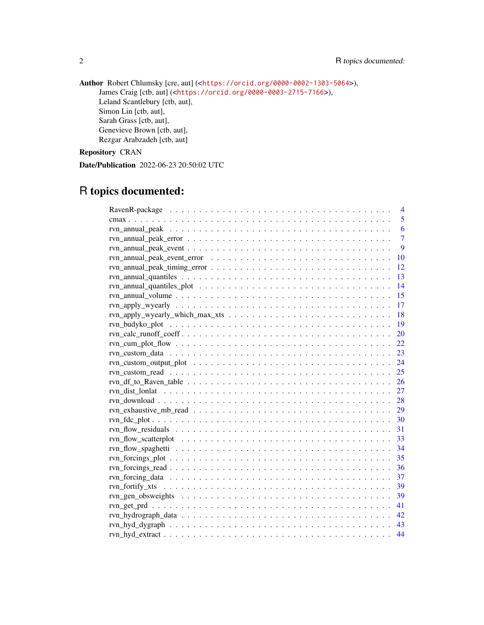Author Robert Chlumsky [cre, aut] (<<https://orcid.org/0000-0002-1303-5064>>), James Craig [ctb, aut] (<<https://orcid.org/0000-0003-2715-7166>>), Leland Scantlebury [ctb, aut], Simon Lin [ctb, aut], Sarah Grass [ctb, aut], Genevieve Brown [ctb, aut], Rezgar Arabzadeh [ctb, aut]

# Repository CRAN

Date/Publication 2022-06-23 20:50:02 UTC

# R topics documented:

| 4                                                                                                              |
|----------------------------------------------------------------------------------------------------------------|
| 5                                                                                                              |
| 6                                                                                                              |
| $\overline{7}$                                                                                                 |
| 9                                                                                                              |
| 10                                                                                                             |
| 12                                                                                                             |
| 13                                                                                                             |
| $\overline{14}$                                                                                                |
| 15                                                                                                             |
| 17                                                                                                             |
| 18                                                                                                             |
| 19                                                                                                             |
| $rvn\_calc\_runoff\_coeff. \ldots \ldots \ldots \ldots \ldots \ldots \ldots \ldots \ldots \ldots \ldots$<br>20 |
|                                                                                                                |
| 23                                                                                                             |
|                                                                                                                |
|                                                                                                                |
|                                                                                                                |
|                                                                                                                |
|                                                                                                                |
|                                                                                                                |
|                                                                                                                |
|                                                                                                                |
| -33                                                                                                            |
| 34                                                                                                             |
| 35                                                                                                             |
| 36                                                                                                             |
| 37                                                                                                             |
|                                                                                                                |
| -39                                                                                                            |
| 41                                                                                                             |
| 42                                                                                                             |
| 43                                                                                                             |
| 44                                                                                                             |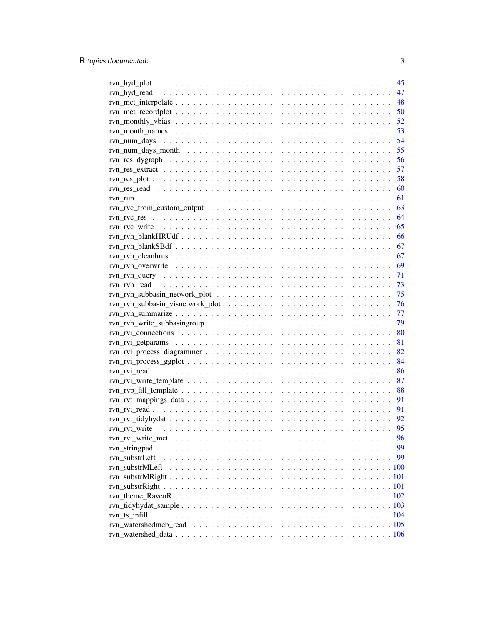|                                                                                                                    | 45 |
|--------------------------------------------------------------------------------------------------------------------|----|
|                                                                                                                    | 47 |
|                                                                                                                    | 48 |
|                                                                                                                    | 50 |
|                                                                                                                    | 52 |
|                                                                                                                    | 53 |
|                                                                                                                    | 54 |
|                                                                                                                    | 55 |
|                                                                                                                    | 56 |
| $rvn_res\_extract \dots \dots \dots \dots \dots \dots \dots \dots \dots \dots \dots \dots \dots \dots \dots \dots$ | 57 |
|                                                                                                                    | 58 |
|                                                                                                                    | 60 |
|                                                                                                                    | 61 |
|                                                                                                                    | 63 |
|                                                                                                                    | 64 |
|                                                                                                                    | 65 |
|                                                                                                                    | 66 |
|                                                                                                                    | 67 |
|                                                                                                                    | 67 |
|                                                                                                                    | 69 |
|                                                                                                                    | 71 |
|                                                                                                                    | 73 |
|                                                                                                                    | 75 |
|                                                                                                                    | 76 |
|                                                                                                                    | 77 |
|                                                                                                                    | 79 |
|                                                                                                                    | 80 |
|                                                                                                                    | 81 |
|                                                                                                                    | 82 |
|                                                                                                                    | 84 |
|                                                                                                                    | 86 |
|                                                                                                                    | 87 |
|                                                                                                                    | 88 |
|                                                                                                                    | 91 |
|                                                                                                                    | 91 |
|                                                                                                                    | 92 |
|                                                                                                                    | 95 |
|                                                                                                                    | 96 |
|                                                                                                                    | 99 |
|                                                                                                                    | 99 |
| rvn substrMLeft                                                                                                    |    |
|                                                                                                                    |    |
|                                                                                                                    |    |
|                                                                                                                    |    |
|                                                                                                                    |    |
|                                                                                                                    |    |
|                                                                                                                    |    |
|                                                                                                                    |    |
|                                                                                                                    |    |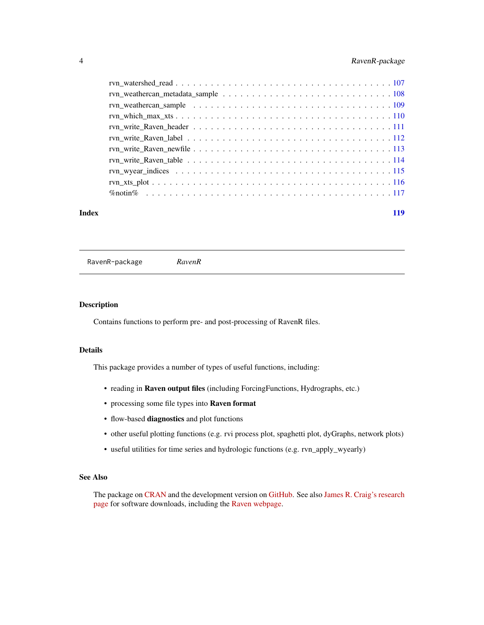# <span id="page-3-0"></span>4 RavenR-package

| Index | 119 |
|-------|-----|
|       |     |
|       |     |
|       |     |
|       |     |
|       |     |
|       |     |
|       |     |
|       |     |
|       |     |
|       |     |
|       |     |

RavenR-package *RavenR*

# Description

Contains functions to perform pre- and post-processing of RavenR files.

#### Details

This package provides a number of types of useful functions, including:

- reading in Raven output files (including ForcingFunctions, Hydrographs, etc.)
- processing some file types into Raven format
- flow-based diagnostics and plot functions
- other useful plotting functions (e.g. rvi process plot, spaghetti plot, dyGraphs, network plots)
- useful utilities for time series and hydrologic functions (e.g. rvn\_apply\_wyearly)

# See Also

The package on [CRAN](https://cran.r-project.org/package=RavenR) and the development version on [GitHub.](https://github.com/rchlumsk/RavenR) See also [James R. Craig's research](http://www.civil.uwaterloo.ca/jrcraig/) [page](http://www.civil.uwaterloo.ca/jrcraig/) for software downloads, including the [Raven webpage.](http://raven.uwaterloo.ca/)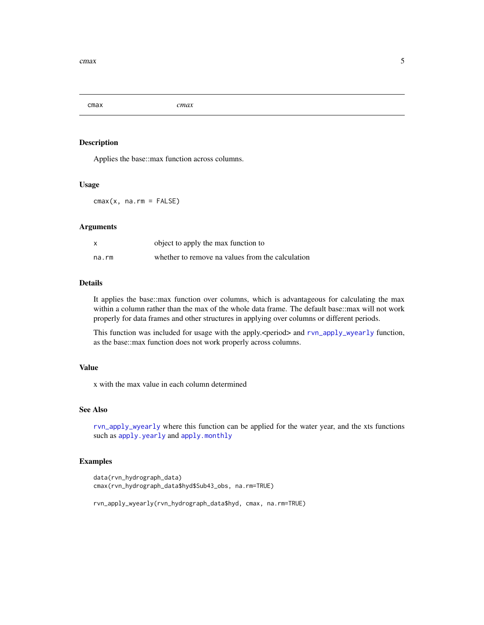<span id="page-4-0"></span>cmax *cmax*

# Description

Applies the base::max function across columns.

#### Usage

 $cmax(x, na.rm = FALSE)$ 

#### Arguments

|       | object to apply the max function to              |
|-------|--------------------------------------------------|
| na.rm | whether to remove na values from the calculation |

# Details

It applies the base::max function over columns, which is advantageous for calculating the max within a column rather than the max of the whole data frame. The default base::max will not work properly for data frames and other structures in applying over columns or different periods.

This function was included for usage with the apply. <period> and [rvn\\_apply\\_wyearly](#page-16-1) function, as the base::max function does not work properly across columns.

# Value

x with the max value in each column determined

#### See Also

[rvn\\_apply\\_wyearly](#page-16-1) where this function can be applied for the water year, and the xts functions such as [apply.yearly](#page-0-0) and [apply.monthly](#page-0-0)

```
data(rvn_hydrograph_data)
cmax(rvn_hydrograph_data$hyd$Sub43_obs, na.rm=TRUE)
rvn_apply_wyearly(rvn_hydrograph_data$hyd, cmax, na.rm=TRUE)
```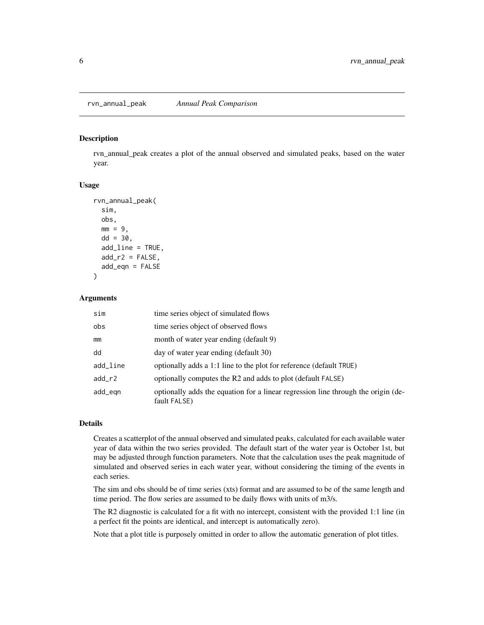#### <span id="page-5-1"></span><span id="page-5-0"></span>Description

rvn\_annual\_peak creates a plot of the annual observed and simulated peaks, based on the water year.

#### Usage

```
rvn_annual_peak(
  sim,
  obs,
 mm = 9,
 dd = 30,add_line = TRUE,
  add_r2 = FALSE,add\_eqn = FALSE)
```
#### Arguments

| sim      | time series object of simulated flows                                                             |
|----------|---------------------------------------------------------------------------------------------------|
| obs      | time series object of observed flows                                                              |
| mm       | month of water year ending (default 9)                                                            |
| dd       | day of water year ending (default 30)                                                             |
| add_line | optionally adds a 1:1 line to the plot for reference (default TRUE)                               |
| $add_r2$ | optionally computes the R2 and adds to plot (default FALSE)                                       |
| add_egn  | optionally adds the equation for a linear regression line through the origin (de-<br>fault FALSE) |

# Details

Creates a scatterplot of the annual observed and simulated peaks, calculated for each available water year of data within the two series provided. The default start of the water year is October 1st, but may be adjusted through function parameters. Note that the calculation uses the peak magnitude of simulated and observed series in each water year, without considering the timing of the events in each series.

The sim and obs should be of time series (xts) format and are assumed to be of the same length and time period. The flow series are assumed to be daily flows with units of m3/s.

The R2 diagnostic is calculated for a fit with no intercept, consistent with the provided 1:1 line (in a perfect fit the points are identical, and intercept is automatically zero).

Note that a plot title is purposely omitted in order to allow the automatic generation of plot titles.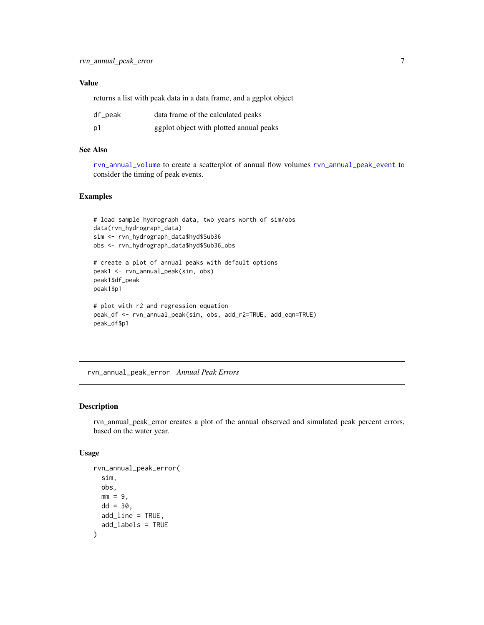# <span id="page-6-0"></span>Value

returns a list with peak data in a data frame, and a ggplot object

| df_peak        | data frame of the calculated peaks      |
|----------------|-----------------------------------------|
| p <sub>1</sub> | ggplot object with plotted annual peaks |

#### See Also

[rvn\\_annual\\_volume](#page-14-1) to create a scatterplot of annual flow volumes [rvn\\_annual\\_peak\\_event](#page-8-1) to consider the timing of peak events.

# Examples

```
# load sample hydrograph data, two years worth of sim/obs
data(rvn_hydrograph_data)
sim <- rvn_hydrograph_data$hyd$Sub36
obs <- rvn_hydrograph_data$hyd$Sub36_obs
# create a plot of annual peaks with default options
peak1 <- rvn_annual_peak(sim, obs)
peak1$df_peak
peak1$p1
# plot with r2 and regression equation
peak_df <- rvn_annual_peak(sim, obs, add_r2=TRUE, add_eqn=TRUE)
peak_df$p1
```
<span id="page-6-1"></span>rvn\_annual\_peak\_error *Annual Peak Errors*

#### Description

rvn\_annual\_peak\_error creates a plot of the annual observed and simulated peak percent errors, based on the water year.

#### Usage

```
rvn_annual_peak_error(
  sim,
  obs,
 mm = 9,dd = 30.
 add_line = TRUE,
  add_labels = TRUE
)
```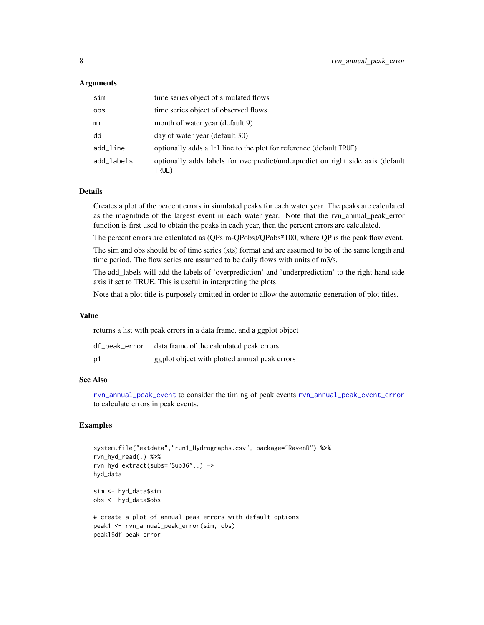#### Arguments

| sim        | time series object of simulated flows                                                    |
|------------|------------------------------------------------------------------------------------------|
| obs        | time series object of observed flows                                                     |
| mm         | month of water year (default 9)                                                          |
| dd         | day of water year (default 30)                                                           |
| add_line   | optionally adds a 1:1 line to the plot for reference (default TRUE)                      |
| add_labels | optionally adds labels for overpredict/underpredict on right side axis (default<br>TRUE) |

# Details

Creates a plot of the percent errors in simulated peaks for each water year. The peaks are calculated as the magnitude of the largest event in each water year. Note that the rvn\_annual\_peak\_error function is first used to obtain the peaks in each year, then the percent errors are calculated.

The percent errors are calculated as (QPsim-QPobs)/QPobs\*100, where QP is the peak flow event.

The sim and obs should be of time series (xts) format and are assumed to be of the same length and time period. The flow series are assumed to be daily flows with units of m3/s.

The add\_labels will add the labels of 'overprediction' and 'underprediction' to the right hand side axis if set to TRUE. This is useful in interpreting the plots.

Note that a plot title is purposely omitted in order to allow the automatic generation of plot titles.

#### Value

returns a list with peak errors in a data frame, and a ggplot object

| df_peak_error | data frame of the calculated peak errors      |
|---------------|-----------------------------------------------|
| p1            | ggplot object with plotted annual peak errors |

#### See Also

[rvn\\_annual\\_peak\\_event](#page-8-1) to consider the timing of peak events [rvn\\_annual\\_peak\\_event\\_error](#page-9-1) to calculate errors in peak events.

```
system.file("extdata","run1_Hydrographs.csv", package="RavenR") %>%
rvn_hyd_read(.) %>%
rvn_hyd_extract(subs="Sub36",.) ->
hyd_data
sim <- hyd_data$sim
obs <- hyd_data$obs
```

```
# create a plot of annual peak errors with default options
peak1 <- rvn_annual_peak_error(sim, obs)
peak1$df_peak_error
```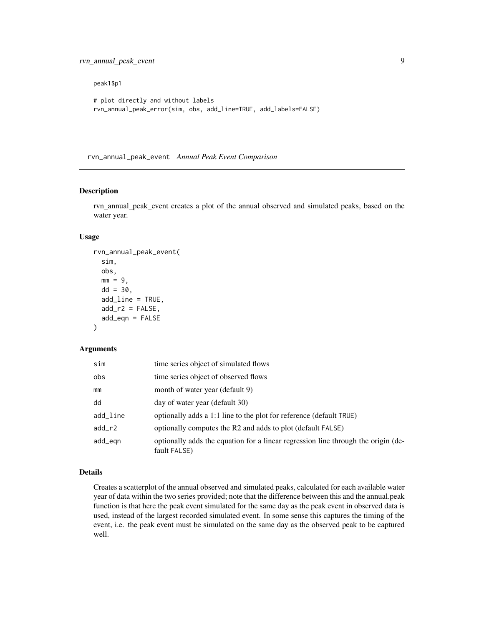# <span id="page-8-0"></span>rvn\_annual\_peak\_event 9

#### peak1\$p1

```
# plot directly and without labels
rvn_annual_peak_error(sim, obs, add_line=TRUE, add_labels=FALSE)
```
<span id="page-8-1"></span>rvn\_annual\_peak\_event *Annual Peak Event Comparison*

# Description

rvn\_annual\_peak\_event creates a plot of the annual observed and simulated peaks, based on the water year.

#### Usage

```
rvn_annual_peak_event(
  sim,
 obs,
 mm = 9,dd = 30,add\_line = TRUE,add_r2 = FALSE,add\_eqn = FALSE)
```
#### Arguments

| sim      | time series object of simulated flows                                                             |
|----------|---------------------------------------------------------------------------------------------------|
| obs      | time series object of observed flows                                                              |
| mm       | month of water year (default 9)                                                                   |
| dd       | day of water year (default 30)                                                                    |
| add_line | optionally adds a 1:1 line to the plot for reference (default TRUE)                               |
| add_r2   | optionally computes the R2 and adds to plot (default FALSE)                                       |
| add_egn  | optionally adds the equation for a linear regression line through the origin (de-<br>fault FALSE) |

# Details

Creates a scatterplot of the annual observed and simulated peaks, calculated for each available water year of data within the two series provided; note that the difference between this and the annual.peak function is that here the peak event simulated for the same day as the peak event in observed data is used, instead of the largest recorded simulated event. In some sense this captures the timing of the event, i.e. the peak event must be simulated on the same day as the observed peak to be captured well.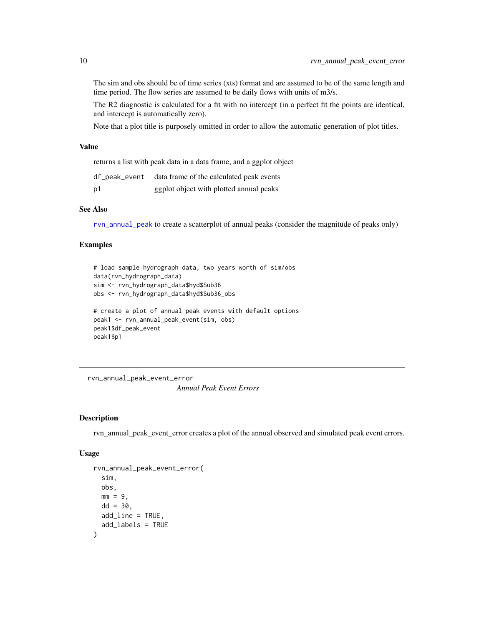The sim and obs should be of time series (xts) format and are assumed to be of the same length and time period. The flow series are assumed to be daily flows with units of m3/s.

The R2 diagnostic is calculated for a fit with no intercept (in a perfect fit the points are identical, and intercept is automatically zero).

Note that a plot title is purposely omitted in order to allow the automatic generation of plot titles.

# Value

returns a list with peak data in a data frame, and a ggplot object

| df_peak_event | data frame of the calculated peak events |
|---------------|------------------------------------------|
| p1            | ggplot object with plotted annual peaks  |

# See Also

[rvn\\_annual\\_peak](#page-5-1) to create a scatterplot of annual peaks (consider the magnitude of peaks only)

#### Examples

```
# load sample hydrograph data, two years worth of sim/obs
data(rvn_hydrograph_data)
sim <- rvn_hydrograph_data$hyd$Sub36
obs <- rvn_hydrograph_data$hyd$Sub36_obs
# create a plot of annual peak events with default options
peak1 <- rvn_annual_peak_event(sim, obs)
peak1$df_peak_event
peak1$p1
```
<span id="page-9-1"></span>rvn\_annual\_peak\_event\_error *Annual Peak Event Errors*

#### Description

rvn\_annual\_peak\_event\_error creates a plot of the annual observed and simulated peak event errors.

# Usage

```
rvn_annual_peak_event_error(
  sim,
  obs,
 mm = 9.
 dd = 30.
 add_line = TRUE,
  add_labels = TRUE
)
```
<span id="page-9-0"></span>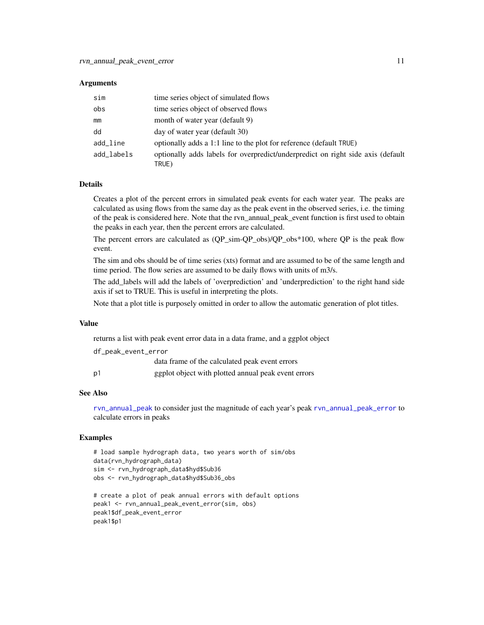#### **Arguments**

| sim        | time series object of simulated flows                                                    |
|------------|------------------------------------------------------------------------------------------|
| obs        | time series object of observed flows                                                     |
| mm         | month of water year (default 9)                                                          |
| dd         | day of water year (default 30)                                                           |
| add_line   | optionally adds a 1:1 line to the plot for reference (default TRUE)                      |
| add labels | optionally adds labels for overpredict/underpredict on right side axis (default<br>TRUE) |

### Details

Creates a plot of the percent errors in simulated peak events for each water year. The peaks are calculated as using flows from the same day as the peak event in the observed series, i.e. the timing of the peak is considered here. Note that the rvn\_annual\_peak\_event function is first used to obtain the peaks in each year, then the percent errors are calculated.

The percent errors are calculated as  $(QP_ssim-QP_obs)/QP_obs*100$ , where QP is the peak flow event.

The sim and obs should be of time series (xts) format and are assumed to be of the same length and time period. The flow series are assumed to be daily flows with units of m3/s.

The add\_labels will add the labels of 'overprediction' and 'underprediction' to the right hand side axis if set to TRUE. This is useful in interpreting the plots.

Note that a plot title is purposely omitted in order to allow the automatic generation of plot titles.

# Value

returns a list with peak event error data in a data frame, and a ggplot object

df\_peak\_event\_error

|    | data frame of the calculated peak event errors      |
|----|-----------------------------------------------------|
| p1 | ggplot object with plotted annual peak event errors |

#### See Also

[rvn\\_annual\\_peak](#page-5-1) to consider just the magnitude of each year's peak [rvn\\_annual\\_peak\\_error](#page-6-1) to calculate errors in peaks

```
# load sample hydrograph data, two years worth of sim/obs
data(rvn_hydrograph_data)
sim <- rvn_hydrograph_data$hyd$Sub36
obs <- rvn_hydrograph_data$hyd$Sub36_obs
```

```
# create a plot of peak annual errors with default options
peak1 <- rvn_annual_peak_event_error(sim, obs)
peak1$df_peak_event_error
peak1$p1
```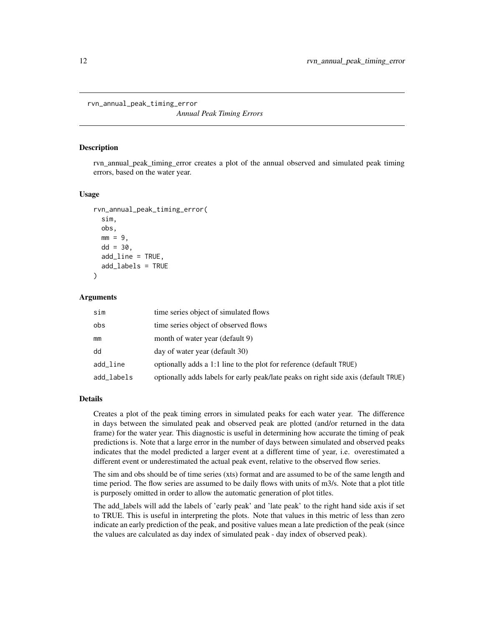<span id="page-11-0"></span>rvn\_annual\_peak\_timing\_error

*Annual Peak Timing Errors*

#### Description

rvn\_annual\_peak\_timing\_error creates a plot of the annual observed and simulated peak timing errors, based on the water year.

# Usage

```
rvn_annual_peak_timing_error(
  sim,
  obs,
 mm = 9.dd = 30,add_line = TRUE,
  add_labels = TRUE
)
```
#### Arguments

| sim        | time series object of simulated flows                                              |
|------------|------------------------------------------------------------------------------------|
| obs        | time series object of observed flows                                               |
| mm         | month of water year (default 9)                                                    |
| dd         | day of water year (default 30)                                                     |
| add_line   | optionally adds a 1:1 line to the plot for reference (default TRUE)                |
| add_labels | optionally adds labels for early peak/late peaks on right side axis (default TRUE) |

### Details

Creates a plot of the peak timing errors in simulated peaks for each water year. The difference in days between the simulated peak and observed peak are plotted (and/or returned in the data frame) for the water year. This diagnostic is useful in determining how accurate the timing of peak predictions is. Note that a large error in the number of days between simulated and observed peaks indicates that the model predicted a larger event at a different time of year, i.e. overestimated a different event or underestimated the actual peak event, relative to the observed flow series.

The sim and obs should be of time series (xts) format and are assumed to be of the same length and time period. The flow series are assumed to be daily flows with units of m3/s. Note that a plot title is purposely omitted in order to allow the automatic generation of plot titles.

The add\_labels will add the labels of 'early peak' and 'late peak' to the right hand side axis if set to TRUE. This is useful in interpreting the plots. Note that values in this metric of less than zero indicate an early prediction of the peak, and positive values mean a late prediction of the peak (since the values are calculated as day index of simulated peak - day index of observed peak).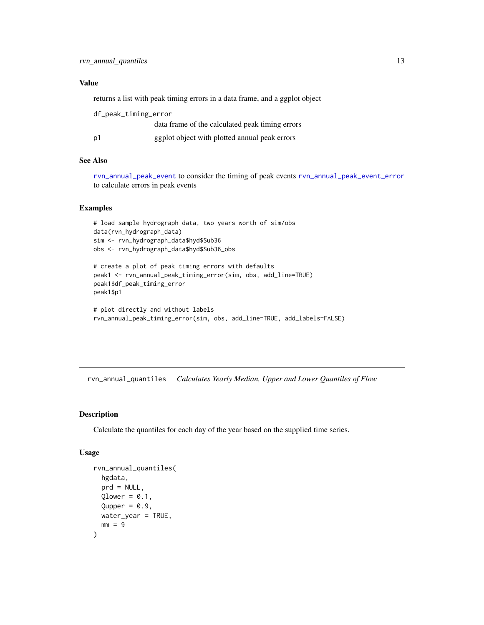# <span id="page-12-0"></span>Value

returns a list with peak timing errors in a data frame, and a ggplot object

| df_peak_timing_error |                                                 |
|----------------------|-------------------------------------------------|
|                      | data frame of the calculated peak timing errors |
| p1                   | ggplot object with plotted annual peak errors   |

#### See Also

[rvn\\_annual\\_peak\\_event](#page-8-1) to consider the timing of peak events [rvn\\_annual\\_peak\\_event\\_error](#page-9-1) to calculate errors in peak events

# Examples

```
# load sample hydrograph data, two years worth of sim/obs
data(rvn_hydrograph_data)
sim <- rvn_hydrograph_data$hyd$Sub36
obs <- rvn_hydrograph_data$hyd$Sub36_obs
```

```
# create a plot of peak timing errors with defaults
peak1 <- rvn_annual_peak_timing_error(sim, obs, add_line=TRUE)
peak1$df_peak_timing_error
peak1$p1
```

```
# plot directly and without labels
rvn_annual_peak_timing_error(sim, obs, add_line=TRUE, add_labels=FALSE)
```
<span id="page-12-1"></span>rvn\_annual\_quantiles *Calculates Yearly Median, Upper and Lower Quantiles of Flow*

#### Description

Calculate the quantiles for each day of the year based on the supplied time series.

# Usage

```
rvn_annual_quantiles(
  hgdata,
 prd = NULL,
 Qlower = 0.1,
 Qupper = 0.9,
 water_year = TRUE,
 mm = 9)
```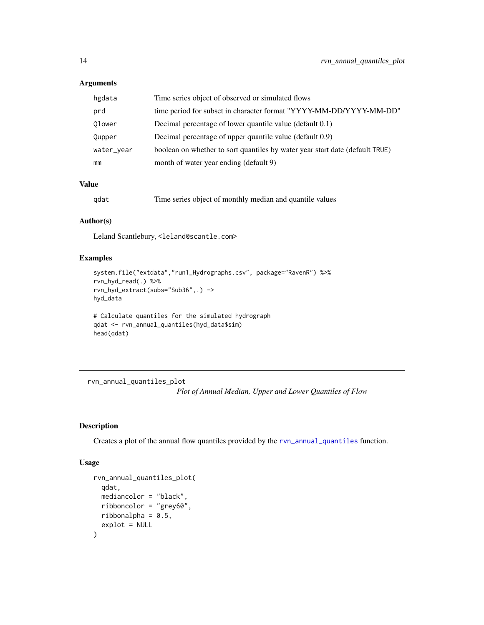# Arguments

| hgdata     | Time series object of observed or simulated flows                            |
|------------|------------------------------------------------------------------------------|
| prd        | time period for subset in character format "YYYY-MM-DD/YYYY-MM-DD"           |
| Olower     | Decimal percentage of lower quantile value (default 0.1)                     |
| Qupper     | Decimal percentage of upper quantile value (default 0.9)                     |
| water_year | boolean on whether to sort quantiles by water year start date (default TRUE) |
| mm         | month of water year ending (default 9)                                       |

# Value

| qdat |  |  | Time series object of monthly median and quantile values |  |
|------|--|--|----------------------------------------------------------|--|
|      |  |  |                                                          |  |

# Author(s)

Leland Scantlebury, <leland@scantle.com>

# Examples

```
system.file("extdata","run1_Hydrographs.csv", package="RavenR") %>%
rvn_hyd_read(.) %>%
rvn_hyd_extract(subs="Sub36",.) ->
hyd_data
```

```
# Calculate quantiles for the simulated hydrograph
qdat <- rvn_annual_quantiles(hyd_data$sim)
head(qdat)
```
rvn\_annual\_quantiles\_plot *Plot of Annual Median, Upper and Lower Quantiles of Flow*

# Description

Creates a plot of the annual flow quantiles provided by the [rvn\\_annual\\_quantiles](#page-12-1) function.

#### Usage

```
rvn_annual_quantiles_plot(
  qdat,
 mediancolor = "black",
  ribboncolor = "grey60",
  ribbonalpha = 0.5,
  explot = NULL\mathcal{E}
```
<span id="page-13-0"></span>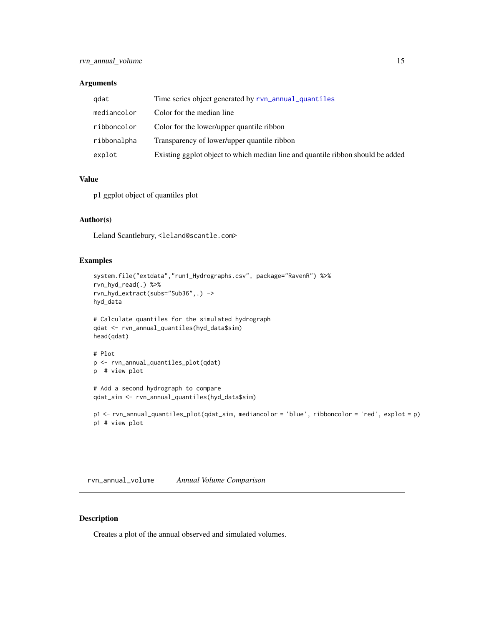# <span id="page-14-0"></span>Arguments

| gdat        | Time series object generated by ryn_annual_quantiles                            |
|-------------|---------------------------------------------------------------------------------|
| mediancolor | Color for the median line                                                       |
| ribboncolor | Color for the lower/upper quantile ribbon                                       |
| ribbonalpha | Transparency of lower/upper quantile ribbon                                     |
| explot      | Existing ggplot object to which median line and quantile ribbon should be added |

# Value

p1 ggplot object of quantiles plot

# Author(s)

Leland Scantlebury, <leland@scantle.com>

# Examples

```
system.file("extdata","run1_Hydrographs.csv", package="RavenR") %>%
rvn_hyd_read(.) %>%
rvn_hyd_extract(subs="Sub36",.) ->
hyd_data
# Calculate quantiles for the simulated hydrograph
qdat <- rvn_annual_quantiles(hyd_data$sim)
head(qdat)
# Plot
p <- rvn_annual_quantiles_plot(qdat)
p # view plot
# Add a second hydrograph to compare
qdat_sim <- rvn_annual_quantiles(hyd_data$sim)
p1 <- rvn_annual_quantiles_plot(qdat_sim, mediancolor = 'blue', ribboncolor = 'red', explot = p)
p1 # view plot
```
<span id="page-14-1"></span>rvn\_annual\_volume *Annual Volume Comparison*

#### Description

Creates a plot of the annual observed and simulated volumes.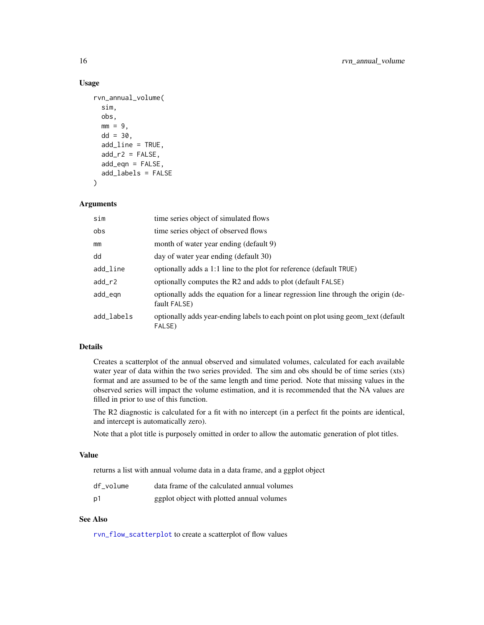#### Usage

```
rvn_annual_volume(
  sim,
  obs,
 mm = 9,dd = 30,
  add_line = TRUE,
  add_r2 = FALSE,add_eqn = FALSE,
  add_labels = FALSE
)
```
#### Arguments

| sim        | time series object of simulated flows                                                             |
|------------|---------------------------------------------------------------------------------------------------|
| obs        | time series object of observed flows                                                              |
| mm         | month of water year ending (default 9)                                                            |
| dd         | day of water year ending (default 30)                                                             |
| add_line   | optionally adds a 1:1 line to the plot for reference (default TRUE)                               |
| add_r2     | optionally computes the R2 and adds to plot (default FALSE)                                       |
| add_egn    | optionally adds the equation for a linear regression line through the origin (de-<br>fault FALSE) |
| add_labels | optionally adds year-ending labels to each point on plot using geom_text (default<br>FALSE)       |

# Details

Creates a scatterplot of the annual observed and simulated volumes, calculated for each available water year of data within the two series provided. The sim and obs should be of time series (xts) format and are assumed to be of the same length and time period. Note that missing values in the observed series will impact the volume estimation, and it is recommended that the NA values are filled in prior to use of this function.

The R2 diagnostic is calculated for a fit with no intercept (in a perfect fit the points are identical, and intercept is automatically zero).

Note that a plot title is purposely omitted in order to allow the automatic generation of plot titles.

# Value

returns a list with annual volume data in a data frame, and a ggplot object

| df volume      | data frame of the calculated annual volumes |
|----------------|---------------------------------------------|
| p <sub>1</sub> | ggplot object with plotted annual volumes   |

# See Also

[rvn\\_flow\\_scatterplot](#page-32-1) to create a scatterplot of flow values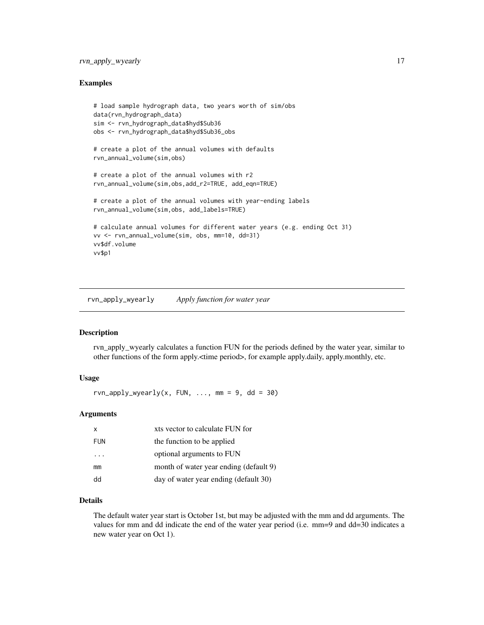# <span id="page-16-0"></span>rvn\_apply\_wyearly 17

#### Examples

```
# load sample hydrograph data, two years worth of sim/obs
data(rvn_hydrograph_data)
sim <- rvn_hydrograph_data$hyd$Sub36
obs <- rvn_hydrograph_data$hyd$Sub36_obs
# create a plot of the annual volumes with defaults
rvn_annual_volume(sim,obs)
# create a plot of the annual volumes with r2
rvn_annual_volume(sim,obs,add_r2=TRUE, add_eqn=TRUE)
# create a plot of the annual volumes with year-ending labels
rvn_annual_volume(sim,obs, add_labels=TRUE)
# calculate annual volumes for different water years (e.g. ending Oct 31)
vv <- rvn_annual_volume(sim, obs, mm=10, dd=31)
vv$df.volume
vv$p1
```
<span id="page-16-1"></span>rvn\_apply\_wyearly *Apply function for water year*

#### Description

rvn\_apply\_wyearly calculates a function FUN for the periods defined by the water year, similar to other functions of the form apply.<time period>, for example apply.daily, apply.monthly, etc.

#### Usage

rvn\_apply\_wyearly(x, FUN, ..., mm = 9, dd = 30)

#### Arguments

| x                       | xts vector to calculate FUN for        |
|-------------------------|----------------------------------------|
| <b>FUN</b>              | the function to be applied             |
| $\cdot$ $\cdot$ $\cdot$ | optional arguments to FUN              |
| mm                      | month of water year ending (default 9) |
| dd                      | day of water year ending (default 30)  |

# Details

The default water year start is October 1st, but may be adjusted with the mm and dd arguments. The values for mm and dd indicate the end of the water year period (i.e. mm=9 and dd=30 indicates a new water year on Oct 1).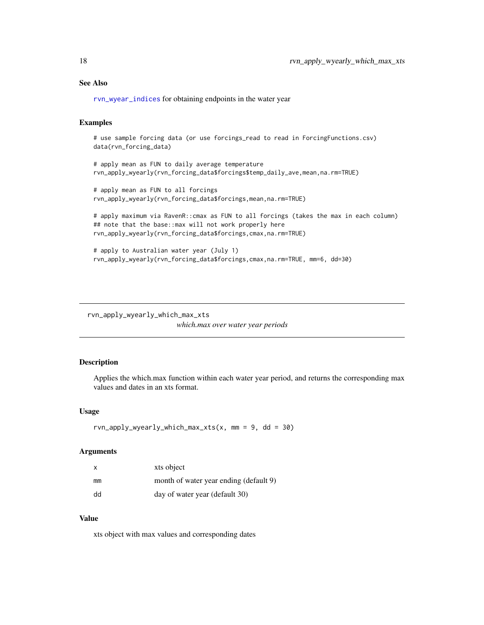# <span id="page-17-0"></span>See Also

[rvn\\_wyear\\_indices](#page-114-1) for obtaining endpoints in the water year

#### Examples

```
# use sample forcing data (or use forcings_read to read in ForcingFunctions.csv)
data(rvn_forcing_data)
```

```
# apply mean as FUN to daily average temperature
rvn_apply_wyearly(rvn_forcing_data$forcings$temp_daily_ave,mean,na.rm=TRUE)
```

```
# apply mean as FUN to all forcings
rvn_apply_wyearly(rvn_forcing_data$forcings,mean,na.rm=TRUE)
```

```
# apply maximum via RavenR::cmax as FUN to all forcings (takes the max in each column)
## note that the base::max will not work properly here
rvn_apply_wyearly(rvn_forcing_data$forcings,cmax,na.rm=TRUE)
```

```
# apply to Australian water year (July 1)
rvn_apply_wyearly(rvn_forcing_data$forcings,cmax,na.rm=TRUE, mm=6, dd=30)
```
rvn\_apply\_wyearly\_which\_max\_xts

*which.max over water year periods*

#### Description

Applies the which.max function within each water year period, and returns the corresponding max values and dates in an xts format.

#### Usage

```
rvn\_\napply\_\nwyearly\_\nwhich\_\nmax_xts(x, mm = 9, dd = 30)
```
#### Arguments

| x  | xts object                             |
|----|----------------------------------------|
| mm | month of water year ending (default 9) |
| dd | day of water year (default 30)         |

#### Value

xts object with max values and corresponding dates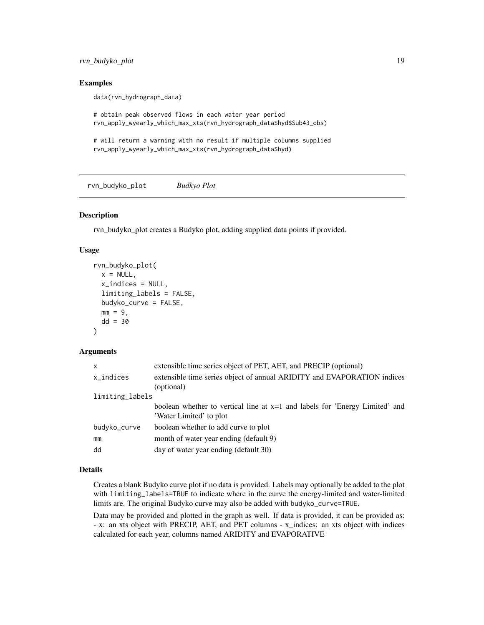<span id="page-18-0"></span>rvn\_budyko\_plot 19

#### Examples

data(rvn\_hydrograph\_data)

```
# obtain peak observed flows in each water year period
rvn_apply_wyearly_which_max_xts(rvn_hydrograph_data$hyd$Sub43_obs)
```
# will return a warning with no result if multiple columns supplied rvn\_apply\_wyearly\_which\_max\_xts(rvn\_hydrograph\_data\$hyd)

rvn\_budyko\_plot *Budkyo Plot*

# Description

rvn\_budyko\_plot creates a Budyko plot, adding supplied data points if provided.

# Usage

```
rvn_budyko_plot(
 x = NULL,x_indices = NULL,
 limiting_labels = FALSE,
 budyko_curve = FALSE,
 mm = 9,dd = 30)
```
# Arguments

| $\mathsf{x}$    | extensible time series object of PET, AET, and PRECIP (optional)                                         |
|-----------------|----------------------------------------------------------------------------------------------------------|
| x_indices       | extensible time series object of annual ARIDITY and EVAPORATION indices<br>(optional)                    |
| limiting_labels |                                                                                                          |
|                 | boolean whether to vertical line at $x=1$ and labels for 'Energy Limited' and<br>'Water Limited' to plot |
| budyko_curve    | boolean whether to add curve to plot                                                                     |
| mm              | month of water year ending (default 9)                                                                   |
| dd              | day of water year ending (default 30)                                                                    |

# Details

Creates a blank Budyko curve plot if no data is provided. Labels may optionally be added to the plot with limiting\_labels=TRUE to indicate where in the curve the energy-limited and water-limited limits are. The original Budyko curve may also be added with budyko\_curve=TRUE.

Data may be provided and plotted in the graph as well. If data is provided, it can be provided as: - x: an xts object with PRECIP, AET, and PET columns - x\_indices: an xts object with indices calculated for each year, columns named ARIDITY and EVAPORATIVE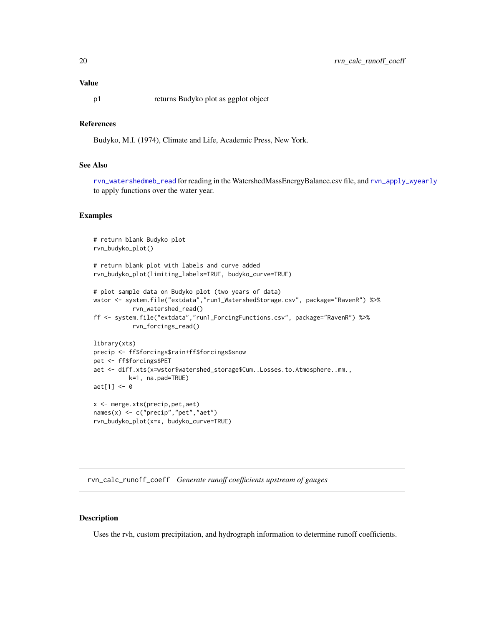#### <span id="page-19-0"></span>Value

p1 returns Budyko plot as ggplot object

# References

Budyko, M.I. (1974), Climate and Life, Academic Press, New York.

# See Also

[rvn\\_watershedmeb\\_read](#page-104-1) for reading in the WatershedMassEnergyBalance.csv file, and [rvn\\_apply\\_wyearly](#page-16-1) to apply functions over the water year.

#### Examples

```
# return blank Budyko plot
rvn_budyko_plot()
# return blank plot with labels and curve added
rvn_budyko_plot(limiting_labels=TRUE, budyko_curve=TRUE)
# plot sample data on Budyko plot (two years of data)
wstor <- system.file("extdata","run1_WatershedStorage.csv", package="RavenR") %>%
           rvn_watershed_read()
ff <- system.file("extdata","run1_ForcingFunctions.csv", package="RavenR") %>%
           rvn_forcings_read()
library(xts)
precip <- ff$forcings$rain+ff$forcings$snow
pet <- ff$forcings$PET
aet <- diff.xts(x=wstor$watershed_storage$Cum..Losses.to.Atmosphere..mm.,
          k=1, na.pad=TRUE)
aet[1] <- 0
x <- merge.xts(precip,pet,aet)
names(x) <- c("precip","pet","aet")
rvn_budyko_plot(x=x, budyko_curve=TRUE)
```
rvn\_calc\_runoff\_coeff *Generate runoff coefficients upstream of gauges*

#### Description

Uses the rvh, custom precipitation, and hydrograph information to determine runoff coefficients.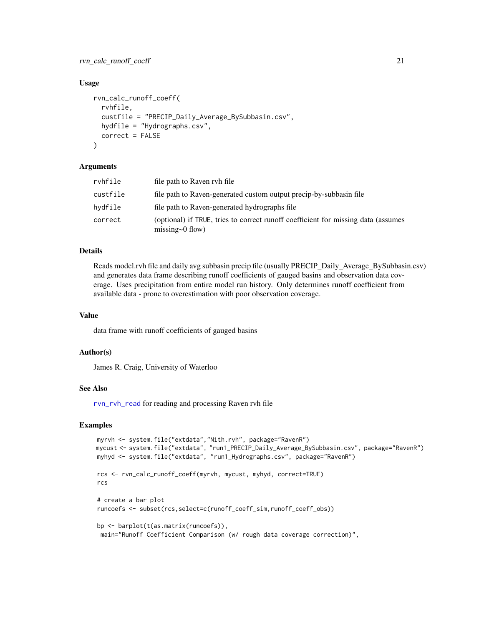rvn\_calc\_runoff\_coeff 21

#### Usage

```
rvn_calc_runoff_coeff(
  rvhfile,
  custfile = "PRECIP_Daily_Average_BySubbasin.csv",
 hydfile = "Hydrographs.csv",
  correct = FALSE\lambda
```
#### Arguments

| rvhfile  | file path to Raven ryh file                                                                                 |
|----------|-------------------------------------------------------------------------------------------------------------|
| custfile | file path to Raven-generated custom output precip-by-subbasin file                                          |
| hydfile  | file path to Raven-generated hydrographs file                                                               |
| correct  | (optional) if TRUE, tries to correct runoff coefficient for missing data (assumes<br>missing $\sim 0$ flow) |

# Details

Reads model.rvh file and daily avg subbasin precip file (usually PRECIP\_Daily\_Average\_BySubbasin.csv) and generates data frame describing runoff coefficients of gauged basins and observation data coverage. Uses precipitation from entire model run history. Only determines runoff coefficient from available data - prone to overestimation with poor observation coverage.

#### Value

data frame with runoff coefficients of gauged basins

#### Author(s)

James R. Craig, University of Waterloo

# See Also

[rvn\\_rvh\\_read](#page-72-1) for reading and processing Raven rvh file

```
myrvh <- system.file("extdata","Nith.rvh", package="RavenR")
mycust <- system.file("extdata", "run1_PRECIP_Daily_Average_BySubbasin.csv", package="RavenR")
myhyd <- system.file("extdata", "run1_Hydrographs.csv", package="RavenR")
rcs <- rvn_calc_runoff_coeff(myrvh, mycust, myhyd, correct=TRUE)
rcs
# create a bar plot
runcoefs <- subset(rcs,select=c(runoff_coeff_sim,runoff_coeff_obs))
bp <- barplot(t(as.matrix(runcoefs)),
 main="Runoff Coefficient Comparison (w/ rough data coverage correction)",
```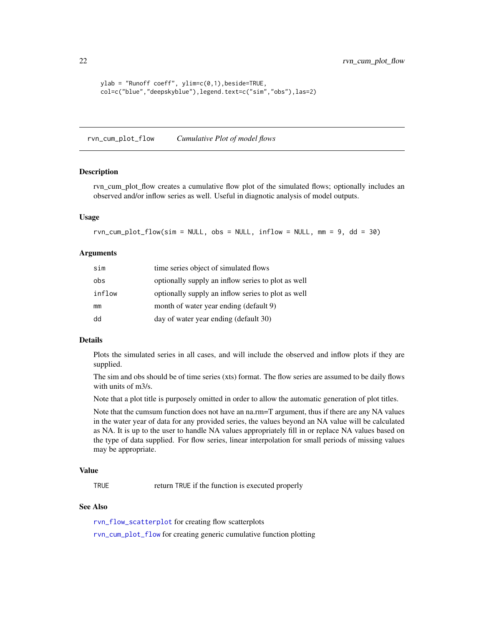```
ylab = "Runoff coeff", ylim=c(0,1),beside=TRUE,
col=c("blue","deepskyblue"),legend.text=c("sim","obs"),las=2)
```
<span id="page-21-1"></span>rvn\_cum\_plot\_flow *Cumulative Plot of model flows*

#### Description

rvn\_cum\_plot\_flow creates a cumulative flow plot of the simulated flows; optionally includes an observed and/or inflow series as well. Useful in diagnotic analysis of model outputs.

#### Usage

```
rvn\_cum\_plot_flow(sim = NULL, obs = NULL, inflow = NULL, mm = 9, dd = 30)
```
#### Arguments

| sim    | time series object of simulated flows              |
|--------|----------------------------------------------------|
| obs    | optionally supply an inflow series to plot as well |
| inflow | optionally supply an inflow series to plot as well |
| mm     | month of water year ending (default 9)             |
| dd     | day of water year ending (default 30)              |

### Details

Plots the simulated series in all cases, and will include the observed and inflow plots if they are supplied.

The sim and obs should be of time series (xts) format. The flow series are assumed to be daily flows with units of m3/s.

Note that a plot title is purposely omitted in order to allow the automatic generation of plot titles.

Note that the cumsum function does not have an na.rm=T argument, thus if there are any NA values in the water year of data for any provided series, the values beyond an NA value will be calculated as NA. It is up to the user to handle NA values appropriately fill in or replace NA values based on the type of data supplied. For flow series, linear interpolation for small periods of missing values may be appropriate.

# Value

TRUE return TRUE if the function is executed properly

# See Also

[rvn\\_flow\\_scatterplot](#page-32-1) for creating flow scatterplots

[rvn\\_cum\\_plot\\_flow](#page-21-1) for creating generic cumulative function plotting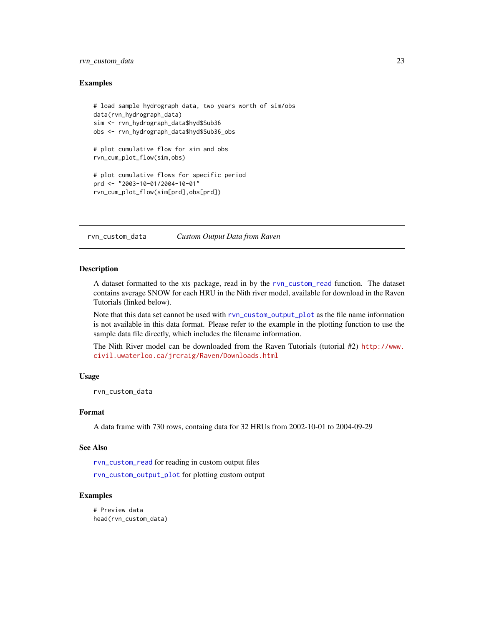# <span id="page-22-0"></span>rvn\_custom\_data 23

#### Examples

```
# load sample hydrograph data, two years worth of sim/obs
data(rvn_hydrograph_data)
sim <- rvn_hydrograph_data$hyd$Sub36
obs <- rvn_hydrograph_data$hyd$Sub36_obs
# plot cumulative flow for sim and obs
rvn_cum_plot_flow(sim,obs)
# plot cumulative flows for specific period
prd <- "2003-10-01/2004-10-01"
rvn_cum_plot_flow(sim[prd],obs[prd])
```
rvn\_custom\_data *Custom Output Data from Raven*

# Description

A dataset formatted to the xts package, read in by the [rvn\\_custom\\_read](#page-24-1) function. The dataset contains average SNOW for each HRU in the Nith river model, available for download in the Raven Tutorials (linked below).

Note that this data set cannot be used with [rvn\\_custom\\_output\\_plot](#page-23-1) as the file name information is not available in this data format. Please refer to the example in the plotting function to use the sample data file directly, which includes the filename information.

The Nith River model can be downloaded from the Raven Tutorials (tutorial #2) [http://www.](http://www.civil.uwaterloo.ca/jrcraig/Raven/Downloads.html) [civil.uwaterloo.ca/jrcraig/Raven/Downloads.html](http://www.civil.uwaterloo.ca/jrcraig/Raven/Downloads.html)

#### Usage

rvn\_custom\_data

#### Format

A data frame with 730 rows, containg data for 32 HRUs from 2002-10-01 to 2004-09-29

#### See Also

[rvn\\_custom\\_read](#page-24-1) for reading in custom output files

[rvn\\_custom\\_output\\_plot](#page-23-1) for plotting custom output

```
# Preview data
head(rvn_custom_data)
```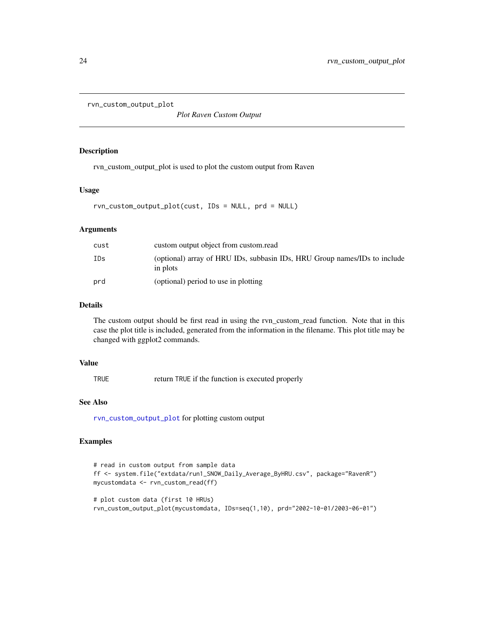```
rvn_custom_output_plot
```
*Plot Raven Custom Output*

# Description

rvn\_custom\_output\_plot is used to plot the custom output from Raven

# Usage

rvn\_custom\_output\_plot(cust, IDs = NULL, prd = NULL)

# Arguments

| cust | custom output object from custom.read                                                 |
|------|---------------------------------------------------------------------------------------|
| IDs  | (optional) array of HRU IDs, subbasin IDs, HRU Group names/IDs to include<br>in plots |
| prd  | (optional) period to use in plotting                                                  |

# Details

The custom output should be first read in using the rvn\_custom\_read function. Note that in this case the plot title is included, generated from the information in the filename. This plot title may be changed with ggplot2 commands.

# Value

TRUE return TRUE if the function is executed properly

# See Also

[rvn\\_custom\\_output\\_plot](#page-23-1) for plotting custom output

```
# read in custom output from sample data
ff <- system.file("extdata/run1_SNOW_Daily_Average_ByHRU.csv", package="RavenR")
mycustomdata <- rvn_custom_read(ff)
# plot custom data (first 10 HRUs)
```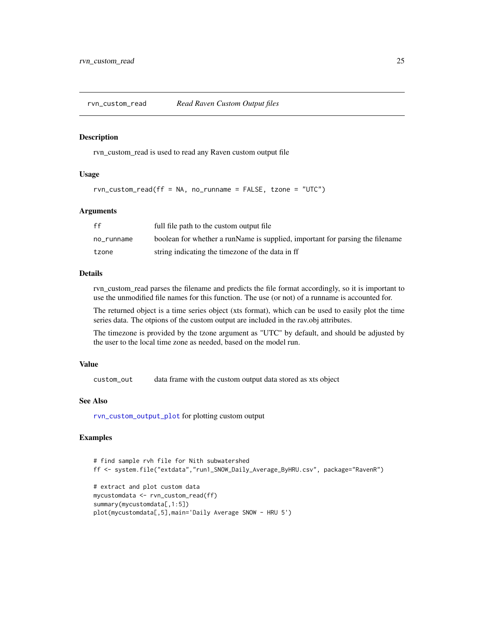<span id="page-24-1"></span><span id="page-24-0"></span>

#### Description

rvn\_custom\_read is used to read any Raven custom output file

#### Usage

```
rvn_custom_read(ff = NA, no_runname = FALSE, tzone = "UTC")
```
#### Arguments

| ff         | full file path to the custom output file                                      |
|------------|-------------------------------------------------------------------------------|
| no runname | boolean for whether a runName is supplied, important for parsing the filename |
| tzone      | string indicating the timezone of the data in ff                              |

# Details

rvn\_custom\_read parses the filename and predicts the file format accordingly, so it is important to use the unmodified file names for this function. The use (or not) of a runname is accounted for.

The returned object is a time series object (xts format), which can be used to easily plot the time series data. The otpions of the custom output are included in the rav.obj attributes.

The timezone is provided by the tzone argument as "UTC" by default, and should be adjusted by the user to the local time zone as needed, based on the model run.

#### Value

custom\_out data frame with the custom output data stored as xts object

#### See Also

[rvn\\_custom\\_output\\_plot](#page-23-1) for plotting custom output

```
# find sample rvh file for Nith subwatershed
ff <- system.file("extdata","run1_SNOW_Daily_Average_ByHRU.csv", package="RavenR")
# extract and plot custom data
mycustomdata <- rvn_custom_read(ff)
summary(mycustomdata[,1:5])
plot(mycustomdata[,5],main='Daily Average SNOW - HRU 5')
```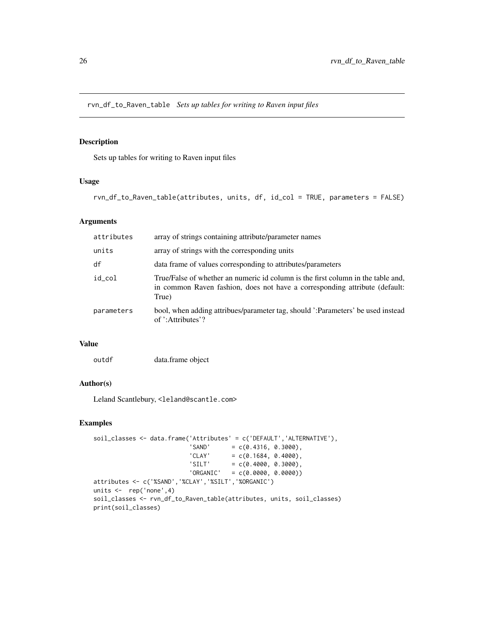<span id="page-25-0"></span>rvn\_df\_to\_Raven\_table *Sets up tables for writing to Raven input files*

# Description

Sets up tables for writing to Raven input files

# Usage

```
rvn_df_to_Raven_table(attributes, units, df, id_col = TRUE, parameters = FALSE)
```
# Arguments

| attributes | array of strings containing attribute/parameter names                                                                                                                   |
|------------|-------------------------------------------------------------------------------------------------------------------------------------------------------------------------|
| units      | array of strings with the corresponding units                                                                                                                           |
| df         | data frame of values corresponding to attributes/parameters                                                                                                             |
| id col     | True/False of whether an numeric id column is the first column in the table and,<br>in common Raven fashion, does not have a corresponding attribute (default:<br>True) |
| parameters | bool, when adding attribues/parameter tag, should ':Parameters' be used instead<br>of ':Attributes'?                                                                    |

# Value

```
outdf data.frame object
```
#### Author(s)

Leland Scantlebury, <leland@scantle.com>

```
soil_classes <- data.frame('Attributes' = c('DEFAULT','ALTERNATIVE'),
                         'SAND' = c(0.4316, 0.3000),'CLAY' = c(0.1684, 0.4000),'SILT' = c(0.4000, 0.3000),'ORGANIC' = c(0.0000, 0.0000))attributes <- c('%SAND','%CLAY','%SILT','%ORGANIC')
units <- rep('none',4)
soil_classes <- rvn_df_to_Raven_table(attributes, units, soil_classes)
print(soil_classes)
```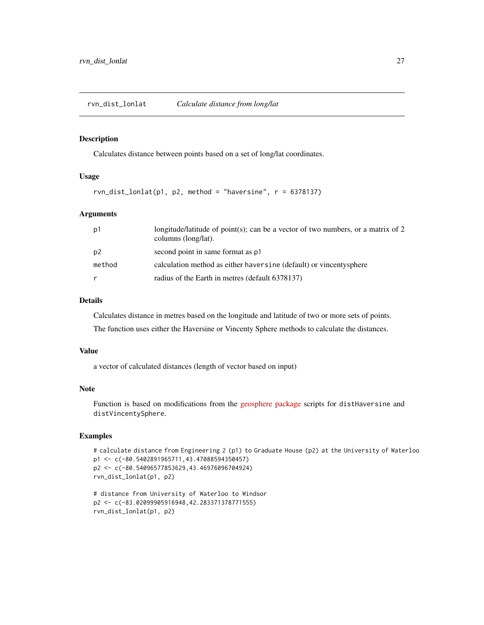# <span id="page-26-0"></span>Description

Calculates distance between points based on a set of long/lat coordinates.

#### Usage

```
rvn\_dist\_lonlat(p1, p2, method = "haversine", r = 6378137)
```
#### Arguments

| p1             | longitude/latitude of point(s); can be a vector of two numbers, or a matrix of 2<br>columns (long/lat). |
|----------------|---------------------------------------------------------------------------------------------------------|
| p <sub>2</sub> | second point in same format as p1                                                                       |
| method         | calculation method as either haven sine (default) or vincentysphere                                     |
| r              | radius of the Earth in metres (default 6378137)                                                         |

# Details

Calculates distance in metres based on the longitude and latitude of two or more sets of points. The function uses either the Haversine or Vincenty Sphere methods to calculate the distances.

# Value

a vector of calculated distances (length of vector based on input)

# Note

Function is based on modifications from the [geosphere package](https://cran.r-project.org/package=geosphere) scripts for distHaversine and distVincentySphere.

```
# calculate distance from Engineering 2 (p1) to Graduate House (p2) at the University of Waterloo
p1 <- c(-80.5402891965711,43.47088594350457)
p2 <- c(-80.54096577853629,43.46976096704924)
rvn_dist_lonlat(p1, p2)
```

```
# distance from University of Waterloo to Windsor
p2 <- c(-83.02099905916948,42.283371378771555)
rvn_dist_lonlat(p1, p2)
```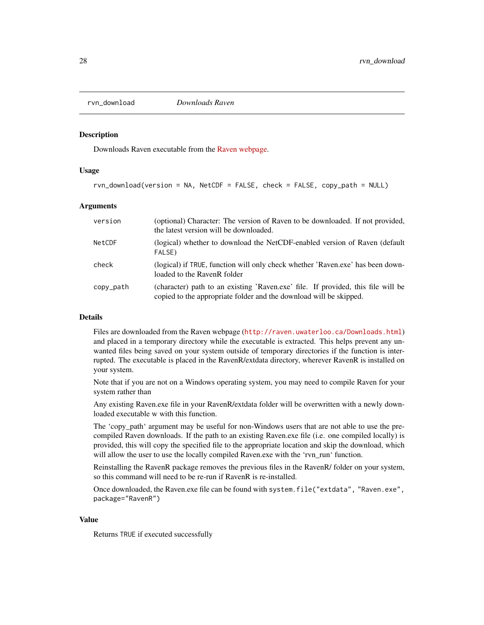<span id="page-27-0"></span>

#### Description

Downloads Raven executable from the [Raven webpage.](http://raven.uwaterloo.ca/Downloads.html)

# Usage

rvn\_download(version = NA, NetCDF = FALSE, check = FALSE, copy\_path = NULL)

#### Arguments

| version   | (optional) Character: The version of Raven to be downloaded. If not provided,<br>the latest version will be downloaded.                                |
|-----------|--------------------------------------------------------------------------------------------------------------------------------------------------------|
| NetCDF    | (logical) whether to download the NetCDF-enabled version of Raven (default)<br>FALSE)                                                                  |
| check     | (logical) if TRUE, function will only check whether 'Raven.exe' has been down-<br>loaded to the RavenR folder                                          |
| copy_path | (character) path to an existing 'Raven.exe' file. If provided, this file will be<br>copied to the appropriate folder and the download will be skipped. |

# Details

Files are downloaded from the Raven webpage (<http://raven.uwaterloo.ca/Downloads.html>) and placed in a temporary directory while the executable is extracted. This helps prevent any unwanted files being saved on your system outside of temporary directories if the function is interrupted. The executable is placed in the RavenR/extdata directory, wherever RavenR is installed on your system.

Note that if you are not on a Windows operating system, you may need to compile Raven for your system rather than

Any existing Raven.exe file in your RavenR/extdata folder will be overwritten with a newly downloaded executable w with this function.

The 'copy\_path' argument may be useful for non-Windows users that are not able to use the precompiled Raven downloads. If the path to an existing Raven.exe file (i.e. one compiled locally) is provided, this will copy the specified file to the appropriate location and skip the download, which will allow the user to use the locally compiled Raven.exe with the 'rvn\_run' function.

Reinstalling the RavenR package removes the previous files in the RavenR/ folder on your system, so this command will need to be re-run if RavenR is re-installed.

Once downloaded, the Raven.exe file can be found with system.file("extdata", "Raven.exe", package="RavenR")

#### Value

Returns TRUE if executed successfully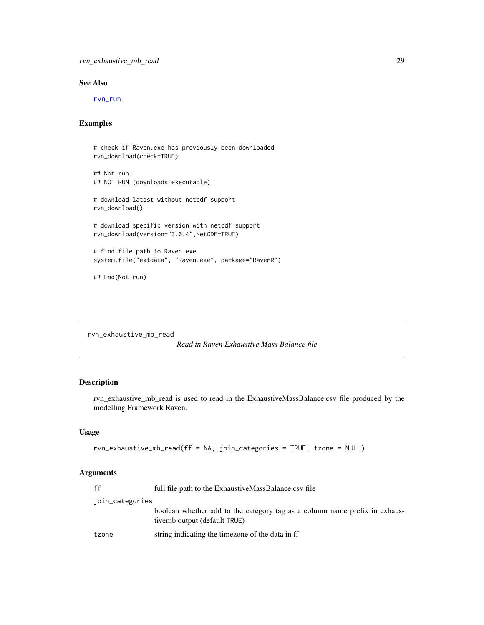# <span id="page-28-0"></span>See Also

[rvn\\_run](#page-60-1)

# Examples

```
# check if Raven.exe has previously been downloaded
rvn_download(check=TRUE)
## Not run:
## NOT RUN (downloads executable)
# download latest without netcdf support
rvn_download()
# download specific version with netcdf support
rvn_download(version="3.0.4",NetCDF=TRUE)
# find file path to Raven.exe
system.file("extdata", "Raven.exe", package="RavenR")
```
## End(Not run)

<span id="page-28-1"></span>rvn\_exhaustive\_mb\_read

```
Read in Raven Exhaustive Mass Balance file
```
# Description

rvn\_exhaustive\_mb\_read is used to read in the ExhaustiveMassBalance.csv file produced by the modelling Framework Raven.

# Usage

```
rvn_exhaustive_mb_read(ff = NA, join_categories = TRUE, tzone = NULL)
```
# Arguments

| ff              | full file path to the ExhaustiveMassBalance.csv file                                                       |
|-----------------|------------------------------------------------------------------------------------------------------------|
| join_categories |                                                                                                            |
|                 | boolean whether add to the category tag as a column name prefix in exhaus-<br>tivemb output (default TRUE) |
| tzone           | string indicating the timezone of the data in ff                                                           |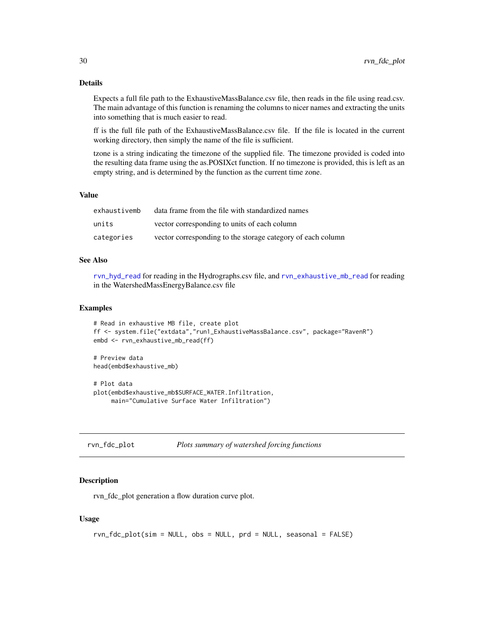<span id="page-29-0"></span>Expects a full file path to the ExhaustiveMassBalance.csv file, then reads in the file using read.csv. The main advantage of this function is renaming the columns to nicer names and extracting the units into something that is much easier to read.

ff is the full file path of the ExhaustiveMassBalance.csv file. If the file is located in the current working directory, then simply the name of the file is sufficient.

tzone is a string indicating the timezone of the supplied file. The timezone provided is coded into the resulting data frame using the as.POSIXct function. If no timezone is provided, this is left as an empty string, and is determined by the function as the current time zone.

# Value

| exhaustivemb | data frame from the file with standardized names            |
|--------------|-------------------------------------------------------------|
| units        | vector corresponding to units of each column                |
| categories   | vector corresponding to the storage category of each column |

#### See Also

[rvn\\_hyd\\_read](#page-46-1) for reading in the Hydrographs.csv file, and [rvn\\_exhaustive\\_mb\\_read](#page-28-1) for reading in the WatershedMassEnergyBalance.csv file

# Examples

```
# Read in exhaustive MB file, create plot
ff <- system.file("extdata","run1_ExhaustiveMassBalance.csv", package="RavenR")
embd <- rvn_exhaustive_mb_read(ff)
# Preview data
head(embd$exhaustive_mb)
# Plot data
```

```
plot(embd$exhaustive_mb$SURFACE_WATER.Infiltration,
    main="Cumulative Surface Water Infiltration")
```

| rvn_fdc_plot |  |  | Plots summary of watershed forcing functions |
|--------------|--|--|----------------------------------------------|
|--------------|--|--|----------------------------------------------|

#### Description

rvn\_fdc\_plot generation a flow duration curve plot.

# Usage

```
rvn_fdc_plot(sim = NULL, obs = NULL, prd = NULL, seasonal = FALSE)
```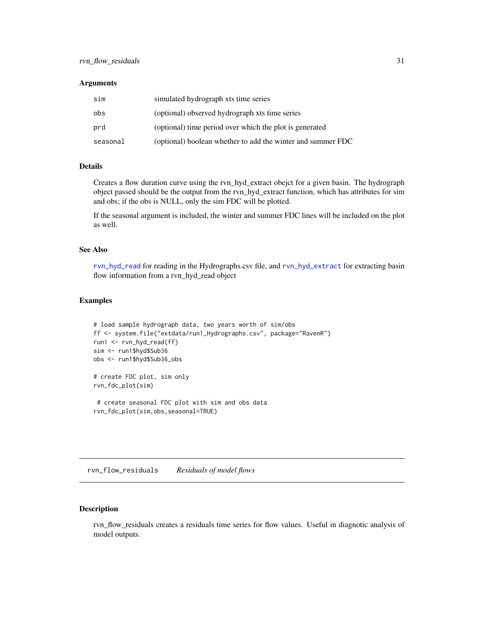#### <span id="page-30-0"></span>**Arguments**

| sim      | simulated hydrograph xts time series                        |
|----------|-------------------------------------------------------------|
| obs      | (optional) observed hydrograph xts time series              |
| prd      | (optional) time period over which the plot is generated     |
| seasonal | (optional) boolean whether to add the winter and summer FDC |

# Details

Creates a flow duration curve using the rvn\_hyd\_extract obejct for a given basin. The hydrograph object passed should be the output from the rvn\_hyd\_extract function, which has attributes for sim and obs; if the obs is NULL, only the sim FDC will be plotted.

If the seasonal argument is included, the winter and summer FDC lines will be included on the plot as well.

#### See Also

[rvn\\_hyd\\_read](#page-46-1) for reading in the Hydrographs.csv file, and [rvn\\_hyd\\_extract](#page-43-1) for extracting basin flow information from a rvn\_hyd\_read object

# Examples

```
# load sample hydrograph data, two years worth of sim/obs
ff <- system.file("extdata/run1_Hydrographs.csv", package="RavenR")
run1 <- rvn_hyd_read(ff)
sim <- run1$hyd$Sub36
obs <- run1$hyd$Sub36_obs
# create FDC plot, sim only
rvn_fdc_plot(sim)
 # create seasonal FDC plot with sim and obs data
```
rvn\_fdc\_plot(sim,obs,seasonal=TRUE)

rvn\_flow\_residuals *Residuals of model flows*

# Description

rvn\_flow\_residuals creates a residuals time series for flow values. Useful in diagnotic analysis of model outputs.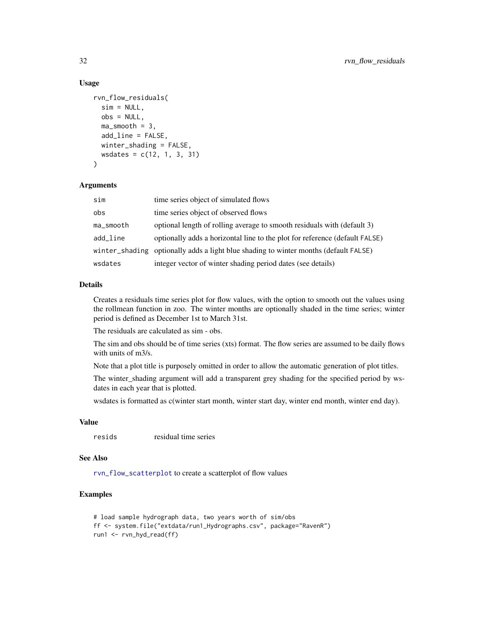# Usage

```
rvn_flow_residuals(
  sim = NULL,
  obs = NULL,
 ma_smooth = 3,
  add_line = FALSE,
 winter_shading = FALSE,
 wsdates = c(12, 1, 3, 31)
)
```
#### Arguments

| sim       | time series object of simulated flows                                                |
|-----------|--------------------------------------------------------------------------------------|
| obs       | time series object of observed flows                                                 |
| ma_smooth | optional length of rolling average to smooth residuals with (default 3)              |
| add_line  | optionally adds a horizontal line to the plot for reference (default FALSE)          |
|           | winter_shading optionally adds a light blue shading to winter months (default FALSE) |
| wsdates   | integer vector of winter shading period dates (see details)                          |

# Details

Creates a residuals time series plot for flow values, with the option to smooth out the values using the rollmean function in zoo. The winter months are optionally shaded in the time series; winter period is defined as December 1st to March 31st.

The residuals are calculated as sim - obs.

The sim and obs should be of time series (xts) format. The flow series are assumed to be daily flows with units of m3/s.

Note that a plot title is purposely omitted in order to allow the automatic generation of plot titles.

The winter\_shading argument will add a transparent grey shading for the specified period by wsdates in each year that is plotted.

wsdates is formatted as c(winter start month, winter start day, winter end month, winter end day).

# Value

resids residual time series

# See Also

[rvn\\_flow\\_scatterplot](#page-32-1) to create a scatterplot of flow values

```
# load sample hydrograph data, two years worth of sim/obs
ff <- system.file("extdata/run1_Hydrographs.csv", package="RavenR")
run1 <- rvn_hyd_read(ff)
```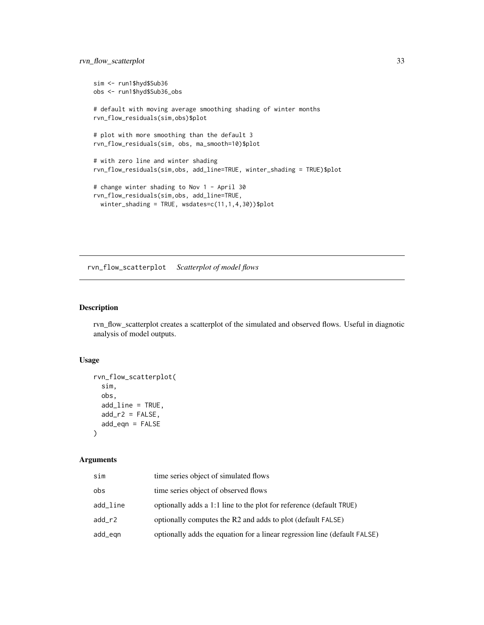```
sim <- run1$hyd$Sub36
obs <- run1$hyd$Sub36_obs
# default with moving average smoothing shading of winter months
rvn_flow_residuals(sim,obs)$plot
# plot with more smoothing than the default 3
rvn_flow_residuals(sim, obs, ma_smooth=10)$plot
# with zero line and winter shading
rvn_flow_residuals(sim,obs, add_line=TRUE, winter_shading = TRUE)$plot
# change winter shading to Nov 1 - April 30
rvn_flow_residuals(sim,obs, add_line=TRUE,
  winter_shading = TRUE, wsdates=c(11,1,4,30))$plot
```
<span id="page-32-1"></span>rvn\_flow\_scatterplot *Scatterplot of model flows*

# Description

rvn\_flow\_scatterplot creates a scatterplot of the simulated and observed flows. Useful in diagnotic analysis of model outputs.

#### Usage

```
rvn_flow_scatterplot(
  sim,
 obs,
 add_line = TRUE,
 add_r2 = FALSE,add_eqn = FALSE
)
```
# Arguments

| sim      | time series object of simulated flows                                     |
|----------|---------------------------------------------------------------------------|
| obs      | time series object of observed flows                                      |
| add_line | optionally adds a 1:1 line to the plot for reference (default TRUE)       |
| add_r2   | optionally computes the R2 and adds to plot (default FALSE)               |
| add_eqn  | optionally adds the equation for a linear regression line (default FALSE) |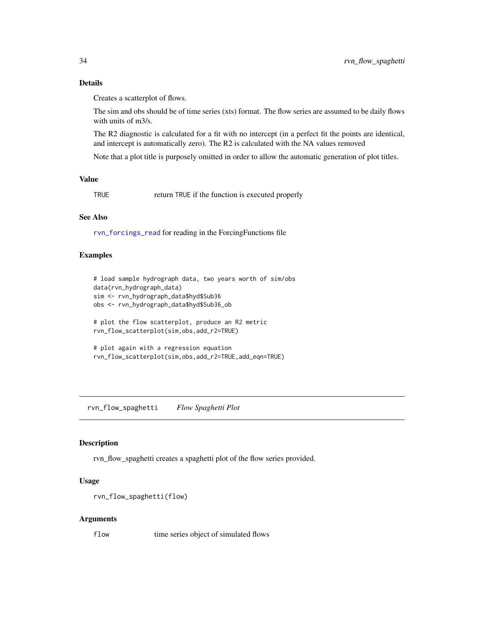Creates a scatterplot of flows.

The sim and obs should be of time series (xts) format. The flow series are assumed to be daily flows with units of m3/s.

The R2 diagnostic is calculated for a fit with no intercept (in a perfect fit the points are identical, and intercept is automatically zero). The R2 is calculated with the NA values removed

Note that a plot title is purposely omitted in order to allow the automatic generation of plot titles.

## Value

TRUE return TRUE if the function is executed properly

# See Also

[rvn\\_forcings\\_read](#page-35-1) for reading in the ForcingFunctions file

# Examples

```
# load sample hydrograph data, two years worth of sim/obs
data(rvn_hydrograph_data)
sim <- rvn_hydrograph_data$hyd$Sub36
obs <- rvn_hydrograph_data$hyd$Sub36_ob
# plot the flow scatterplot, produce an R2 metric
rvn_flow_scatterplot(sim,obs,add_r2=TRUE)
# plot again with a regression equation
rvn_flow_scatterplot(sim,obs,add_r2=TRUE,add_eqn=TRUE)
```
rvn\_flow\_spaghetti *Flow Spaghetti Plot*

#### Description

rvn\_flow\_spaghetti creates a spaghetti plot of the flow series provided.

#### Usage

```
rvn_flow_spaghetti(flow)
```
#### Arguments

flow time series object of simulated flows

<span id="page-33-0"></span>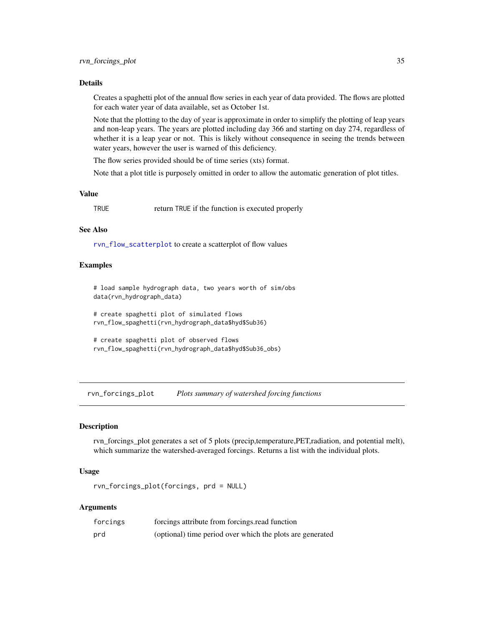<span id="page-34-0"></span>Creates a spaghetti plot of the annual flow series in each year of data provided. The flows are plotted for each water year of data available, set as October 1st.

Note that the plotting to the day of year is approximate in order to simplify the plotting of leap years and non-leap years. The years are plotted including day 366 and starting on day 274, regardless of whether it is a leap year or not. This is likely without consequence in seeing the trends between water years, however the user is warned of this deficiency.

The flow series provided should be of time series (xts) format.

Note that a plot title is purposely omitted in order to allow the automatic generation of plot titles.

#### Value

TRUE return TRUE if the function is executed properly

# See Also

[rvn\\_flow\\_scatterplot](#page-32-1) to create a scatterplot of flow values

# Examples

# load sample hydrograph data, two years worth of sim/obs data(rvn\_hydrograph\_data)

# create spaghetti plot of simulated flows rvn\_flow\_spaghetti(rvn\_hydrograph\_data\$hyd\$Sub36)

# create spaghetti plot of observed flows rvn\_flow\_spaghetti(rvn\_hydrograph\_data\$hyd\$Sub36\_obs)

rvn\_forcings\_plot *Plots summary of watershed forcing functions*

#### Description

rvn\_forcings\_plot generates a set of 5 plots (precip,temperature,PET,radiation, and potential melt), which summarize the watershed-averaged forcings. Returns a list with the individual plots.

# Usage

rvn\_forcings\_plot(forcings, prd = NULL)

# Arguments

| forcings | forcings attribute from forcings read function            |
|----------|-----------------------------------------------------------|
| prd      | (optional) time period over which the plots are generated |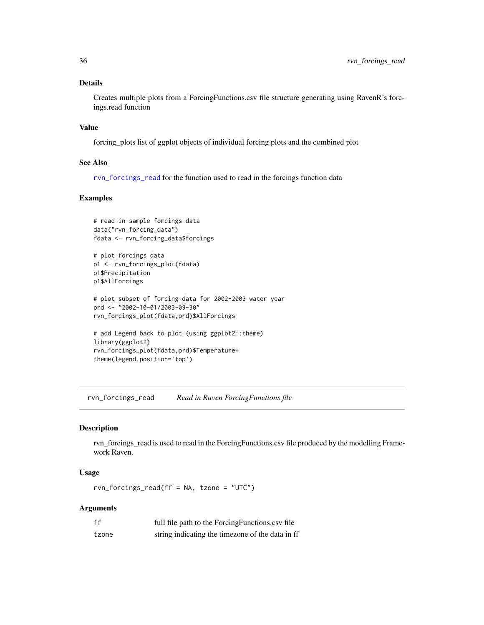Creates multiple plots from a ForcingFunctions.csv file structure generating using RavenR's forcings.read function

# Value

forcing\_plots list of ggplot objects of individual forcing plots and the combined plot

#### See Also

[rvn\\_forcings\\_read](#page-35-1) for the function used to read in the forcings function data

# Examples

```
# read in sample forcings data
data("rvn_forcing_data")
fdata <- rvn_forcing_data$forcings
```

```
# plot forcings data
p1 <- rvn_forcings_plot(fdata)
p1$Precipitation
p1$AllForcings
```

```
# plot subset of forcing data for 2002-2003 water year
prd <- "2002-10-01/2003-09-30"
rvn_forcings_plot(fdata,prd)$AllForcings
```

```
# add Legend back to plot (using ggplot2::theme)
library(ggplot2)
rvn_forcings_plot(fdata,prd)$Temperature+
theme(legend.position='top')
```
<span id="page-35-1"></span>rvn\_forcings\_read *Read in Raven ForcingFunctions file*

# Description

rvn\_forcings\_read is used to read in the ForcingFunctions.csv file produced by the modelling Framework Raven.

# Usage

rvn\_forcings\_read(ff = NA, tzone = "UTC")

# Arguments

| ff    | full file path to the Forcing Functions.cs of file |
|-------|----------------------------------------------------|
| tzone | string indicating the timezone of the data in ff   |

<span id="page-35-0"></span>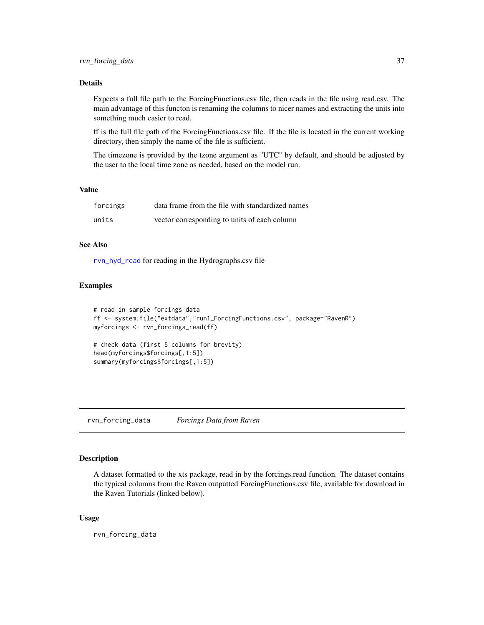# Details

Expects a full file path to the ForcingFunctions.csv file, then reads in the file using read.csv. The main advantage of this functon is renaming the columns to nicer names and extracting the units into something much easier to read.

ff is the full file path of the ForcingFunctions.csv file. If the file is located in the current working directory, then simply the name of the file is sufficient.

The timezone is provided by the tzone argument as "UTC" by default, and should be adjusted by the user to the local time zone as needed, based on the model run.

#### Value

| forcings | data frame from the file with standardized names |
|----------|--------------------------------------------------|
| units    | vector corresponding to units of each column     |

# See Also

[rvn\\_hyd\\_read](#page-46-0) for reading in the Hydrographs.csv file

# Examples

```
# read in sample forcings data
ff <- system.file("extdata","run1_ForcingFunctions.csv", package="RavenR")
myforcings <- rvn_forcings_read(ff)
# check data (first 5 columns for brevity)
head(myforcings$forcings[,1:5])
summary(myforcings$forcings[,1:5])
```
rvn\_forcing\_data *Forcings Data from Raven*

#### Description

A dataset formatted to the xts package, read in by the forcings.read function. The dataset contains the typical columns from the Raven outputted ForcingFunctions.csv file, available for download in the Raven Tutorials (linked below).

#### Usage

rvn\_forcing\_data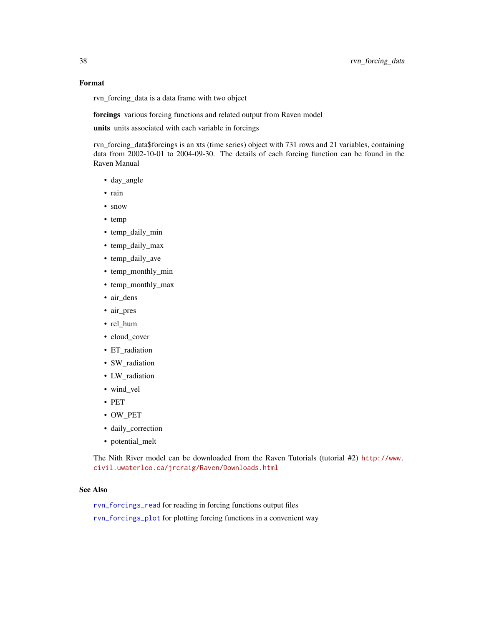# Format

rvn\_forcing\_data is a data frame with two object

forcings various forcing functions and related output from Raven model

units units associated with each variable in forcings

rvn\_forcing\_data\$forcings is an xts (time series) object with 731 rows and 21 variables, containing data from 2002-10-01 to 2004-09-30. The details of each forcing function can be found in the Raven Manual

- day\_angle
- rain
- snow
- temp
- temp\_daily\_min
- temp\_daily\_max
- temp\_daily\_ave
- temp\_monthly\_min
- temp\_monthly\_max
- air\_dens
- air\_pres
- rel\_hum
- cloud\_cover
- ET\_radiation
- SW\_radiation
- LW\_radiation
- wind\_vel
- PET
- OW\_PET
- daily\_correction
- potential\_melt

The Nith River model can be downloaded from the Raven Tutorials (tutorial #2) [http://www.](http://www.civil.uwaterloo.ca/jrcraig/Raven/Downloads.html) [civil.uwaterloo.ca/jrcraig/Raven/Downloads.html](http://www.civil.uwaterloo.ca/jrcraig/Raven/Downloads.html)

# See Also

- [rvn\\_forcings\\_read](#page-35-0) for reading in forcing functions output files
- [rvn\\_forcings\\_plot](#page-34-0) for plotting forcing functions in a convenient way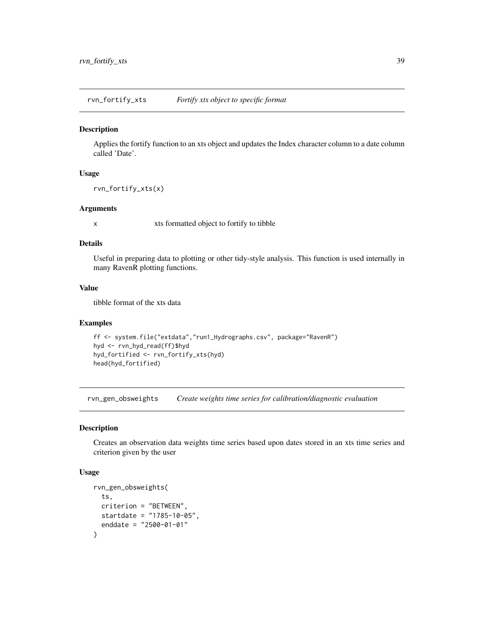rvn\_fortify\_xts *Fortify xts object to specific format*

#### **Description**

Applies the fortify function to an xts object and updates the Index character column to a date column called 'Date'.

# Usage

```
rvn_fortify_xts(x)
```
# Arguments

x xts formatted object to fortify to tibble

# Details

Useful in preparing data to plotting or other tidy-style analysis. This function is used internally in many RavenR plotting functions.

# Value

tibble format of the xts data

## Examples

```
ff <- system.file("extdata","run1_Hydrographs.csv", package="RavenR")
hyd <- rvn_hyd_read(ff)$hyd
hyd_fortified <- rvn_fortify_xts(hyd)
head(hyd_fortified)
```
rvn\_gen\_obsweights *Create weights time series for calibration/diagnostic evaluation*

# Description

Creates an observation data weights time series based upon dates stored in an xts time series and criterion given by the user

# Usage

```
rvn_gen_obsweights(
  ts,
  criterion = "BETWEEN",
 startdate = "1785-10-05",
  enddate = "2500-01-01"
)
```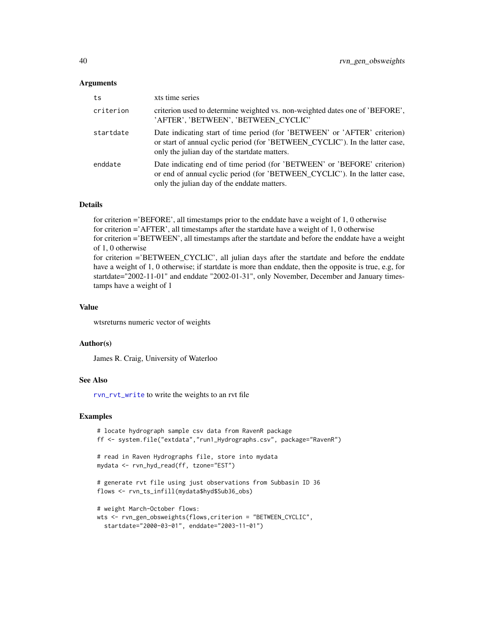#### Arguments

| ts        | xts time series                                                                                                                                                                                             |
|-----------|-------------------------------------------------------------------------------------------------------------------------------------------------------------------------------------------------------------|
| criterion | criterion used to determine weighted vs. non-weighted dates one of 'BEFORE'.<br>'AFTER', 'BETWEEN', 'BETWEEN_CYCLIC'                                                                                        |
| startdate | Date indicating start of time period (for 'BETWEEN' or 'AFTER' criterion)<br>or start of annual cyclic period (for 'BETWEEN_CYCLIC'). In the latter case,<br>only the julian day of the start date matters. |
| enddate   | Date indicating end of time period (for 'BETWEEN' or 'BEFORE' criterion)<br>or end of annual cyclic period (for 'BETWEEN_CYCLIC'). In the latter case,<br>only the julian day of the enddate matters.       |

## Details

for criterion ='BEFORE', all timestamps prior to the enddate have a weight of 1, 0 otherwise for criterion ='AFTER', all timestamps after the startdate have a weight of 1, 0 otherwise for criterion ='BETWEEN', all timestamps after the startdate and before the enddate have a weight of 1, 0 otherwise for criterion ='BETWEEN\_CYCLIC', all julian days after the startdate and before the enddate

have a weight of 1, 0 otherwise; if startdate is more than enddate, then the opposite is true, e.g, for startdate="2002-11-01" and enddate "2002-01-31", only November, December and January timestamps have a weight of 1

# Value

wtsreturns numeric vector of weights

#### Author(s)

James R. Craig, University of Waterloo

## See Also

[rvn\\_rvt\\_write](#page-94-0) to write the weights to an rvt file

```
# locate hydrograph sample csv data from RavenR package
ff <- system.file("extdata","run1_Hydrographs.csv", package="RavenR")
# read in Raven Hydrographs file, store into mydata
mydata <- rvn_hyd_read(ff, tzone="EST")
# generate rvt file using just observations from Subbasin ID 36
flows <- rvn_ts_infill(mydata$hyd$Sub36_obs)
# weight March-October flows:
wts <- rvn_gen_obsweights(flows,criterion = "BETWEEN_CYCLIC",
  startdate="2000-03-01", enddate="2003-11-01")
```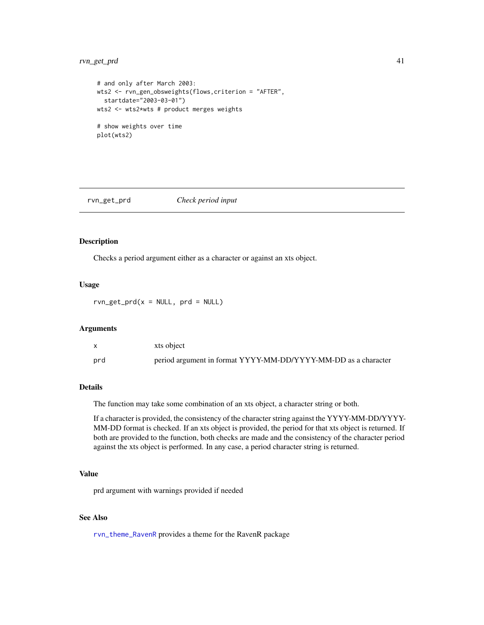# rvn\_get\_prd 41

```
# and only after March 2003:
wts2 <- rvn_gen_obsweights(flows,criterion = "AFTER",
  startdate="2003-03-01")
wts2 <- wts2*wts # product merges weights
# show weights over time
plot(wts2)
```
rvn\_get\_prd *Check period input*

# Description

Checks a period argument either as a character or against an xts object.

#### Usage

 $rvn\_get\_prd(x = NULL, prd = NULL)$ 

#### Arguments

|     | xts object                                                     |
|-----|----------------------------------------------------------------|
| prd | period argument in format YYYY-MM-DD/YYYY-MM-DD as a character |

# Details

The function may take some combination of an xts object, a character string or both.

If a character is provided, the consistency of the character string against the YYYY-MM-DD/YYYY-MM-DD format is checked. If an xts object is provided, the period for that xts object is returned. If both are provided to the function, both checks are made and the consistency of the character period against the xts object is performed. In any case, a period character string is returned.

# Value

prd argument with warnings provided if needed

# See Also

[rvn\\_theme\\_RavenR](#page-101-0) provides a theme for the RavenR package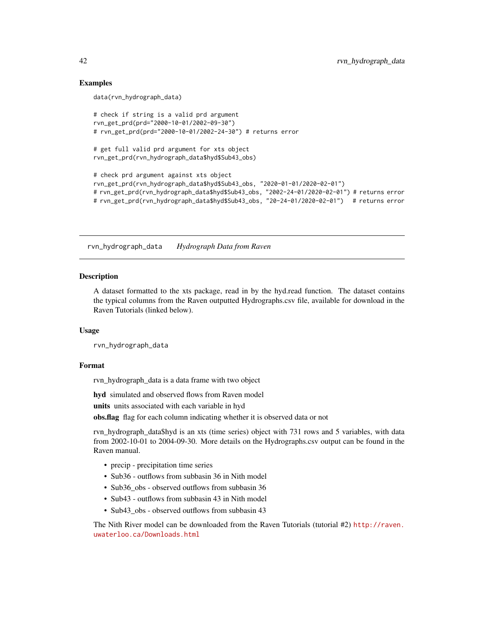# Examples

```
data(rvn_hydrograph_data)
# check if string is a valid prd argument
rvn_get_prd(prd="2000-10-01/2002-09-30")
# rvn_get_prd(prd="2000-10-01/2002-24-30") # returns error
# get full valid prd argument for xts object
rvn_get_prd(rvn_hydrograph_data$hyd$Sub43_obs)
# check prd argument against xts object
rvn_get_prd(rvn_hydrograph_data$hyd$Sub43_obs, "2020-01-01/2020-02-01")
# rvn_get_prd(rvn_hydrograph_data$hyd$Sub43_obs, "2002-24-01/2020-02-01") # returns error
# rvn_get_prd(rvn_hydrograph_data$hyd$Sub43_obs, "20-24-01/2020-02-01") # returns error
```
rvn\_hydrograph\_data *Hydrograph Data from Raven*

## Description

A dataset formatted to the xts package, read in by the hyd.read function. The dataset contains the typical columns from the Raven outputted Hydrographs.csv file, available for download in the Raven Tutorials (linked below).

# Usage

rvn\_hydrograph\_data

# Format

rvn\_hydrograph\_data is a data frame with two object

hyd simulated and observed flows from Raven model

units units associated with each variable in hyd

obs.flag flag for each column indicating whether it is observed data or not

rvn\_hydrograph\_data\$hyd is an xts (time series) object with 731 rows and 5 variables, with data from 2002-10-01 to 2004-09-30. More details on the Hydrographs.csv output can be found in the Raven manual.

- precip precipitation time series
- Sub36 outflows from subbasin 36 in Nith model
- Sub36 obs observed outflows from subbasin 36
- Sub43 outflows from subbasin 43 in Nith model
- Sub43\_obs observed outflows from subbasin 43

The Nith River model can be downloaded from the Raven Tutorials (tutorial #2) [http://raven.](http://raven.uwaterloo.ca/Downloads.html) [uwaterloo.ca/Downloads.html](http://raven.uwaterloo.ca/Downloads.html)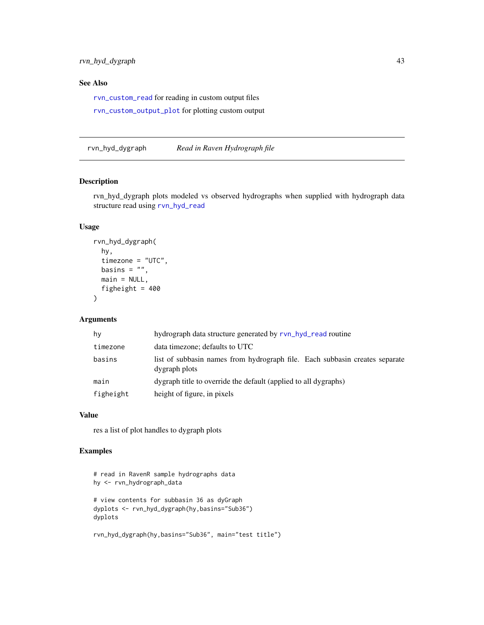# See Also

[rvn\\_custom\\_read](#page-24-0) for reading in custom output files

[rvn\\_custom\\_output\\_plot](#page-23-0) for plotting custom output

<span id="page-42-0"></span>rvn\_hyd\_dygraph *Read in Raven Hydrograph file*

# Description

rvn\_hyd\_dygraph plots modeled vs observed hydrographs when supplied with hydrograph data structure read using [rvn\\_hyd\\_read](#page-46-0)

# Usage

```
rvn_hyd_dygraph(
  hy,
  timezone = "UTC",
 basins = ",
 main = NULL,figheight = 400\lambda
```
# Arguments

| hy        | hydrograph data structure generated by rvn_hyd_read routine                                  |
|-----------|----------------------------------------------------------------------------------------------|
| timezone  | data timezone; defaults to UTC                                                               |
| basins    | list of subbasin names from hydrograph file. Each subbasin creates separate<br>dygraph plots |
| main      | dygraph title to override the default (applied to all dygraphs)                              |
| figheight | height of figure, in pixels                                                                  |

# Value

res a list of plot handles to dygraph plots

# Examples

```
# read in RavenR sample hydrographs data
hy <- rvn_hydrograph_data
# view contents for subbasin 36 as dyGraph
dyplots <- rvn_hyd_dygraph(hy,basins="Sub36")
dyplots
```
rvn\_hyd\_dygraph(hy,basins="Sub36", main="test title")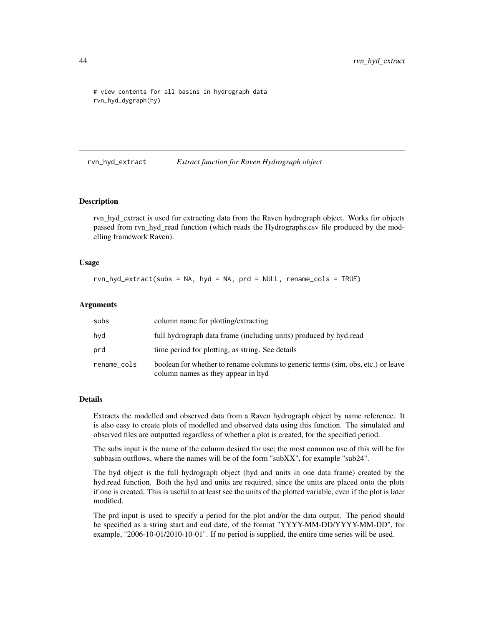```
# view contents for all basins in hydrograph data
rvn_hyd_dygraph(hy)
```
<span id="page-43-0"></span>rvn\_hyd\_extract *Extract function for Raven Hydrograph object*

#### Description

rvn\_hyd\_extract is used for extracting data from the Raven hydrograph object. Works for objects passed from rvn\_hyd\_read function (which reads the Hydrographs.csv file produced by the modelling framework Raven).

#### Usage

rvn\_hyd\_extract(subs = NA, hyd = NA, prd = NULL, rename\_cols = TRUE)

#### Arguments

| subs        | column name for plotting/extracting                                                                                    |
|-------------|------------------------------------------------------------------------------------------------------------------------|
| hyd         | full hydrograph data frame (including units) produced by hyd.read                                                      |
| prd         | time period for plotting, as string. See details                                                                       |
| rename_cols | boolean for whether to rename columns to generic terms (sim, obs, etc.) or leave<br>column names as they appear in hyd |

## Details

Extracts the modelled and observed data from a Raven hydrograph object by name reference. It is also easy to create plots of modelled and observed data using this function. The simulated and observed files are outputted regardless of whether a plot is created, for the specified period.

The subs input is the name of the column desired for use; the most common use of this will be for subbasin outflows, where the names will be of the form "subXX", for example "sub24".

The hyd object is the full hydrograph object (hyd and units in one data frame) created by the hyd.read function. Both the hyd and units are required, since the units are placed onto the plots if one is created. This is useful to at least see the units of the plotted variable, even if the plot is later modified.

The prd input is used to specify a period for the plot and/or the data output. The period should be specified as a string start and end date, of the format "YYYY-MM-DD/YYYY-MM-DD", for example, "2006-10-01/2010-10-01". If no period is supplied, the entire time series will be used.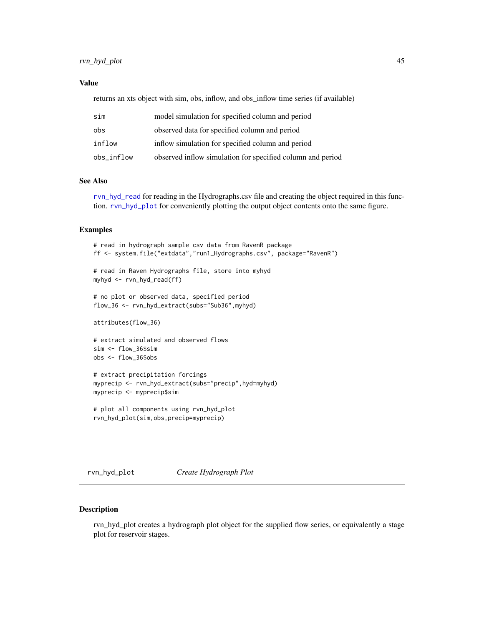# rvn\_hyd\_plot 45

## Value

returns an xts object with sim, obs, inflow, and obs\_inflow time series (if available)

| sim        | model simulation for specified column and period           |
|------------|------------------------------------------------------------|
| obs        | observed data for specified column and period              |
| inflow     | inflow simulation for specified column and period          |
| obs_inflow | observed inflow simulation for specified column and period |

# See Also

[rvn\\_hyd\\_read](#page-46-0) for reading in the Hydrographs.csv file and creating the object required in this function. [rvn\\_hyd\\_plot](#page-44-0) for conveniently plotting the output object contents onto the same figure.

# Examples

```
# read in hydrograph sample csv data from RavenR package
ff <- system.file("extdata","run1_Hydrographs.csv", package="RavenR")
# read in Raven Hydrographs file, store into myhyd
myhyd <- rvn_hyd_read(ff)
# no plot or observed data, specified period
flow_36 <- rvn_hyd_extract(subs="Sub36",myhyd)
attributes(flow_36)
# extract simulated and observed flows
sim <- flow_36$sim
obs <- flow_36$obs
```

```
# extract precipitation forcings
myprecip <- rvn_hyd_extract(subs="precip",hyd=myhyd)
myprecip <- myprecip$sim
```

```
# plot all components using rvn_hyd_plot
rvn_hyd_plot(sim,obs,precip=myprecip)
```
<span id="page-44-0"></span>rvn\_hyd\_plot *Create Hydrograph Plot*

## Description

rvn\_hyd\_plot creates a hydrograph plot object for the supplied flow series, or equivalently a stage plot for reservoir stages.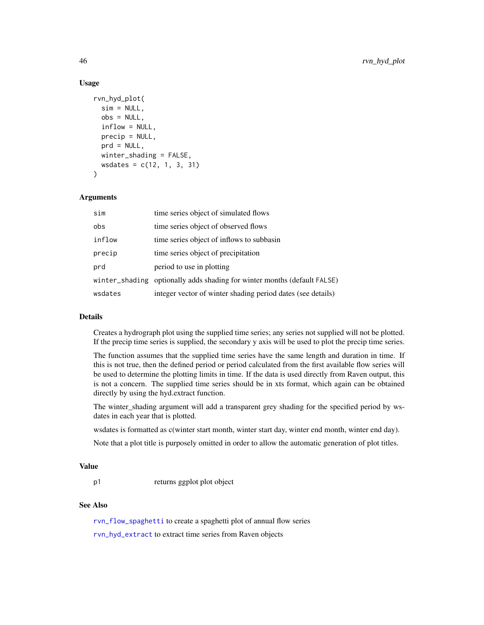## Usage

```
rvn_hyd_plot(
  sim = NULL,obs = NULL,inflow = NULL,
 precip = NULL,
 prd = NULL,
 winter_shading = FALSE,
 wsdates = c(12, 1, 3, 31)
\lambda
```
#### Arguments

| sim     | time series object of simulated flows                                    |
|---------|--------------------------------------------------------------------------|
| obs     | time series object of observed flows                                     |
| inflow  | time series object of inflows to subbasin                                |
| precip  | time series object of precipitation                                      |
| prd     | period to use in plotting                                                |
|         | winter_shading optionally adds shading for winter months (default FALSE) |
| wsdates | integer vector of winter shading period dates (see details)              |

# Details

Creates a hydrograph plot using the supplied time series; any series not supplied will not be plotted. If the precip time series is supplied, the secondary y axis will be used to plot the precip time series.

The function assumes that the supplied time series have the same length and duration in time. If this is not true, then the defined period or period calculated from the first available flow series will be used to determine the plotting limits in time. If the data is used directly from Raven output, this is not a concern. The supplied time series should be in xts format, which again can be obtained directly by using the hyd.extract function.

The winter\_shading argument will add a transparent grey shading for the specified period by wsdates in each year that is plotted.

wsdates is formatted as c(winter start month, winter start day, winter end month, winter end day).

Note that a plot title is purposely omitted in order to allow the automatic generation of plot titles.

#### Value

p1 returns ggplot plot object

# See Also

[rvn\\_flow\\_spaghetti](#page-33-0) to create a spaghetti plot of annual flow series

[rvn\\_hyd\\_extract](#page-43-0) to extract time series from Raven objects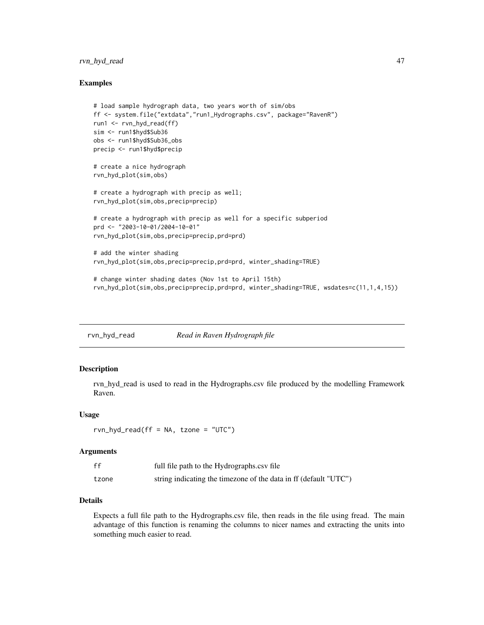# rvn\_hyd\_read 47

## Examples

```
# load sample hydrograph data, two years worth of sim/obs
ff <- system.file("extdata","run1_Hydrographs.csv", package="RavenR")
run1 <- rvn_hyd_read(ff)
sim <- run1$hyd$Sub36
obs <- run1$hyd$Sub36_obs
precip <- run1$hyd$precip
# create a nice hydrograph
rvn_hyd_plot(sim,obs)
# create a hydrograph with precip as well;
rvn_hyd_plot(sim,obs,precip=precip)
# create a hydrograph with precip as well for a specific subperiod
prd <- "2003-10-01/2004-10-01"
rvn_hyd_plot(sim,obs,precip=precip,prd=prd)
# add the winter shading
rvn_hyd_plot(sim,obs,precip=precip,prd=prd, winter_shading=TRUE)
# change winter shading dates (Nov 1st to April 15th)
```
rvn\_hyd\_plot(sim,obs,precip=precip,prd=prd, winter\_shading=TRUE, wsdates=c(11,1,4,15))

<span id="page-46-0"></span>rvn\_hyd\_read *Read in Raven Hydrograph file*

# Description

rvn\_hyd\_read is used to read in the Hydrographs.csv file produced by the modelling Framework Raven.

## Usage

```
rvn_{dyd} read(ff = NA, tzone = "UTC")
```
### Arguments

| ff    | full file path to the Hydrographs.csv file                       |
|-------|------------------------------------------------------------------|
| tzone | string indicating the timezone of the data in ff (default "UTC") |

# Details

Expects a full file path to the Hydrographs.csv file, then reads in the file using fread. The main advantage of this function is renaming the columns to nicer names and extracting the units into something much easier to read.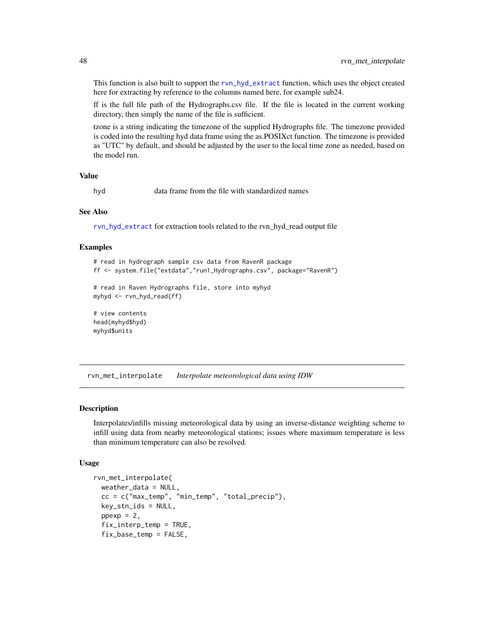This function is also built to support the [rvn\\_hyd\\_extract](#page-43-0) function, which uses the object created here for extracting by reference to the columns named here, for example sub24.

ff is the full file path of the Hydrographs.csv file. If the file is located in the current working directory, then simply the name of the file is sufficient.

tzone is a string indicating the timezone of the supplied Hydrographs file. The timezone provided is coded into the resulting hyd data frame using the as.POSIXct function. The timezone is provided as "UTC" by default, and should be adjusted by the user to the local time zone as needed, based on the model run.

## Value

hyd data frame from the file with standardized names

#### See Also

[rvn\\_hyd\\_extract](#page-43-0) for extraction tools related to the rvn\_hyd\_read output file

#### Examples

```
# read in hydrograph sample csv data from RavenR package
ff <- system.file("extdata","run1_Hydrographs.csv", package="RavenR")
```

```
# read in Raven Hydrographs file, store into myhyd
myhyd <- rvn_hyd_read(ff)
```

```
# view contents
head(myhyd$hyd)
myhyd$units
```
rvn\_met\_interpolate *Interpolate meteorological data using IDW*

#### Description

Interpolates/infills missing meteorological data by using an inverse-distance weighting scheme to infill using data from nearby meteorological stations; issues where maximum temperature is less than minimum temperature can also be resolved.

#### Usage

```
rvn_met_interpolate(
  weather_data = NULL,
  cc = c("max_temp", "min_temp", "total_precip"),
  key\_stn\_ids = NULL,ppexp = 2,
  fix_interp_temp = TRUE,
  fix_base_temp = FALSE,
```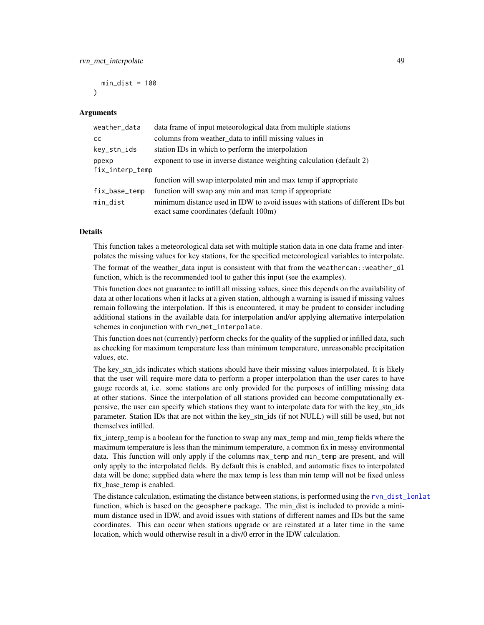$min\_dist = 100$  $\lambda$ 

## Arguments

| weather_data    | data frame of input meteorological data from multiple stations                  |
|-----------------|---------------------------------------------------------------------------------|
| <sub>CC</sub>   | columns from weather_data to infill missing values in                           |
| key_stn_ids     | station IDs in which to perform the interpolation                               |
| ppexp           | exponent to use in inverse distance weighting calculation (default 2)           |
| fix_interp_temp |                                                                                 |
|                 | function will swap interpolated min and max temp if appropriate                 |
| fix_base_temp   | function will swap any min and max temp if appropriate                          |
| min_dist        | minimum distance used in IDW to avoid issues with stations of different IDs but |
|                 | exact same coordinates (default 100m)                                           |

#### Details

This function takes a meteorological data set with multiple station data in one data frame and interpolates the missing values for key stations, for the specified meteorological variables to interpolate.

The format of the weather\_data input is consistent with that from the weathercan::weather\_dl function, which is the recommended tool to gather this input (see the examples).

This function does not guarantee to infill all missing values, since this depends on the availability of data at other locations when it lacks at a given station, although a warning is issued if missing values remain following the interpolation. If this is encountered, it may be prudent to consider including additional stations in the available data for interpolation and/or applying alternative interpolation schemes in conjunction with rvn\_met\_interpolate.

This function does not (currently) perform checks for the quality of the supplied or infilled data, such as checking for maximum temperature less than minimum temperature, unreasonable precipitation values, etc.

The key\_stn\_ids indicates which stations should have their missing values interpolated. It is likely that the user will require more data to perform a proper interpolation than the user cares to have gauge records at, i.e. some stations are only provided for the purposes of infilling missing data at other stations. Since the interpolation of all stations provided can become computationally expensive, the user can specify which stations they want to interpolate data for with the key\_stn\_ids parameter. Station IDs that are not within the key stn\_ids (if not NULL) will still be used, but not themselves infilled.

fix\_interp\_temp is a boolean for the function to swap any max\_temp and min\_temp fields where the maximum temperature is less than the minimum temperature, a common fix in messy environmental data. This function will only apply if the columns max\_temp and min\_temp are present, and will only apply to the interpolated fields. By default this is enabled, and automatic fixes to interpolated data will be done; supplied data where the max temp is less than min temp will not be fixed unless fix\_base\_temp is enabled.

The distance calculation, estimating the distance between stations, is performed using the [rvn\\_dist\\_lonlat](#page-26-0) function, which is based on the geosphere package. The min dist is included to provide a minimum distance used in IDW, and avoid issues with stations of different names and IDs but the same coordinates. This can occur when stations upgrade or are reinstated at a later time in the same location, which would otherwise result in a div/0 error in the IDW calculation.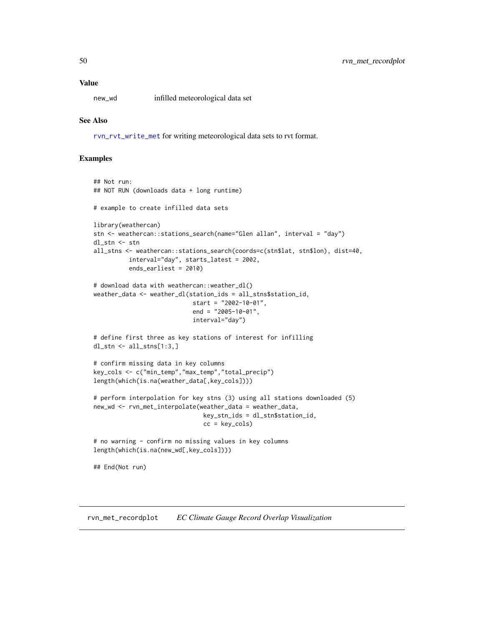## Value

new\_wd infilled meteorological data set

## See Also

[rvn\\_rvt\\_write\\_met](#page-95-0) for writing meteorological data sets to rvt format.

## Examples

```
## Not run:
## NOT RUN (downloads data + long runtime)
# example to create infilled data sets
library(weathercan)
stn <- weathercan::stations_search(name="Glen allan", interval = "day")
dl_stn <- stn
all_stns <- weathercan::stations_search(coords=c(stn$lat, stn$lon), dist=40,
          interval="day", starts_latest = 2002,
          ends_earliest = 2010)
# download data with weathercan::weather_dl()
weather_data <- weather_dl(station_ids = all_stns$station_id,
                            start = "2002-10-01",
                            end = "2005-10-01",interval="day")
# define first three as key stations of interest for infilling
dl_stn <- all_stns[1:3,]
# confirm missing data in key columns
key_cols <- c("min_temp","max_temp","total_precip")
length(which(is.na(weather_data[,key_cols])))
# perform interpolation for key stns (3) using all stations downloaded (5)
new_wd <- rvn_met_interpolate(weather_data = weather_data,
                               key_stn_ids = dl_stn$station_id,
                               cc = key\_cols# no warning - confirm no missing values in key columns
length(which(is.na(new_wd[,key_cols])))
## End(Not run)
```
rvn\_met\_recordplot *EC Climate Gauge Record Overlap Visualization*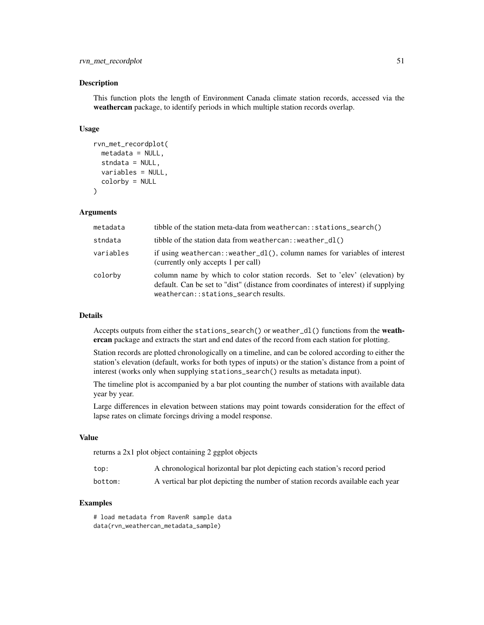# rvn\_met\_recordplot 51

### Description

This function plots the length of Environment Canada climate station records, accessed via the weathercan package, to identify periods in which multiple station records overlap.

## Usage

```
rvn_met_recordplot(
 metadata = NULL,
  stndata = NULL,
 variables = NULL,
  colorby = NULL
)
```
## Arguments

| metadata  | (ibble of the station meta-data from weathercan: : stations_search()                                                                                                                                      |
|-----------|-----------------------------------------------------------------------------------------------------------------------------------------------------------------------------------------------------------|
| stndata   | tibble of the station data from weathercan: : weather_dl()                                                                                                                                                |
| variables | if using weathercan: : weather_dl(), column names for variables of interest<br>(currently only accepts 1 per call)                                                                                        |
| colorby   | column name by which to color station records. Set to 'elev' (elevation) by<br>default. Can be set to "dist" (distance from coordinates of interest) if supplying<br>weathercan::stations_search results. |

# Details

Accepts outputs from either the stations\_search() or weather\_dl() functions from the weathercan package and extracts the start and end dates of the record from each station for plotting.

Station records are plotted chronologically on a timeline, and can be colored according to either the station's elevation (default, works for both types of inputs) or the station's distance from a point of interest (works only when supplying stations\_search() results as metadata input).

The timeline plot is accompanied by a bar plot counting the number of stations with available data year by year.

Large differences in elevation between stations may point towards consideration for the effect of lapse rates on climate forcings driving a model response.

## Value

returns a 2x1 plot object containing 2 ggplot objects

bottom: A vertical bar plot depicting the number of station records available each year

# Examples

# load metadata from RavenR sample data data(rvn\_weathercan\_metadata\_sample)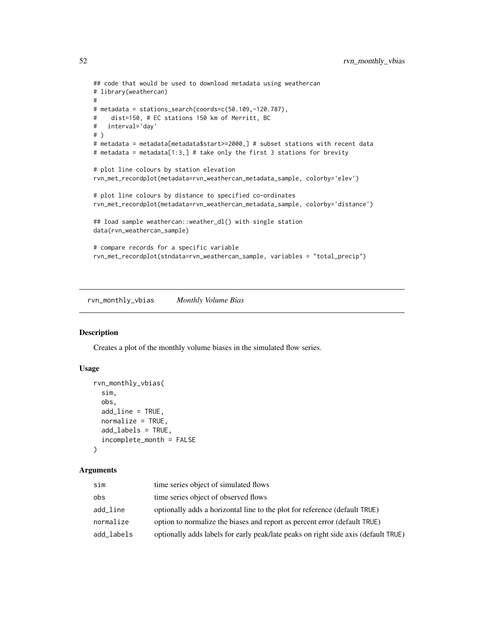```
## code that would be used to download metadata using weathercan
# library(weathercan)
#
# metadata = stations_search(coords=c(50.109,-120.787),
# dist=150, # EC stations 150 km of Merritt, BC
# interval='day'
# )
# metadata = metadata[metadata$start>=2000,] # subset stations with recent data
# metadata = metadata[1:3,] # take only the first 3 stations for brevity
# plot line colours by station elevation
rvn_met_recordplot(metadata=rvn_weathercan_metadata_sample, colorby='elev')
# plot line colours by distance to specified co-ordinates
rvn_met_recordplot(metadata=rvn_weathercan_metadata_sample, colorby='distance')
## load sample weathercan::weather_dl() with single station
data(rvn_weathercan_sample)
# compare records for a specific variable
rvn_met_recordplot(stndata=rvn_weathercan_sample, variables = "total_precip")
```
rvn\_monthly\_vbias *Monthly Volume Bias*

## Description

Creates a plot of the monthly volume biases in the simulated flow series.

## Usage

```
rvn_monthly_vbias(
  sim,
  obs,
  add_line = TRUE,
  normalize = TRUE,
  add_labels = TRUE,
  incomplete_month = FALSE
)
```
#### **Arguments**

| sim        | time series object of simulated flows                                              |
|------------|------------------------------------------------------------------------------------|
| obs        | time series object of observed flows                                               |
| add_line   | optionally adds a horizontal line to the plot for reference (default TRUE)         |
| normalize  | option to normalize the biases and report as percent error (default TRUE)          |
| add_labels | optionally adds labels for early peak/late peaks on right side axis (default TRUE) |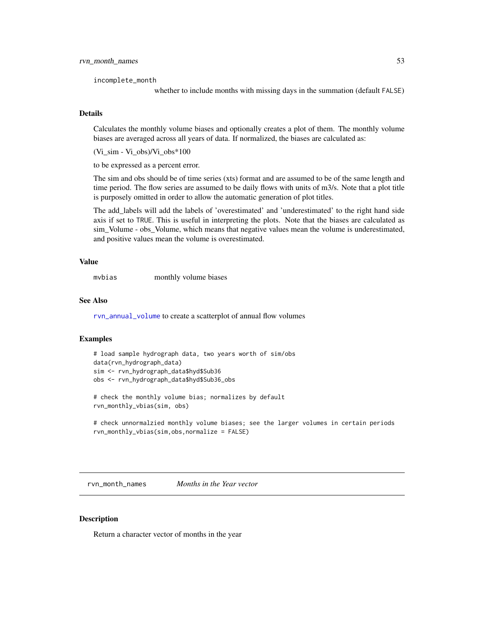## rvn\_month\_names 53

incomplete\_month

whether to include months with missing days in the summation (default FALSE)

# Details

Calculates the monthly volume biases and optionally creates a plot of them. The monthly volume biases are averaged across all years of data. If normalized, the biases are calculated as:

(Vi\_sim - Vi\_obs)/Vi\_obs\*100

to be expressed as a percent error.

The sim and obs should be of time series (xts) format and are assumed to be of the same length and time period. The flow series are assumed to be daily flows with units of m3/s. Note that a plot title is purposely omitted in order to allow the automatic generation of plot titles.

The add\_labels will add the labels of 'overestimated' and 'underestimated' to the right hand side axis if set to TRUE. This is useful in interpreting the plots. Note that the biases are calculated as sim\_Volume - obs\_Volume, which means that negative values mean the volume is underestimated, and positive values mean the volume is overestimated.

#### Value

mvbias monthly volume biases

#### See Also

[rvn\\_annual\\_volume](#page-14-0) to create a scatterplot of annual flow volumes

#### Examples

```
# load sample hydrograph data, two years worth of sim/obs
data(rvn_hydrograph_data)
sim <- rvn_hydrograph_data$hyd$Sub36
obs <- rvn_hydrograph_data$hyd$Sub36_obs
```
# check the monthly volume bias; normalizes by default rvn\_monthly\_vbias(sim, obs)

```
# check unnormalzied monthly volume biases; see the larger volumes in certain periods
rvn_monthly_vbias(sim,obs,normalize = FALSE)
```
rvn\_month\_names *Months in the Year vector*

## **Description**

Return a character vector of months in the year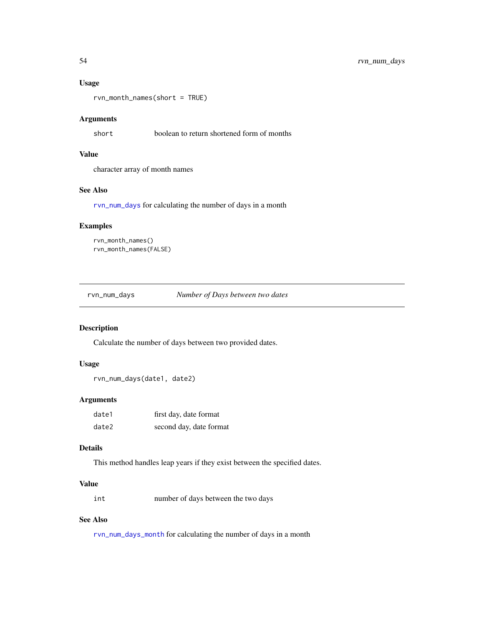# Usage

rvn\_month\_names(short = TRUE)

# Arguments

short boolean to return shortened form of months

# Value

character array of month names

# See Also

[rvn\\_num\\_days](#page-53-0) for calculating the number of days in a month

# Examples

```
rvn_month_names()
rvn_month_names(FALSE)
```
<span id="page-53-0"></span>rvn\_num\_days *Number of Days between two dates*

## Description

Calculate the number of days between two provided dates.

# Usage

rvn\_num\_days(date1, date2)

## Arguments

| date1 | first day, date format  |
|-------|-------------------------|
| date2 | second day, date format |

# Details

This method handles leap years if they exist between the specified dates.

# Value

int number of days between the two days

# See Also

[rvn\\_num\\_days\\_month](#page-54-0) for calculating the number of days in a month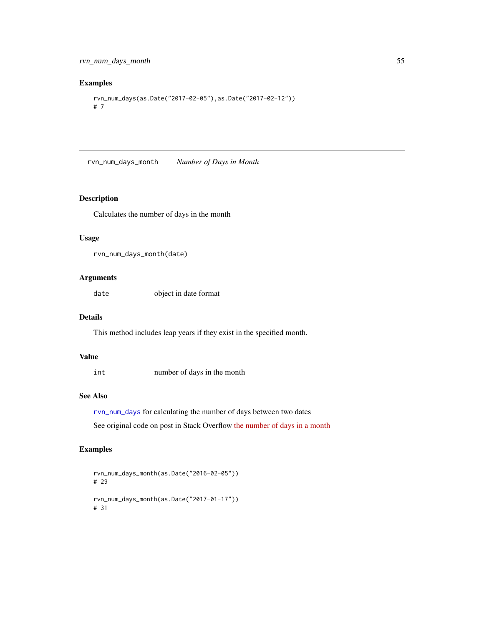# Examples

```
rvn_num_days(as.Date("2017-02-05"),as.Date("2017-02-12"))
# 7
```
<span id="page-54-0"></span>rvn\_num\_days\_month *Number of Days in Month*

# Description

Calculates the number of days in the month

# Usage

```
rvn_num_days_month(date)
```
# Arguments

date object in date format

# Details

This method includes leap years if they exist in the specified month.

# Value

int number of days in the month

# See Also

[rvn\\_num\\_days](#page-53-0) for calculating the number of days between two dates See original code on post in Stack Overflow [the number of days in a month](http://stackoverflow.com/questions/6243088/find-out-the-number-of-days-of-a-month-in-rfind)

```
rvn_num_days_month(as.Date("2016-02-05"))
# 29
rvn_num_days_month(as.Date("2017-01-17"))
# 31
```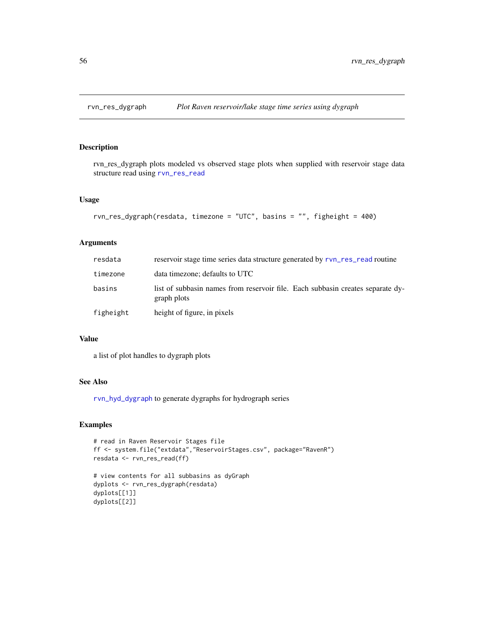# Description

rvn\_res\_dygraph plots modeled vs observed stage plots when supplied with reservoir stage data structure read using [rvn\\_res\\_read](#page-59-0)

# Usage

```
rvn_res_dygraph(resdata, timezone = "UTC", basins = "", figheight = 400)
```
# Arguments

| resdata   | reservoir stage time series data structure generated by rvn_res_read routine                  |
|-----------|-----------------------------------------------------------------------------------------------|
| timezone  | data timezone; defaults to UTC                                                                |
| basins    | list of subbasin names from reservoir file. Each subbasin creates separate dy-<br>graph plots |
| figheight | height of figure, in pixels                                                                   |

# Value

a list of plot handles to dygraph plots

# See Also

[rvn\\_hyd\\_dygraph](#page-42-0) to generate dygraphs for hydrograph series

```
# read in Raven Reservoir Stages file
ff <- system.file("extdata","ReservoirStages.csv", package="RavenR")
resdata <- rvn_res_read(ff)
```

```
# view contents for all subbasins as dyGraph
dyplots <- rvn_res_dygraph(resdata)
dyplots[[1]]
dyplots[[2]]
```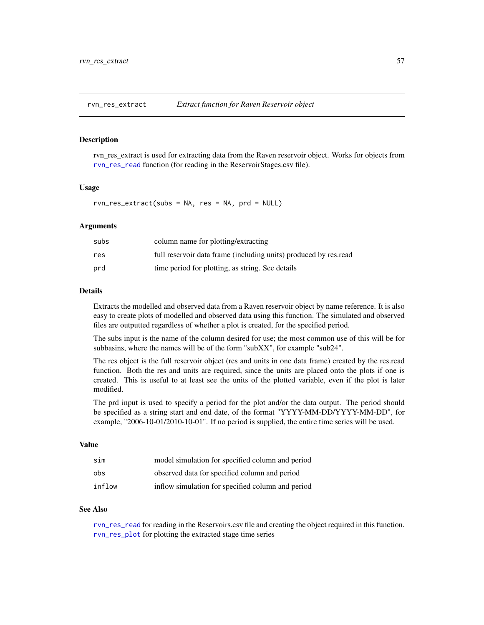<span id="page-56-0"></span>

#### Description

rvn\_res\_extract is used for extracting data from the Raven reservoir object. Works for objects from [rvn\\_res\\_read](#page-59-0) function (for reading in the ReservoirStages.csv file).

#### Usage

rvn\_res\_extract(subs = NA, res = NA, prd = NULL)

#### Arguments

| subs | column name for plotting/extracting                              |
|------|------------------------------------------------------------------|
| res  | full reservoir data frame (including units) produced by res.read |
| prd  | time period for plotting, as string. See details                 |

# Details

Extracts the modelled and observed data from a Raven reservoir object by name reference. It is also easy to create plots of modelled and observed data using this function. The simulated and observed files are outputted regardless of whether a plot is created, for the specified period.

The subs input is the name of the column desired for use; the most common use of this will be for subbasins, where the names will be of the form "subXX", for example "sub24".

The res object is the full reservoir object (res and units in one data frame) created by the res.read function. Both the res and units are required, since the units are placed onto the plots if one is created. This is useful to at least see the units of the plotted variable, even if the plot is later modified.

The prd input is used to specify a period for the plot and/or the data output. The period should be specified as a string start and end date, of the format "YYYY-MM-DD/YYYY-MM-DD", for example, "2006-10-01/2010-10-01". If no period is supplied, the entire time series will be used.

# Value

| sim    | model simulation for specified column and period  |
|--------|---------------------------------------------------|
| obs    | observed data for specified column and period     |
| inflow | inflow simulation for specified column and period |

## See Also

[rvn\\_res\\_read](#page-59-0) for reading in the Reservoirs.csv file and creating the object required in this function. [rvn\\_res\\_plot](#page-57-0) for plotting the extracted stage time series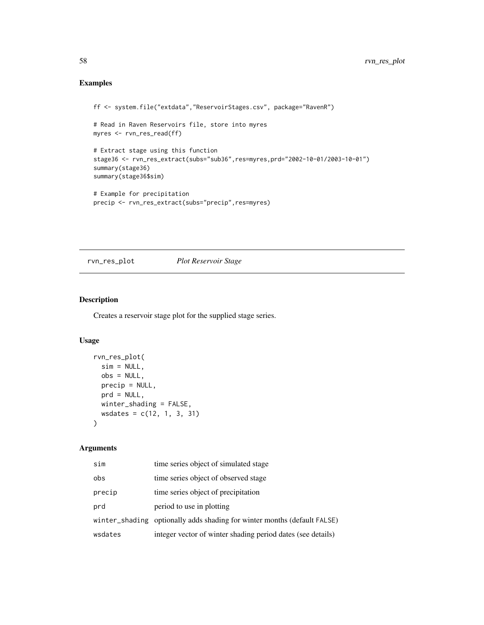# Examples

```
ff <- system.file("extdata","ReservoirStages.csv", package="RavenR")
# Read in Raven Reservoirs file, store into myres
myres <- rvn_res_read(ff)
# Extract stage using this function
stage36 <- rvn_res_extract(subs="sub36",res=myres,prd="2002-10-01/2003-10-01")
summary(stage36)
summary(stage36$sim)
# Example for precipitation
precip <- rvn_res_extract(subs="precip",res=myres)
```
# <span id="page-57-0"></span>rvn\_res\_plot *Plot Reservoir Stage*

# Description

Creates a reservoir stage plot for the supplied stage series.

## Usage

```
rvn_res_plot(
  sim = NULL,obs = NULL,precip = NULL,
 prd = NULL,
 winter_shading = FALSE,
 wsdates = c(12, 1, 3, 31)
\mathcal{L}
```
## Arguments

| sim     | time series object of simulated stage                                    |
|---------|--------------------------------------------------------------------------|
| obs     | time series object of observed stage                                     |
| precip  | time series object of precipitation                                      |
| prd     | period to use in plotting                                                |
|         | winter_shading optionally adds shading for winter months (default FALSE) |
| wsdates | integer vector of winter shading period dates (see details)              |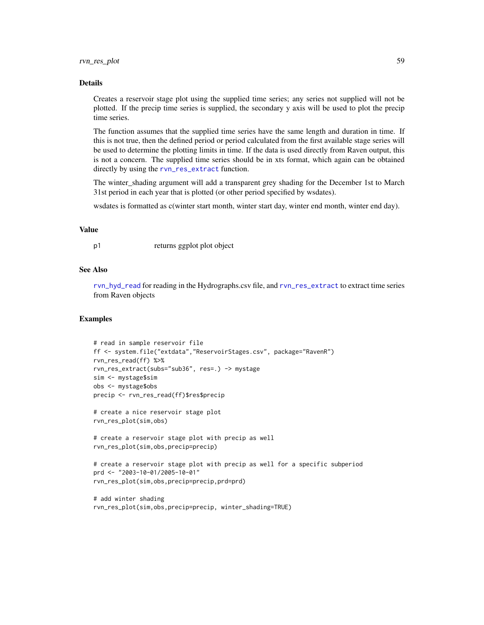#### Details

Creates a reservoir stage plot using the supplied time series; any series not supplied will not be plotted. If the precip time series is supplied, the secondary y axis will be used to plot the precip time series.

The function assumes that the supplied time series have the same length and duration in time. If this is not true, then the defined period or period calculated from the first available stage series will be used to determine the plotting limits in time. If the data is used directly from Raven output, this is not a concern. The supplied time series should be in xts format, which again can be obtained directly by using the [rvn\\_res\\_extract](#page-56-0) function.

The winter\_shading argument will add a transparent grey shading for the December 1st to March 31st period in each year that is plotted (or other period specified by wsdates).

wsdates is formatted as c(winter start month, winter start day, winter end month, winter end day).

# Value

p1 returns ggplot plot object

# See Also

[rvn\\_hyd\\_read](#page-46-0) for reading in the Hydrographs.csv file, and [rvn\\_res\\_extract](#page-56-0) to extract time series from Raven objects

```
# read in sample reservoir file
ff <- system.file("extdata","ReservoirStages.csv", package="RavenR")
rvn_res_read(ff) %>%
rvn_res_extract(subs="sub36", res=.) -> mystage
sim <- mystage$sim
obs <- mystage$obs
precip <- rvn_res_read(ff)$res$precip
# create a nice reservoir stage plot
rvn_res_plot(sim,obs)
```

```
# create a reservoir stage plot with precip as well
rvn_res_plot(sim,obs,precip=precip)
```

```
# create a reservoir stage plot with precip as well for a specific subperiod
prd <- "2003-10-01/2005-10-01"
rvn_res_plot(sim,obs,precip=precip,prd=prd)
```

```
# add winter shading
rvn_res_plot(sim,obs,precip=precip, winter_shading=TRUE)
```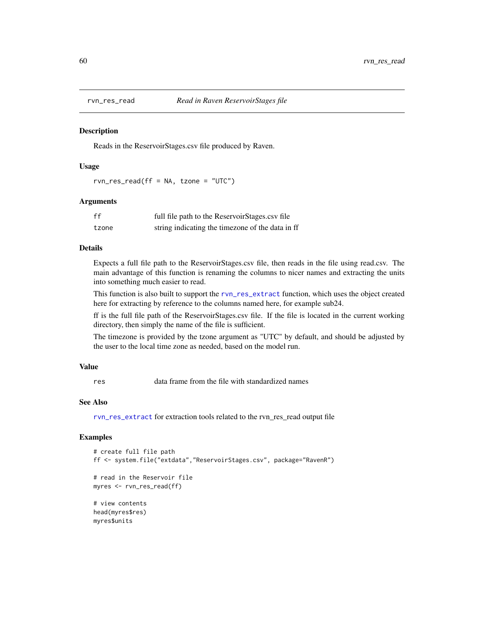<span id="page-59-0"></span>

#### **Description**

Reads in the ReservoirStages.csv file produced by Raven.

## Usage

rvn\_res\_read(ff = NA, tzone = "UTC")

#### Arguments

| ff    | full file path to the ReservoirStages.csv file   |
|-------|--------------------------------------------------|
| tzone | string indicating the timezone of the data in ff |

# Details

Expects a full file path to the ReservoirStages.csv file, then reads in the file using read.csv. The main advantage of this function is renaming the columns to nicer names and extracting the units into something much easier to read.

This function is also built to support the [rvn\\_res\\_extract](#page-56-0) function, which uses the object created here for extracting by reference to the columns named here, for example sub24.

ff is the full file path of the ReservoirStages.csv file. If the file is located in the current working directory, then simply the name of the file is sufficient.

The timezone is provided by the tzone argument as "UTC" by default, and should be adjusted by the user to the local time zone as needed, based on the model run.

#### Value

res data frame from the file with standardized names

# See Also

[rvn\\_res\\_extract](#page-56-0) for extraction tools related to the rvn\_res\_read output file

#### Examples

```
# create full file path
ff <- system.file("extdata","ReservoirStages.csv", package="RavenR")
# read in the Reservoir file
myres <- rvn_res_read(ff)
# view contents
head(myres$res)
```
myres\$units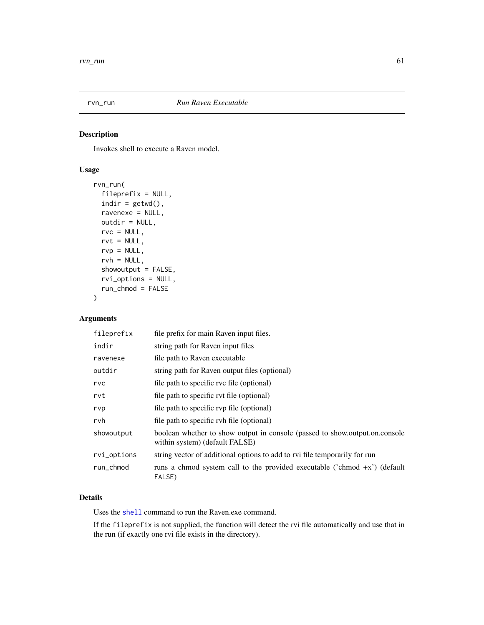# Description

Invokes shell to execute a Raven model.

# Usage

```
rvn_run(
 fileprefix = NULL,
 indir = getwd(),ravenexe = NULL,
 outdir = NULL,rvc = NULL,rvt = NULL,rvp = NULL,rvh = NULL,showoutput = FALSE,
 rvi_options = NULL,
 run_chmod = FALSE
)
```
# Arguments

| fileprefix  | file prefix for main Raven input files.                                                                       |
|-------------|---------------------------------------------------------------------------------------------------------------|
| indir       | string path for Raven input files                                                                             |
| ravenexe    | file path to Raven executable                                                                                 |
| outdir      | string path for Raven output files (optional)                                                                 |
| rvc         | file path to specific rvc file (optional)                                                                     |
| rvt         | file path to specific rvt file (optional)                                                                     |
| rvp         | file path to specific rvp file (optional)                                                                     |
| rvh         | file path to specific rvh file (optional)                                                                     |
| showoutput  | boolean whether to show output in console (passed to show.output.on.console<br>within system) (default FALSE) |
| rvi_options | string vector of additional options to add to rvi file temporarily for run                                    |
| run_chmod   | runs a chmod system call to the provided executable ('chmod $+x$ ') (default<br>FALSE)                        |

# Details

Uses the [shell](#page-0-0) command to run the Raven.exe command.

If the fileprefix is not supplied, the function will detect the rvi file automatically and use that in the run (if exactly one rvi file exists in the directory).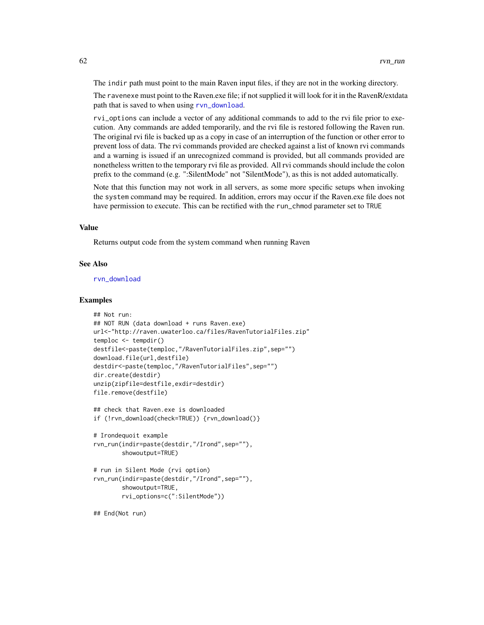The indir path must point to the main Raven input files, if they are not in the working directory.

The ravenexe must point to the Raven.exe file; if not supplied it will look for it in the RavenR/extdata path that is saved to when using [rvn\\_download](#page-27-0).

rvi\_options can include a vector of any additional commands to add to the rvi file prior to execution. Any commands are added temporarily, and the rvi file is restored following the Raven run. The original rvi file is backed up as a copy in case of an interruption of the function or other error to prevent loss of data. The rvi commands provided are checked against a list of known rvi commands and a warning is issued if an unrecognized command is provided, but all commands provided are nonetheless written to the temporary rvi file as provided. All rvi commands should include the colon prefix to the command (e.g. ":SilentMode" not "SilentMode"), as this is not added automatically.

Note that this function may not work in all servers, as some more specific setups when invoking the system command may be required. In addition, errors may occur if the Raven.exe file does not have permission to execute. This can be rectified with the run\_chmod parameter set to TRUE

#### Value

Returns output code from the system command when running Raven

#### See Also

[rvn\\_download](#page-27-0)

#### Examples

```
## Not run:
## NOT RUN (data download + runs Raven.exe)
url<-"http://raven.uwaterloo.ca/files/RavenTutorialFiles.zip"
temploc <- tempdir()
destfile<-paste(temploc,"/RavenTutorialFiles.zip",sep="")
download.file(url,destfile)
destdir<-paste(temploc,"/RavenTutorialFiles",sep="")
dir.create(destdir)
unzip(zipfile=destfile,exdir=destdir)
file.remove(destfile)
```

```
## check that Raven.exe is downloaded
if (!rvn_download(check=TRUE)) {rvn_download()}
```

```
# Irondequoit example
rvn_run(indir=paste(destdir,"/Irond",sep=""),
       showoutput=TRUE)
```

```
# run in Silent Mode (rvi option)
rvn_run(indir=paste(destdir,"/Irond",sep=""),
       showoutput=TRUE,
       rvi_options=c(":SilentMode"))
```
## End(Not run)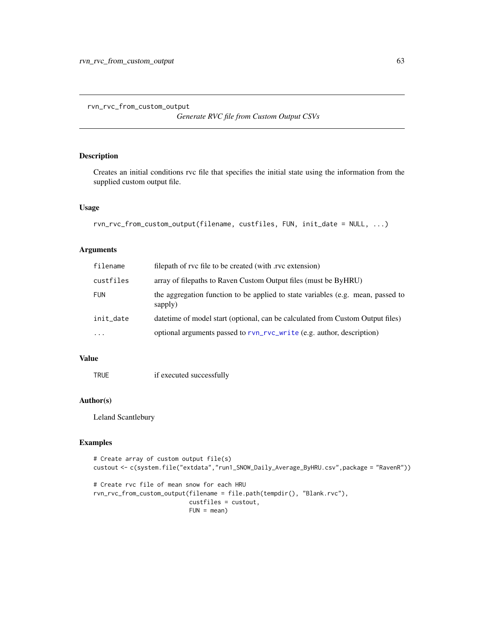```
rvn_rvc_from_custom_output
```
*Generate RVC file from Custom Output CSVs*

# Description

Creates an initial conditions rvc file that specifies the initial state using the information from the supplied custom output file.

# Usage

```
rvn_rvc_from_custom_output(filename, custfiles, FUN, init_date = NULL, ...)
```
## Arguments

| filename   | filepath of rvc file to be created (with rvc extension)                                    |
|------------|--------------------------------------------------------------------------------------------|
| custfiles  | array of filepaths to Raven Custom Output files (must be ByHRU)                            |
| <b>FUN</b> | the aggregation function to be applied to state variables (e.g. mean, passed to<br>sapply) |
| init_date  | date time of model start (optional, can be calculated from Custom Output files)            |
| $\ddotsc$  | optional arguments passed to rvn_rvc_write (e.g. author, description)                      |

## Value

TRUE if executed successfully

# Author(s)

Leland Scantlebury

```
# Create array of custom output file(s)
custout <- c(system.file("extdata","run1_SNOW_Daily_Average_ByHRU.csv",package = "RavenR"))
# Create rvc file of mean snow for each HRU
rvn_rvc_from_custom_output(filename = file.path(tempdir(), "Blank.rvc"),
                           custfiles = custout,
                           FUN = mean)
```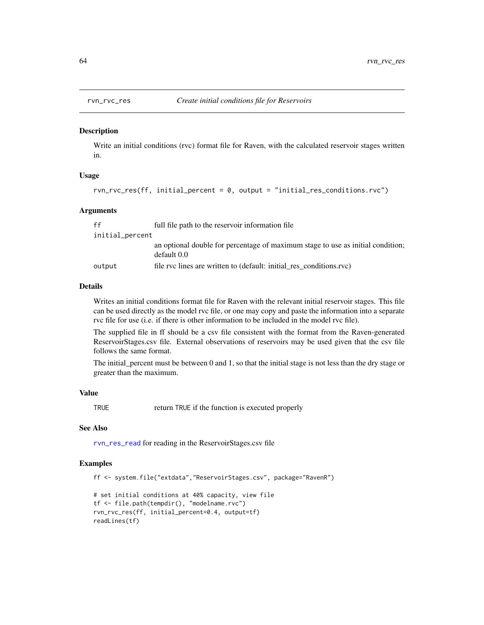<span id="page-63-0"></span>

#### Description

Write an initial conditions (rvc) format file for Raven, with the calculated reservoir stages written in.

#### Usage

```
rvn_rvc_res(ff, initial_percent = 0, output = "initial_res_conditions.rvc")
```
#### Arguments

| ff              | full file path to the reservoir information file                                               |
|-----------------|------------------------------------------------------------------------------------------------|
| initial_percent |                                                                                                |
|                 | an optional double for percentage of maximum stage to use as initial condition;<br>default 0.0 |
| output          | file rvc lines are written to (default: initial res conditions.rvc)                            |

# Details

Writes an initial conditions format file for Raven with the relevant initial reservoir stages. This file can be used directly as the model rvc file, or one may copy and paste the information into a separate rvc file for use (i.e. if there is other information to be included in the model rvc file).

The supplied file in ff should be a csv file consistent with the format from the Raven-generated ReservoirStages.csv file. External observations of reservoirs may be used given that the csv file follows the same format.

The initial\_percent must be between 0 and 1, so that the initial stage is not less than the dry stage or greater than the maximum.

## Value

TRUE return TRUE if the function is executed properly

#### See Also

[rvn\\_res\\_read](#page-59-0) for reading in the ReservoirStages.csv file

```
ff <- system.file("extdata","ReservoirStages.csv", package="RavenR")
# set initial conditions at 40% capacity, view file
tf <- file.path(tempdir(), "modelname.rvc")
rvn_rvc_res(ff, initial_percent=0.4, output=tf)
readLines(tf)
```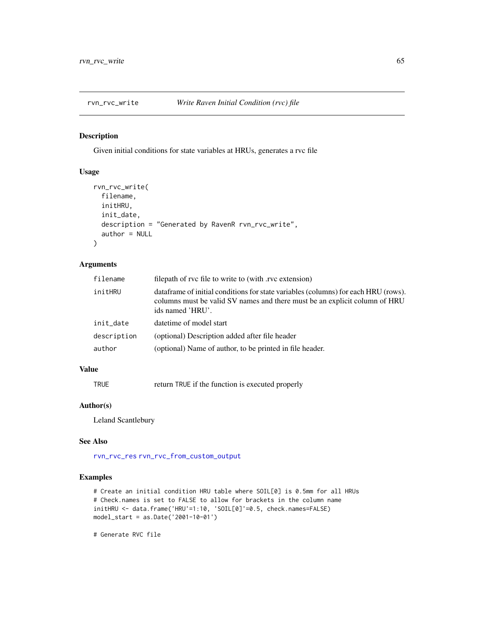<span id="page-64-0"></span>

# Description

Given initial conditions for state variables at HRUs, generates a rvc file

## Usage

```
rvn_rvc_write(
 filename,
 initHRU,
 init_date,
 description = "Generated by RavenR rvn_rvc_write",
  author = NULL
)
```
# Arguments

| filename    | filepath of rvc file to write to (with .rvc extension)                                                                                                                                |
|-------------|---------------------------------------------------------------------------------------------------------------------------------------------------------------------------------------|
| initHRU     | data frame of initial conditions for state variables (columns) for each HRU (rows).<br>columns must be valid SV names and there must be an explicit column of HRU<br>ids named 'HRU'. |
| init_date   | date time of model start                                                                                                                                                              |
| description | (optional) Description added after file header                                                                                                                                        |
| author      | (optional) Name of author, to be printed in file header.                                                                                                                              |

# Value

TRUE return TRUE if the function is executed properly

# Author(s)

Leland Scantlebury

#### See Also

[rvn\\_rvc\\_res](#page-63-0) [rvn\\_rvc\\_from\\_custom\\_output](#page-62-0)

## Examples

```
# Create an initial condition HRU table where SOIL[0] is 0.5mm for all HRUs
# Check.names is set to FALSE to allow for brackets in the column name
initHRU <- data.frame('HRU'=1:10, 'SOIL[0]'=0.5, check.names=FALSE)
model_start = as.Date('2001-10-01')
```
# Generate RVC file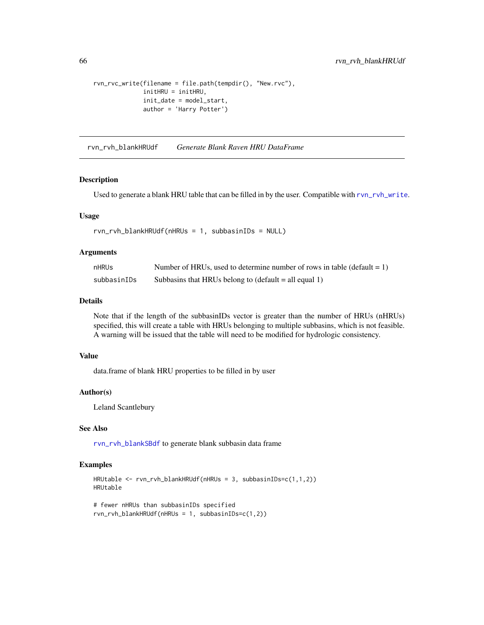```
rvn_rvc_write(filename = file.path(tempdir(), "New.rvc"),
              initHRU = initHRU,
              init_date = model_start,
              author = 'Harry Potter')
```
<span id="page-65-0"></span>rvn\_rvh\_blankHRUdf *Generate Blank Raven HRU DataFrame*

#### Description

Used to generate a blank HRU table that can be filled in by the user. Compatible with [rvn\\_rvh\\_write](#page-68-0).

#### Usage

```
rvn_rvh_blankHRUdf(nHRUs = 1, subbasinIDs = NULL)
```
## Arguments

| nHRUs       | Number of HRUs, used to determine number of rows in table (default $= 1$ ) |
|-------------|----------------------------------------------------------------------------|
| subbasinIDs | Subbasins that HRUs belong to $(\text{default} = \text{all equal 1})$      |

# Details

Note that if the length of the subbasinIDs vector is greater than the number of HRUs (nHRUs) specified, this will create a table with HRUs belonging to multiple subbasins, which is not feasible. A warning will be issued that the table will need to be modified for hydrologic consistency.

# Value

data.frame of blank HRU properties to be filled in by user

#### Author(s)

Leland Scantlebury

## See Also

[rvn\\_rvh\\_blankSBdf](#page-66-0) to generate blank subbasin data frame

```
HRUtable <- rvn_rvh_blankHRUdf(nHRUs = 3, subbasinIDs=c(1,1,2))
HRUtable
```

```
# fewer nHRUs than subbasinIDs specified
rvn_rvh_blankHRUdf(nHRUs = 1, subbasinIDs=c(1,2))
```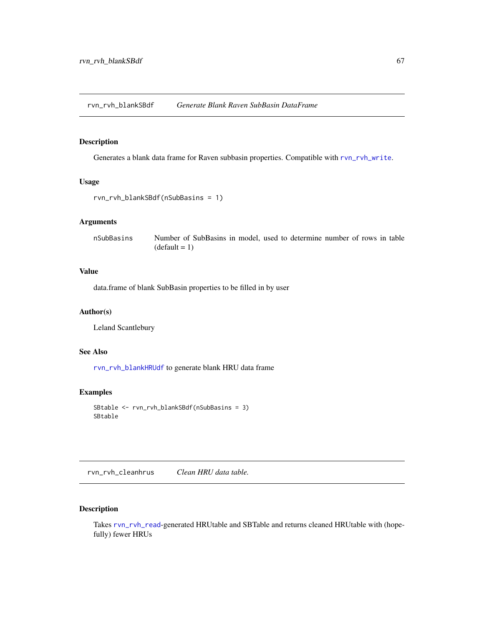<span id="page-66-0"></span>rvn\_rvh\_blankSBdf *Generate Blank Raven SubBasin DataFrame*

# Description

Generates a blank data frame for Raven subbasin properties. Compatible with [rvn\\_rvh\\_write](#page-68-0).

# Usage

```
rvn_rvh_blankSBdf(nSubBasins = 1)
```
# Arguments

nSubBasins Number of SubBasins in model, used to determine number of rows in table  $(detault = 1)$ 

# Value

data.frame of blank SubBasin properties to be filled in by user

# Author(s)

Leland Scantlebury

# See Also

[rvn\\_rvh\\_blankHRUdf](#page-65-0) to generate blank HRU data frame

## Examples

```
SBtable <- rvn_rvh_blankSBdf(nSubBasins = 3)
SBtable
```
<span id="page-66-1"></span>rvn\_rvh\_cleanhrus *Clean HRU data table.*

# Description

Takes [rvn\\_rvh\\_read](#page-72-0)-generated HRUtable and SBTable and returns cleaned HRUtable with (hopefully) fewer HRUs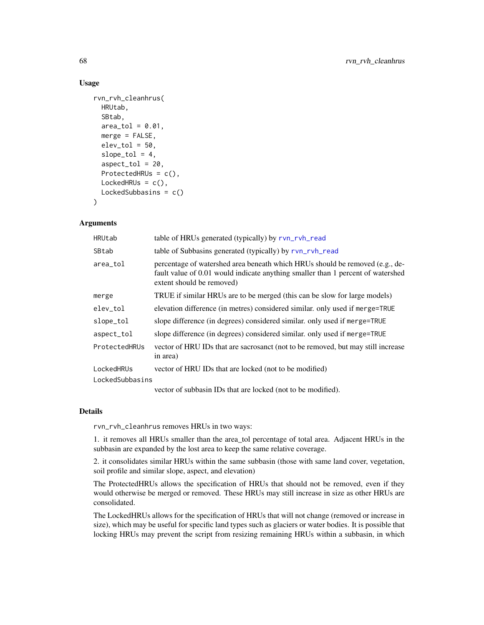## Usage

```
rvn_rvh_cleanhrus(
 HRUtab,
  SBtab,
  area_to1 = 0.01,
 merge = FALSE,
 elev\_tol = 50,
  slope\_tol = 4,
  aspect\_tol = 20,ProtectedHRUs = c(),
 LockedHRUs = c(),
 LockedSubbasins = c()
)
```
## Arguments

| HRUtab          | table of HRUs generated (typically) by rvn_rvh_read                                                                                                                                          |
|-----------------|----------------------------------------------------------------------------------------------------------------------------------------------------------------------------------------------|
| SBtab           | table of Subbasins generated (typically) by rvn_rvh_read                                                                                                                                     |
| area_tol        | percentage of watershed area beneath which HRUs should be removed (e.g., de-<br>fault value of 0.01 would indicate anything smaller than 1 percent of watershed<br>extent should be removed) |
| merge           | TRUE if similar HRUs are to be merged (this can be slow for large models)                                                                                                                    |
| elev_tol        | elevation difference (in metres) considered similar. only used if merge=TRUE                                                                                                                 |
| slope_tol       | slope difference (in degrees) considered similar. only used if merge=TRUE                                                                                                                    |
| aspect_tol      | slope difference (in degrees) considered similar. only used if merge=TRUE                                                                                                                    |
| ProtectedHRUs   | vector of HRU IDs that are sacrosanct (not to be removed, but may still increase<br>in area)                                                                                                 |
| LockedHRUs      | vector of HRU IDs that are locked (not to be modified)                                                                                                                                       |
| LockedSubbasins |                                                                                                                                                                                              |
|                 | $\sim$ 1.1 $\sim$ 1.1 $\sim$ 1.1 $\sim$ 1.1 $\sim$ 1.1 $\sim$ 1.1 $\sim$ 1.1 $\sim$ 1.1 $\sim$ 1.1 $\sim$ 1.1 $\sim$ 1.1 $\sim$ 1.1 $\sim$                                                   |

vector of subbasin IDs that are locked (not to be modified).

#### Details

rvn\_rvh\_cleanhrus removes HRUs in two ways:

1. it removes all HRUs smaller than the area\_tol percentage of total area. Adjacent HRUs in the subbasin are expanded by the lost area to keep the same relative coverage.

2. it consolidates similar HRUs within the same subbasin (those with same land cover, vegetation, soil profile and similar slope, aspect, and elevation)

The ProtectedHRUs allows the specification of HRUs that should not be removed, even if they would otherwise be merged or removed. These HRUs may still increase in size as other HRUs are consolidated.

The LockedHRUs allows for the specification of HRUs that will not change (removed or increase in size), which may be useful for specific land types such as glaciers or water bodies. It is possible that locking HRUs may prevent the script from resizing remaining HRUs within a subbasin, in which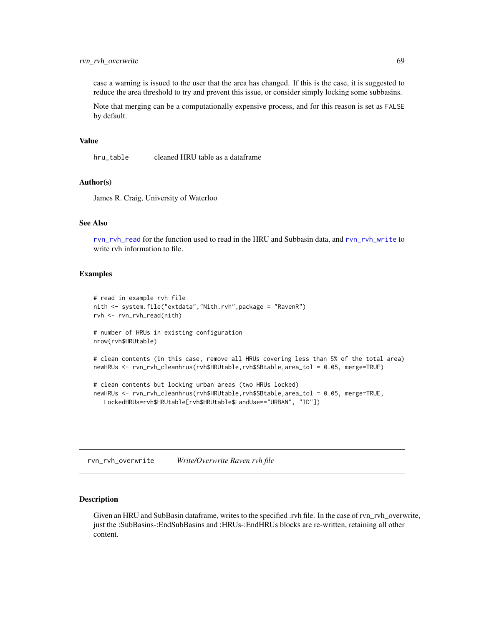case a warning is issued to the user that the area has changed. If this is the case, it is suggested to reduce the area threshold to try and prevent this issue, or consider simply locking some subbasins.

Note that merging can be a computationally expensive process, and for this reason is set as FALSE by default.

#### Value

hru\_table cleaned HRU table as a dataframe

## Author(s)

James R. Craig, University of Waterloo

#### See Also

[rvn\\_rvh\\_read](#page-72-0) for the function used to read in the HRU and Subbasin data, and [rvn\\_rvh\\_write](#page-68-0) to write rvh information to file.

#### Examples

```
# read in example rvh file
nith <- system.file("extdata","Nith.rvh",package = "RavenR")
rvh <- rvn_rvh_read(nith)
# number of HRUs in existing configuration
nrow(rvh$HRUtable)
# clean contents (in this case, remove all HRUs covering less than 5% of the total area)
newHRUs <- rvn_rvh_cleanhrus(rvh$HRUtable,rvh$SBtable,area_tol = 0.05, merge=TRUE)
# clean contents but locking urban areas (two HRUs locked)
newHRUs <- rvn_rvh_cleanhrus(rvh$HRUtable,rvh$SBtable,area_tol = 0.05, merge=TRUE,
```
LockedHRUs=rvh\$HRUtable[rvh\$HRUtable\$LandUse=="URBAN", "ID"])

<span id="page-68-1"></span>rvn\_rvh\_overwrite *Write/Overwrite Raven rvh file*

#### <span id="page-68-0"></span>Description

Given an HRU and SubBasin dataframe, writes to the specified .rvh file. In the case of rvn\_rvh\_overwrite, just the :SubBasins-:EndSubBasins and :HRUs-:EndHRUs blocks are re-written, retaining all other content.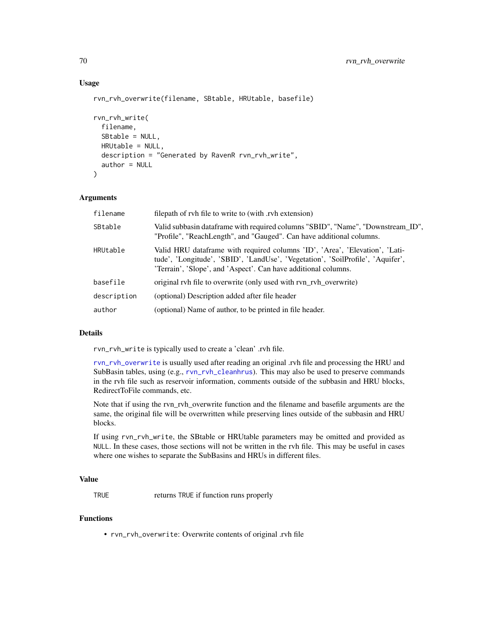# Usage

```
rvn_rvh_overwrite(filename, SBtable, HRUtable, basefile)
rvn_rvh_write(
  filename,
  SBtable = NULL,
 HRUtable = NULL,
  description = "Generated by RavenR rvn_rvh_write",
  author = NULL
)
```
# Arguments

| filename    | filepath of rvh file to write to (with .rvh extension)                                                                                                                                                                          |
|-------------|---------------------------------------------------------------------------------------------------------------------------------------------------------------------------------------------------------------------------------|
| SBtable     | Valid subbasin dataframe with required columns "SBID", "Name", "Downstream_ID",<br>"Profile", "ReachLength", and "Gauged". Can have additional columns.                                                                         |
| HRUtable    | Valid HRU dataframe with required columns 'ID', 'Area', 'Elevation', 'Lati-<br>tude', 'Longitude', 'SBID', 'LandUse', 'Vegetation', 'SoilProfile', 'Aquifer',<br>'Terrain', 'Slope', and 'Aspect'. Can have additional columns. |
| basefile    | original rvh file to overwrite (only used with rvn_rvh_overwrite)                                                                                                                                                               |
| description | (optional) Description added after file header                                                                                                                                                                                  |
| author      | (optional) Name of author, to be printed in file header.                                                                                                                                                                        |

#### Details

rvn\_rvh\_write is typically used to create a 'clean' .rvh file.

[rvn\\_rvh\\_overwrite](#page-68-1) is usually used after reading an original .rvh file and processing the HRU and SubBasin tables, using (e.g., [rvn\\_rvh\\_cleanhrus](#page-66-1)). This may also be used to preserve commands in the rvh file such as reservoir information, comments outside of the subbasin and HRU blocks, RedirectToFile commands, etc.

Note that if using the rvn\_rvh\_overwrite function and the filename and basefile arguments are the same, the original file will be overwritten while preserving lines outside of the subbasin and HRU blocks.

If using rvn\_rvh\_write, the SBtable or HRUtable parameters may be omitted and provided as NULL. In these cases, those sections will not be written in the rvh file. This may be useful in cases where one wishes to separate the SubBasins and HRUs in different files.

#### Value

TRUE returns TRUE if function runs properly

#### Functions

• rvn\_rvh\_overwrite: Overwrite contents of original .rvh file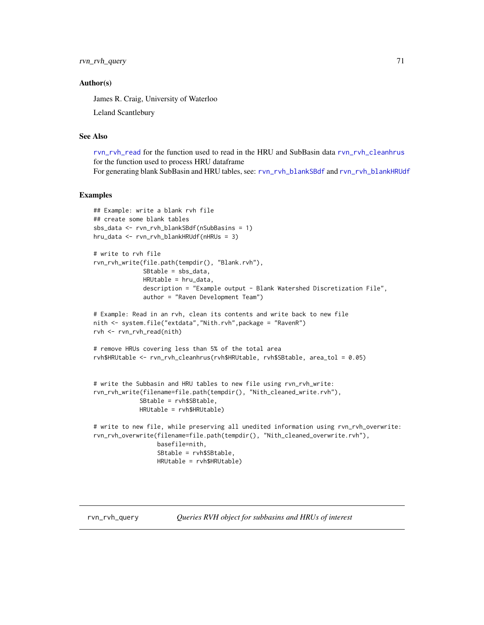rvn\_rvh\_query 71

### Author(s)

James R. Craig, University of Waterloo

Leland Scantlebury

## See Also

[rvn\\_rvh\\_read](#page-72-0) for the function used to read in the HRU and SubBasin data [rvn\\_rvh\\_cleanhrus](#page-66-1) for the function used to process HRU dataframe For generating blank SubBasin and HRU tables, see: [rvn\\_rvh\\_blankSBdf](#page-66-0) and [rvn\\_rvh\\_blankHRUdf](#page-65-0)

```
## Example: write a blank rvh file
## create some blank tables
sbs_data <- rvn_rvh_blankSBdf(nSubBasins = 1)
hru_data <- rvn_rvh_blankHRUdf(nHRUs = 3)
# write to rvh file
rvn_rvh_write(file.path(tempdir(), "Blank.rvh"),
              SBtable = sbs_data,
              HRUtable = hru_data,
              description = "Example output - Blank Watershed Discretization File",
              author = "Raven Development Team")
# Example: Read in an rvh, clean its contents and write back to new file
nith <- system.file("extdata","Nith.rvh",package = "RavenR")
rvh <- rvn_rvh_read(nith)
# remove HRUs covering less than 5% of the total area
rvh$HRUtable <- rvn_rvh_cleanhrus(rvh$HRUtable, rvh$SBtable, area_tol = 0.05)
# write the Subbasin and HRU tables to new file using rvn_rvh_write:
rvn_rvh_write(filename=file.path(tempdir(), "Nith_cleaned_write.rvh"),
             SBtable = rvh$SBtable,
             HRUtable = rvh$HRUtable)
# write to new file, while preserving all unedited information using rvn_rvh_overwrite:
rvn_rvh_overwrite(filename=file.path(tempdir(), "Nith_cleaned_overwrite.rvh"),
                  basefile=nith,
                  SBtable = rvh$SBtable,
                  HRUtable = rvh$HRUtable)
```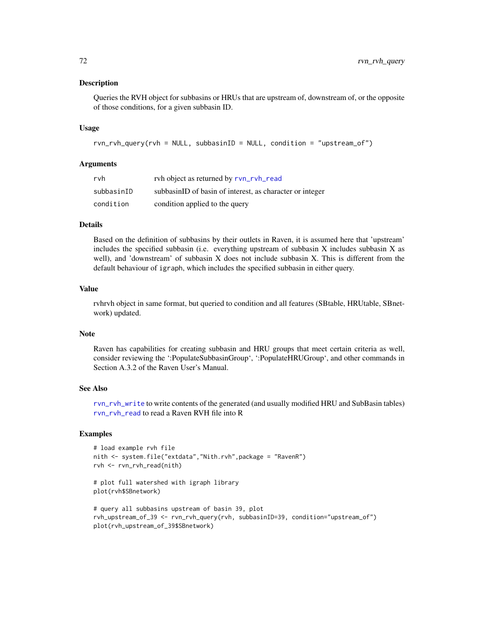## Description

Queries the RVH object for subbasins or HRUs that are upstream of, downstream of, or the opposite of those conditions, for a given subbasin ID.

## Usage

rvn\_rvh\_query(rvh = NULL, subbasinID = NULL, condition = "upstream\_of")

## Arguments

| rvh        | ryh object as returned by ryn_ryh_read                   |
|------------|----------------------------------------------------------|
| subbasinID | subbasinID of basin of interest, as character or integer |
| condition  | condition applied to the query                           |

#### Details

Based on the definition of subbasins by their outlets in Raven, it is assumed here that 'upstream' includes the specified subbasin (i.e. everything upstream of subbasin X includes subbasin X as well), and 'downstream' of subbasin X does not include subbasin X. This is different from the default behaviour of igraph, which includes the specified subbasin in either query.

# Value

rvhrvh object in same format, but queried to condition and all features (SBtable, HRUtable, SBnetwork) updated.

# Note

Raven has capabilities for creating subbasin and HRU groups that meet certain criteria as well, consider reviewing the ':PopulateSubbasinGroup', ':PopulateHRUGroup', and other commands in Section A.3.2 of the Raven User's Manual.

# See Also

[rvn\\_rvh\\_write](#page-68-0) to write contents of the generated (and usually modified HRU and SubBasin tables) [rvn\\_rvh\\_read](#page-72-0) to read a Raven RVH file into R

```
# load example rvh file
nith <- system.file("extdata","Nith.rvh",package = "RavenR")
rvh <- rvn_rvh_read(nith)
# plot full watershed with igraph library
plot(rvh$SBnetwork)
# query all subbasins upstream of basin 39, plot
rvh_upstream_of_39 <- rvn_rvh_query(rvh, subbasinID=39, condition="upstream_of")
plot(rvh_upstream_of_39$SBnetwork)
```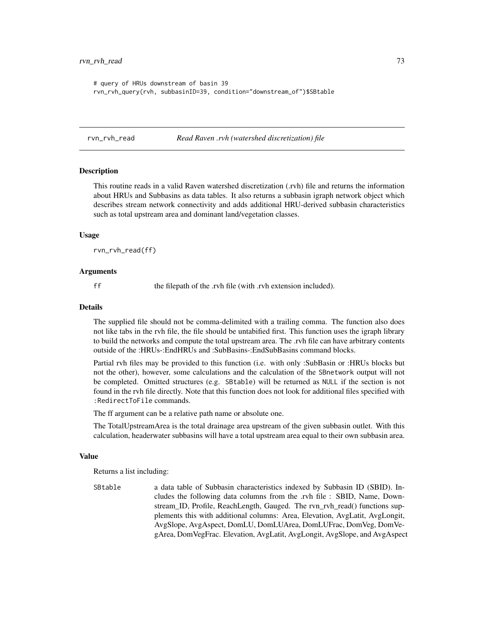```
# query of HRUs downstream of basin 39
rvn_rvh_query(rvh, subbasinID=39, condition="downstream_of")$SBtable
```
#### <span id="page-72-0"></span>rvn\_rvh\_read *Read Raven .rvh (watershed discretization) file*

#### Description

This routine reads in a valid Raven watershed discretization (.rvh) file and returns the information about HRUs and Subbasins as data tables. It also returns a subbasin igraph network object which describes stream network connectivity and adds additional HRU-derived subbasin characteristics such as total upstream area and dominant land/vegetation classes.

#### Usage

rvn\_rvh\_read(ff)

#### Arguments

ff the filepath of the .rvh file (with .rvh extension included).

#### Details

The supplied file should not be comma-delimited with a trailing comma. The function also does not like tabs in the rvh file, the file should be untabified first. This function uses the igraph library to build the networks and compute the total upstream area. The .rvh file can have arbitrary contents outside of the :HRUs-:EndHRUs and :SubBasins-:EndSubBasins command blocks.

Partial rvh files may be provided to this function (i.e. with only :SubBasin or :HRUs blocks but not the other), however, some calculations and the calculation of the SBnetwork output will not be completed. Omitted structures (e.g. SBtable) will be returned as NULL if the section is not found in the rvh file directly. Note that this function does not look for additional files specified with :RedirectToFile commands.

The ff argument can be a relative path name or absolute one.

The TotalUpstreamArea is the total drainage area upstream of the given subbasin outlet. With this calculation, headerwater subbasins will have a total upstream area equal to their own subbasin area.

## Value

Returns a list including:

SBtable a data table of Subbasin characteristics indexed by Subbasin ID (SBID). Includes the following data columns from the .rvh file : SBID, Name, Downstream ID, Profile, ReachLength, Gauged. The rvn rvh read() functions supplements this with additional columns: Area, Elevation, AvgLatit, AvgLongit, AvgSlope, AvgAspect, DomLU, DomLUArea, DomLUFrac, DomVeg, DomVegArea, DomVegFrac. Elevation, AvgLatit, AvgLongit, AvgSlope, and AvgAspect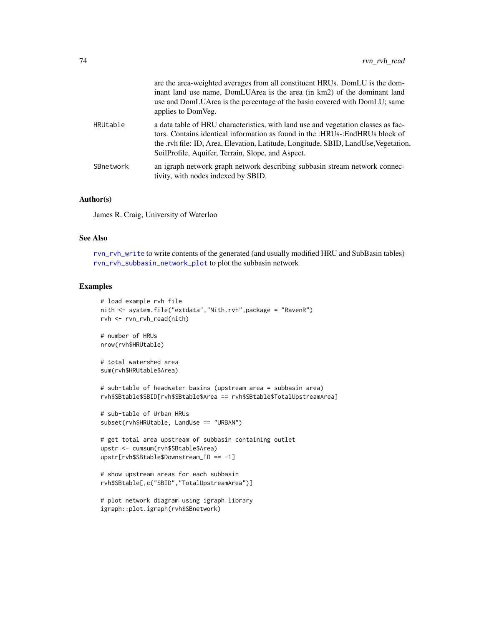|           | are the area-weighted averages from all constituent HRUs. DomLU is the dom-<br>inant land use name, DomLUArea is the area (in km2) of the dominant land<br>use and DomLUArea is the percentage of the basin covered with DomLU; same<br>applies to DomVeg.                                                    |
|-----------|---------------------------------------------------------------------------------------------------------------------------------------------------------------------------------------------------------------------------------------------------------------------------------------------------------------|
| HRUtable  | a data table of HRU characteristics, with land use and vegetation classes as fac-<br>tors. Contains identical information as found in the :HRUs-:EndHRUs block of<br>the .rvh file: ID, Area, Elevation, Latitude, Longitude, SBID, LandUse, Vegetation,<br>SoilProfile, Aquifer, Terrain, Slope, and Aspect. |
| SBnetwork | an igraph network graph network describing subbasin stream network connec-<br>tivity, with nodes indexed by SBID.                                                                                                                                                                                             |

## Author(s)

James R. Craig, University of Waterloo

#### See Also

[rvn\\_rvh\\_write](#page-68-0) to write contents of the generated (and usually modified HRU and SubBasin tables) [rvn\\_rvh\\_subbasin\\_network\\_plot](#page-74-0) to plot the subbasin network

# Examples

```
# load example rvh file
nith <- system.file("extdata","Nith.rvh",package = "RavenR")
rvh <- rvn_rvh_read(nith)
```
# number of HRUs nrow(rvh\$HRUtable)

```
# total watershed area
sum(rvh$HRUtable$Area)
```

```
# sub-table of headwater basins (upstream area = subbasin area)
rvh$SBtable$SBID[rvh$SBtable$Area == rvh$SBtable$TotalUpstreamArea]
```

```
# sub-table of Urban HRUs
subset(rvh$HRUtable, LandUse == "URBAN")
```

```
# get total area upstream of subbasin containing outlet
upstr <- cumsum(rvh$SBtable$Area)
upstr[rvh$SBtable$Downstream_ID == -1]
```

```
# show upstream areas for each subbasin
rvh$SBtable[,c("SBID","TotalUpstreamArea")]
```

```
# plot network diagram using igraph library
igraph::plot.igraph(rvh$SBnetwork)
```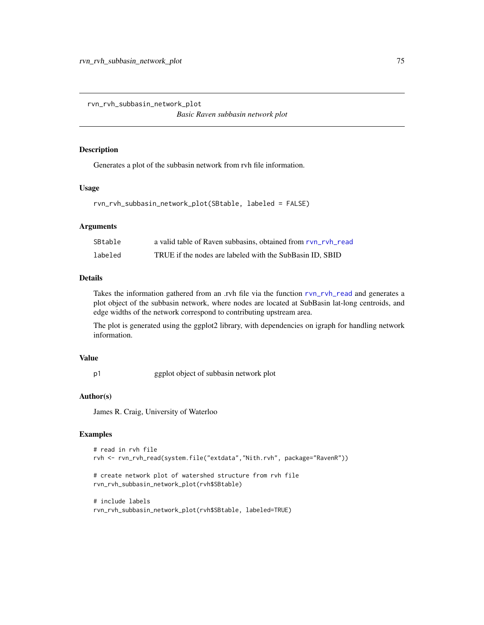<span id="page-74-0"></span>rvn\_rvh\_subbasin\_network\_plot

*Basic Raven subbasin network plot*

#### Description

Generates a plot of the subbasin network from rvh file information.

#### Usage

```
rvn_rvh_subbasin_network_plot(SBtable, labeled = FALSE)
```
## Arguments

| SBtable | a valid table of Raven subbasins, obtained from rvn_rvh_read |
|---------|--------------------------------------------------------------|
| labeled | TRUE if the nodes are labeled with the SubBasin ID, SBID     |

# Details

Takes the information gathered from an .rvh file via the function [rvn\\_rvh\\_read](#page-72-0) and generates a plot object of the subbasin network, where nodes are located at SubBasin lat-long centroids, and edge widths of the network correspond to contributing upstream area.

The plot is generated using the ggplot2 library, with dependencies on igraph for handling network information.

#### Value

p1 ggplot object of subbasin network plot

## Author(s)

James R. Craig, University of Waterloo

```
# read in rvh file
rvh <- rvn_rvh_read(system.file("extdata","Nith.rvh", package="RavenR"))
```

```
# create network plot of watershed structure from rvh file
rvn_rvh_subbasin_network_plot(rvh$SBtable)
```

```
# include labels
rvn_rvh_subbasin_network_plot(rvh$SBtable, labeled=TRUE)
```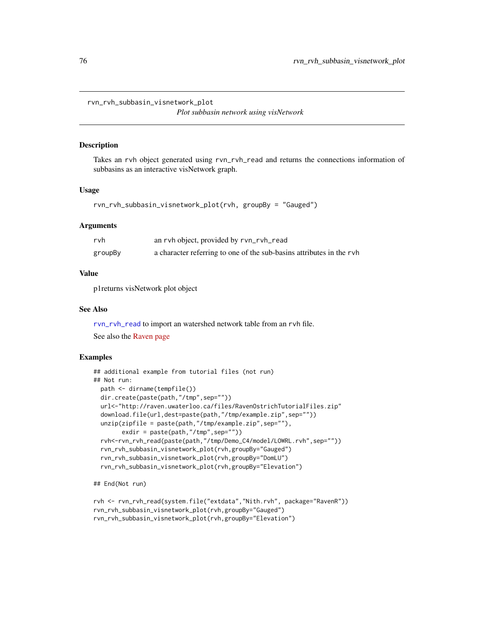rvn\_rvh\_subbasin\_visnetwork\_plot

*Plot subbasin network using visNetwork*

#### Description

Takes an rvh object generated using rvn\_rvh\_read and returns the connections information of subbasins as an interactive visNetwork graph.

## Usage

```
rvn_rvh_subbasin_visnetwork_plot(rvh, groupBy = "Gauged")
```
# Arguments

| rvh     | an rvh object, provided by rvn_rvh_read                              |
|---------|----------------------------------------------------------------------|
| groupBy | a character referring to one of the sub-basins attributes in the ryh |

# Value

p1returns visNetwork plot object

#### See Also

[rvn\\_rvh\\_read](#page-72-0) to import an watershed network table from an rvh file.

See also the [Raven page](http://raven.uwaterloo.ca/)

## Examples

```
## additional example from tutorial files (not run)
## Not run:
 path <- dirname(tempfile())
 dir.create(paste(path,"/tmp",sep=""))
 url<-"http://raven.uwaterloo.ca/files/RavenOstrichTutorialFiles.zip"
 download.file(url,dest=paste(path,"/tmp/example.zip",sep=""))
 unzip(zipfile = paste(path,"/tmp/example.zip",sep=""),
       exdir = paste(path,"/tmp",sep=""))
 rvh<-rvn_rvh_read(paste(path,"/tmp/Demo_C4/model/LOWRL.rvh",sep=""))
 rvn_rvh_subbasin_visnetwork_plot(rvh,groupBy="Gauged")
 rvn_rvh_subbasin_visnetwork_plot(rvh,groupBy="DomLU")
 rvn_rvh_subbasin_visnetwork_plot(rvh,groupBy="Elevation")
```
## End(Not run)

```
rvh <- rvn_rvh_read(system.file("extdata","Nith.rvh", package="RavenR"))
rvn_rvh_subbasin_visnetwork_plot(rvh,groupBy="Gauged")
rvn_rvh_subbasin_visnetwork_plot(rvh,groupBy="Elevation")
```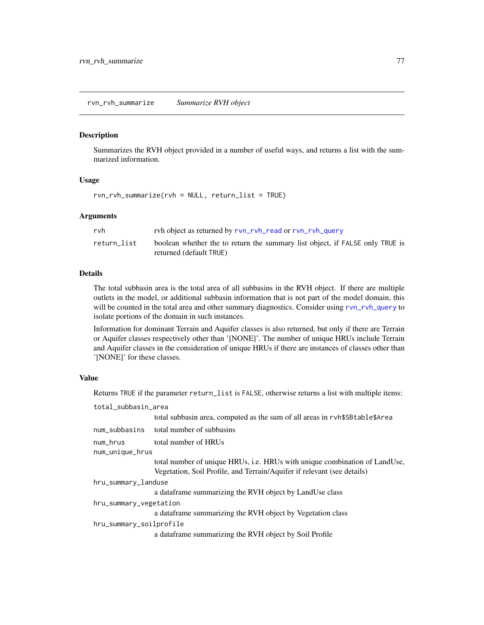## rvn\_rvh\_summarize *Summarize RVH object*

#### Description

Summarizes the RVH object provided in a number of useful ways, and returns a list with the summarized information.

# Usage

rvn\_rvh\_summarize(rvh = NULL, return\_list = TRUE)

## Arguments

| rvh         | ryh object as returned by ryn_ryh_read or ryn_ryh_query                                                 |
|-------------|---------------------------------------------------------------------------------------------------------|
| return list | boolean whether the to return the summary list object, if FALSE only TRUE is<br>returned (default TRUE) |

# Details

The total subbasin area is the total area of all subbasins in the RVH object. If there are multiple outlets in the model, or additional subbasin information that is not part of the model domain, this will be counted in the total area and other summary diagnostics. Consider using [rvn\\_rvh\\_query](#page-70-0) to isolate portions of the domain in such instances.

Information for dominant Terrain and Aquifer classes is also returned, but only if there are Terrain or Aquifer classes respectively other than '[NONE]'. The number of unique HRUs include Terrain and Aquifer classes in the consideration of unique HRUs if there are instances of classes other than '[NONE]' for these classes.

## Value

Returns TRUE if the parameter return\_list is FALSE, otherwise returns a list with multiple items:

| total_subbasin_area     |                                                                                                                                                       |
|-------------------------|-------------------------------------------------------------------------------------------------------------------------------------------------------|
|                         | total subbasin area, computed as the sum of all areas in ryh\$SBtable\$Area                                                                           |
| num_subbasins           | total number of subbasins                                                                                                                             |
| num_hrus                | total number of HRUs                                                                                                                                  |
| num_unique_hrus         |                                                                                                                                                       |
|                         | total number of unique HRUs, i.e. HRUs with unique combination of LandUse,<br>Vegetation, Soil Profile, and Terrain/Aquifer if relevant (see details) |
| hru_summary_landuse     |                                                                                                                                                       |
|                         | a data frame summarizing the RVH object by LandUse class                                                                                              |
| hru_summary_vegetation  |                                                                                                                                                       |
|                         | a data frame summarizing the RVH object by Vegetation class                                                                                           |
| hru_summary_soilprofile |                                                                                                                                                       |
|                         | a dataframe summarizing the RVH object by Soil Profile                                                                                                |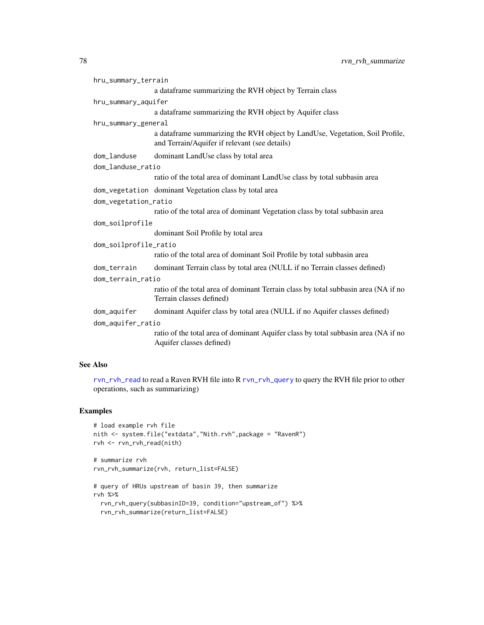| hru_summary_terrain   |                                                                                                                               |  |
|-----------------------|-------------------------------------------------------------------------------------------------------------------------------|--|
|                       | a dataframe summarizing the RVH object by Terrain class                                                                       |  |
| hru_summary_aquifer   |                                                                                                                               |  |
|                       | a dataframe summarizing the RVH object by Aquifer class                                                                       |  |
| hru_summary_general   |                                                                                                                               |  |
|                       | a dataframe summarizing the RVH object by LandUse, Vegetation, Soil Profile,<br>and Terrain/Aquifer if relevant (see details) |  |
| dom_landuse           | dominant LandUse class by total area                                                                                          |  |
| dom_landuse_ratio     |                                                                                                                               |  |
|                       | ratio of the total area of dominant LandUse class by total subbasin area                                                      |  |
|                       | dom_vegetation dominant Vegetation class by total area                                                                        |  |
| dom_vegetation_ratio  |                                                                                                                               |  |
|                       | ratio of the total area of dominant Vegetation class by total subbasin area                                                   |  |
| dom_soilprofile       |                                                                                                                               |  |
|                       | dominant Soil Profile by total area                                                                                           |  |
| dom_soilprofile_ratio |                                                                                                                               |  |
|                       | ratio of the total area of dominant Soil Profile by total subbasin area                                                       |  |
| dom_terrain           | dominant Terrain class by total area (NULL if no Terrain classes defined)                                                     |  |
| dom_terrain_ratio     |                                                                                                                               |  |
|                       | ratio of the total area of dominant Terrain class by total subbasin area (NA if no<br>Terrain classes defined)                |  |
| dom_aquifer           | dominant Aquifer class by total area (NULL if no Aquifer classes defined)                                                     |  |
| dom_aquifer_ratio     |                                                                                                                               |  |
|                       | ratio of the total area of dominant Aquifer class by total subbasin area (NA if no<br>Aquifer classes defined)                |  |

# See Also

[rvn\\_rvh\\_read](#page-72-0) to read a Raven RVH file into R [rvn\\_rvh\\_query](#page-70-0) to query the RVH file prior to other operations, such as summarizing)

```
# load example rvh file
nith <- system.file("extdata","Nith.rvh",package = "RavenR")
rvh <- rvn_rvh_read(nith)
# summarize rvh
rvn_rvh_summarize(rvh, return_list=FALSE)
# query of HRUs upstream of basin 39, then summarize
rvh %>%
  rvn_rvh_query(subbasinID=39, condition="upstream_of") %>%
  rvn_rvh_summarize(return_list=FALSE)
```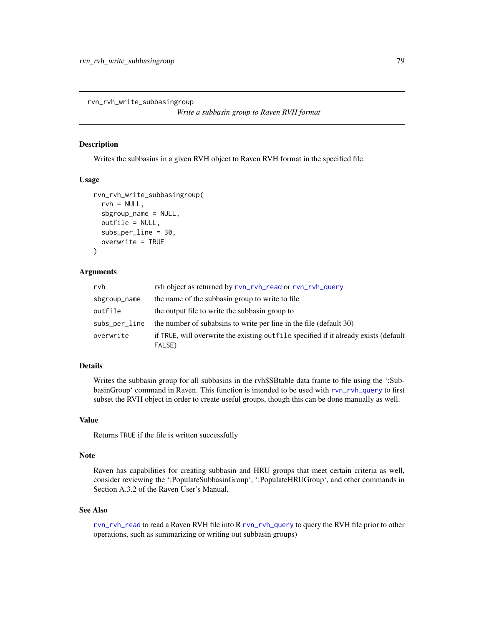rvn\_rvh\_write\_subbasingroup

*Write a subbasin group to Raven RVH format*

# Description

Writes the subbasins in a given RVH object to Raven RVH format in the specified file.

#### Usage

```
rvn_rvh_write_subbasingroup(
  rvh = NULL,sbgroup_name = NULL,
 outfile = NULL,
  subs_per_line = 30,
  overwrite = TRUE
)
```
#### Arguments

| rvh           | rvh object as returned by rvn_rvh_read or rvn_rvh_query                                         |
|---------------|-------------------------------------------------------------------------------------------------|
| sbgroup_name  | the name of the subbasin group to write to file.                                                |
| outfile       | the output file to write the subbasin group to                                                  |
| subs_per_line | the number of subabsins to write per line in the file (default 30)                              |
| overwrite     | if TRUE, will overwrite the existing out file specified if it already exists (default<br>FALSE) |

# Details

Writes the subbasin group for all subbasins in the rvh\$SBtable data frame to file using the ':SubbasinGroup' command in Raven. This function is intended to be used with [rvn\\_rvh\\_query](#page-70-0) to first subset the RVH object in order to create useful groups, though this can be done manually as well.

#### Value

Returns TRUE if the file is written successfully

# Note

Raven has capabilities for creating subbasin and HRU groups that meet certain criteria as well, consider reviewing the ':PopulateSubbasinGroup', ':PopulateHRUGroup', and other commands in Section A.3.2 of the Raven User's Manual.

#### See Also

[rvn\\_rvh\\_read](#page-72-0) to read a Raven RVH file into R [rvn\\_rvh\\_query](#page-70-0) to query the RVH file prior to other operations, such as summarizing or writing out subbasin groups)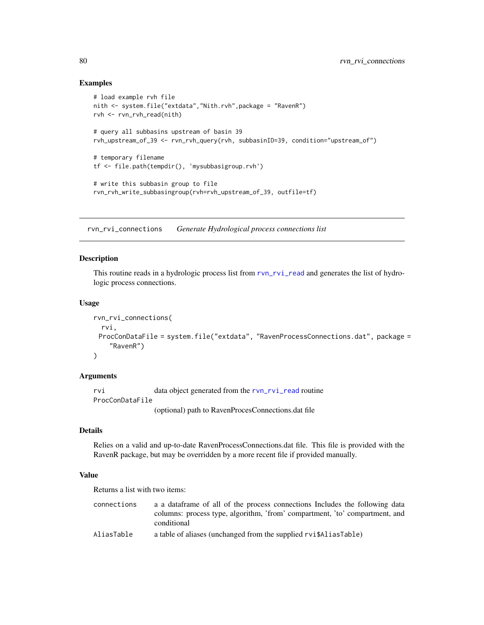# Examples

```
# load example rvh file
nith <- system.file("extdata","Nith.rvh",package = "RavenR")
rvh <- rvn_rvh_read(nith)
# query all subbasins upstream of basin 39
rvh_upstream_of_39 <- rvn_rvh_query(rvh, subbasinID=39, condition="upstream_of")
# temporary filename
tf <- file.path(tempdir(), 'mysubbasigroup.rvh')
# write this subbasin group to file
rvn_rvh_write_subbasingroup(rvh=rvh_upstream_of_39, outfile=tf)
```
<span id="page-79-0"></span>rvn\_rvi\_connections *Generate Hydrological process connections list*

## Description

This routine reads in a hydrologic process list from [rvn\\_rvi\\_read](#page-85-0) and generates the list of hydrologic process connections.

## Usage

```
rvn_rvi_connections(
  rvi,
 ProcConDataFile = system.file("extdata", "RavenProcessConnections.dat", package =
    "RavenR")
)
```
## Arguments

```
rvi data object generated from the rvn_rvi_read routine
ProcConDataFile
```
(optional) path to RavenProcesConnections.dat file

# Details

Relies on a valid and up-to-date RavenProcessConnections.dat file. This file is provided with the RavenR package, but may be overridden by a more recent file if provided manually.

## Value

Returns a list with two items:

| connections       | a a data frame of all of the process connections Includes the following data                                                                                                                                                                                                                                                                                                                                          |
|-------------------|-----------------------------------------------------------------------------------------------------------------------------------------------------------------------------------------------------------------------------------------------------------------------------------------------------------------------------------------------------------------------------------------------------------------------|
|                   | columns: process type, algorithm, 'from' compartment, 'to' compartment, and                                                                                                                                                                                                                                                                                                                                           |
|                   | conditional                                                                                                                                                                                                                                                                                                                                                                                                           |
| $\cdots$ $\cdots$ | $\mathcal{L} = \{ \mathbf{I} \mathbf{I} \mathbf{I} \mathbf{I} \mathbf{I} \mathbf{I} \mathbf{I} \mathbf{I} \mathbf{I} \mathbf{I} \mathbf{I} \mathbf{I} \mathbf{I} \mathbf{I} \mathbf{I} \mathbf{I} \mathbf{I} \mathbf{I} \mathbf{I} \mathbf{I} \mathbf{I} \mathbf{I} \mathbf{I} \mathbf{I} \mathbf{I} \mathbf{I} \mathbf{I} \mathbf{I} \mathbf{I} \mathbf{I} \mathbf{I} \mathbf{I} \mathbf{I} \mathbf{I} \mathbf{I} \$ |

```
AliasTable a table of aliases (unchanged from the supplied rvi$AliasTable)
```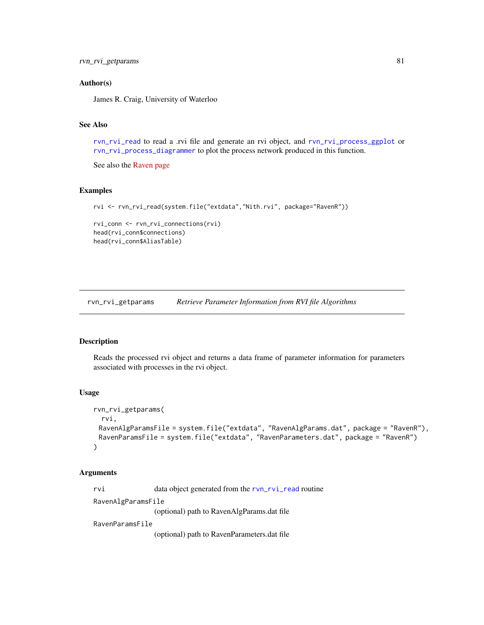## Author(s)

James R. Craig, University of Waterloo

#### See Also

[rvn\\_rvi\\_read](#page-85-0) to read a .rvi file and generate an rvi object, and [rvn\\_rvi\\_process\\_ggplot](#page-83-0) or [rvn\\_rvi\\_process\\_diagrammer](#page-81-0) to plot the process network produced in this function.

See also the [Raven page](http://raven.uwaterloo.ca/)

# Examples

```
rvi <- rvn_rvi_read(system.file("extdata","Nith.rvi", package="RavenR"))
```

```
rvi_conn <- rvn_rvi_connections(rvi)
head(rvi_conn$connections)
head(rvi_conn$AliasTable)
```
<span id="page-80-0"></span>rvn\_rvi\_getparams *Retrieve Parameter Information from RVI file Algorithms*

#### Description

Reads the processed rvi object and returns a data frame of parameter information for parameters associated with processes in the rvi object.

#### Usage

```
rvn_rvi_getparams(
 rvi,
 RavenAlgParamsFile = system.file("extdata", "RavenAlgParams.dat", package = "RavenR"),
 RavenParamsFile = system.file("extdata", "RavenParameters.dat", package = "RavenR")
)
```
#### Arguments

rvi data object generated from the [rvn\\_rvi\\_read](#page-85-0) routine

RavenAlgParamsFile

(optional) path to RavenAlgParams.dat file

RavenParamsFile

(optional) path to RavenParameters.dat file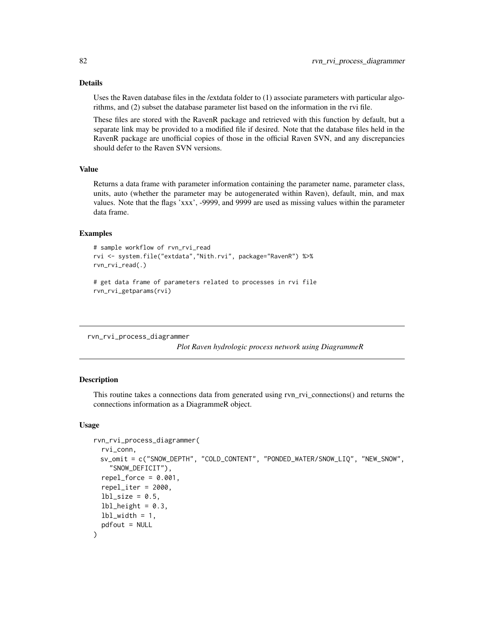# Details

Uses the Raven database files in the /extdata folder to (1) associate parameters with particular algorithms, and (2) subset the database parameter list based on the information in the rvi file.

These files are stored with the RavenR package and retrieved with this function by default, but a separate link may be provided to a modified file if desired. Note that the database files held in the RavenR package are unofficial copies of those in the official Raven SVN, and any discrepancies should defer to the Raven SVN versions.

# Value

Returns a data frame with parameter information containing the parameter name, parameter class, units, auto (whether the parameter may be autogenerated within Raven), default, min, and max values. Note that the flags 'xxx', -9999, and 9999 are used as missing values within the parameter data frame.

## Examples

```
# sample workflow of rvn_rvi_read
rvi <- system.file("extdata","Nith.rvi", package="RavenR") %>%
rvn_rvi_read(.)
# get data frame of parameters related to processes in rvi file
rvn_rvi_getparams(rvi)
```
<span id="page-81-0"></span>rvn\_rvi\_process\_diagrammer

*Plot Raven hydrologic process network using DiagrammeR*

## Description

This routine takes a connections data from generated using rvn\_rvi\_connections() and returns the connections information as a DiagrammeR object.

#### Usage

```
rvn_rvi_process_diagrammer(
  rvi_conn,
 sv_omit = c("SNOW_DEPTH", "COLD_CONTENT", "PONDED_WATER/SNOW_LIQ", "NEW_SNOW",
    "SNOW_DEFICIT"),
  repel_force = 0.001,
  repel\_iter = 2000,
  lbl<sub>size</sub> = 0.5,
  1b1_height = 0.3,
  lbl\_width = 1,pdfout = NULL)
```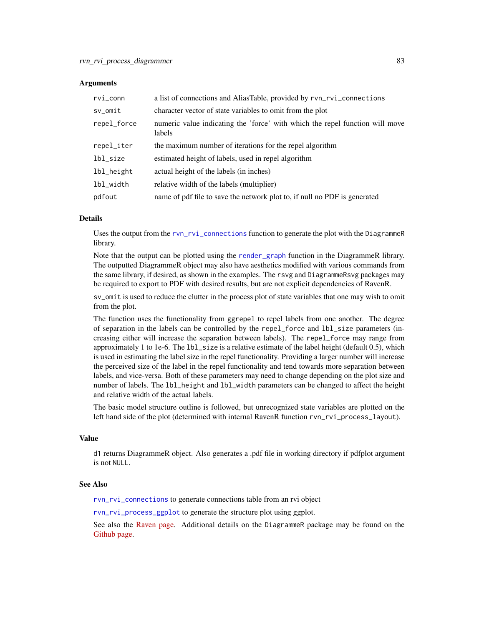#### **Arguments**

| rvi_conn    | a list of connections and AliasTable, provided by rvn_rvi_connections                  |
|-------------|----------------------------------------------------------------------------------------|
| sv_omit     | character vector of state variables to omit from the plot                              |
| repel_force | numeric value indicating the 'force' with which the repel function will move<br>labels |
| repel_iter  | the maximum number of iterations for the repel algorithm                               |
| lbl_size    | estimated height of labels, used in repel algorithm                                    |
| lbl_height  | actual height of the labels (in inches)                                                |
| lbl_width   | relative width of the labels (multiplier)                                              |
| pdfout      | name of pdf file to save the network plot to, if null no PDF is generated              |

#### Details

Uses the output from the [rvn\\_rvi\\_connections](#page-79-0) function to generate the plot with the DiagrammeR library.

Note that the output can be plotted using the [render\\_graph](#page-0-0) function in the DiagrammeR library. The outputted DiagrammeR object may also have aesthetics modified with various commands from the same library, if desired, as shown in the examples. The rsvg and DiagrammeRsvg packages may be required to export to PDF with desired results, but are not explicit dependencies of RavenR.

sv\_omit is used to reduce the clutter in the process plot of state variables that one may wish to omit from the plot.

The function uses the functionality from ggrepel to repel labels from one another. The degree of separation in the labels can be controlled by the repel\_force and lbl\_size parameters (increasing either will increase the separation between labels). The repel\_force may range from approximately 1 to 1e-6. The lbl\_size is a relative estimate of the label height (default 0.5), which is used in estimating the label size in the repel functionality. Providing a larger number will increase the perceived size of the label in the repel functionality and tend towards more separation between labels, and vice-versa. Both of these parameters may need to change depending on the plot size and number of labels. The 1b1\_height and 1b1\_width parameters can be changed to affect the height and relative width of the actual labels.

The basic model structure outline is followed, but unrecognized state variables are plotted on the left hand side of the plot (determined with internal RavenR function rvn\_rvi\_process\_layout).

# Value

d1 returns DiagrammeR object. Also generates a .pdf file in working directory if pdfplot argument is not NULL.

## See Also

[rvn\\_rvi\\_connections](#page-79-0) to generate connections table from an rvi object

[rvn\\_rvi\\_process\\_ggplot](#page-83-0) to generate the structure plot using ggplot.

See also the [Raven page.](http://raven.uwaterloo.ca/) Additional details on the DiagrammeR package may be found on the [Github page.](https://github.com/rich-iannone/DiagrammeR)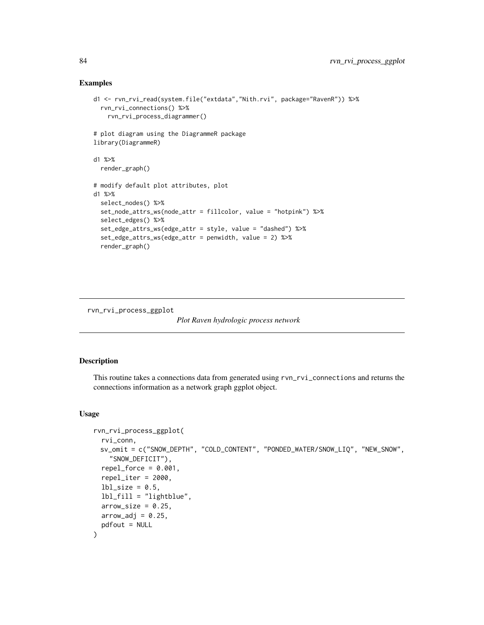## Examples

```
d1 <- rvn_rvi_read(system.file("extdata","Nith.rvi", package="RavenR")) %>%
 rvn_rvi_connections() %>%
   rvn_rvi_process_diagrammer()
# plot diagram using the DiagrammeR package
library(DiagrammeR)
d1 %>%
 render_graph()
# modify default plot attributes, plot
d1 %>%
 select_nodes() %>%
 set_node_attrs_ws(node_attr = fillcolor, value = "hotpink") %>%
 select_edges() %>%
 set_edge_attrs_ws(edge_attr = style, value = "dashed") %>%
 set_edge_attrs_ws(edge_attr = penwidth, value = 2) %>%
 render_graph()
```
<span id="page-83-0"></span>rvn\_rvi\_process\_ggplot

```
Plot Raven hydrologic process network
```
# Description

This routine takes a connections data from generated using rvn\_rvi\_connections and returns the connections information as a network graph ggplot object.

#### Usage

```
rvn_rvi_process_ggplot(
  rvi_conn,
 sv_omit = c("SNOW_DEPTH", "COLD_CONTENT", "PONDED_WATER/SNOW_LIQ", "NEW_SNOW",
    "SNOW_DEFICIT"),
  repel_force = 0.001,
  repel_iter = 2000,
  1b1_size = 0.5,
  lbl_fill = "lightblue",
  arrow_size = 0.25,
 arrow\_adj = 0.25,
 pdfout = NULL
)
```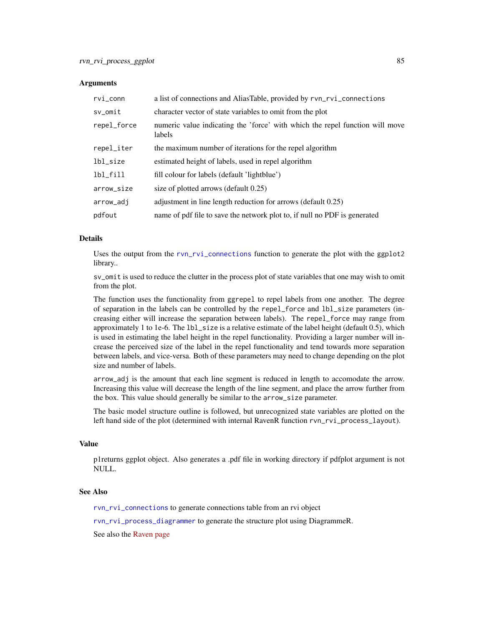#### Arguments

| rvi_conn    | a list of connections and AliasTable, provided by rvn_rvi_connections                  |
|-------------|----------------------------------------------------------------------------------------|
| sv_omit     | character vector of state variables to omit from the plot                              |
| repel_force | numeric value indicating the 'force' with which the repel function will move<br>labels |
| repel_iter  | the maximum number of iterations for the repel algorithm                               |
| lbl_size    | estimated height of labels, used in repel algorithm                                    |
| lbl_fill    | fill colour for labels (default 'lightblue')                                           |
| arrow_size  | size of plotted arrows (default 0.25)                                                  |
| arrow_adj   | adjustment in line length reduction for arrows (default 0.25)                          |
| pdfout      | name of pdf file to save the network plot to, if null no PDF is generated              |

# Details

Uses the output from the [rvn\\_rvi\\_connections](#page-79-0) function to generate the plot with the ggplot2 library..

sv\_omit is used to reduce the clutter in the process plot of state variables that one may wish to omit from the plot.

The function uses the functionality from ggrepel to repel labels from one another. The degree of separation in the labels can be controlled by the repel\_force and lbl\_size parameters (increasing either will increase the separation between labels). The repel\_force may range from approximately 1 to 1e-6. The lbl\_size is a relative estimate of the label height (default 0.5), which is used in estimating the label height in the repel functionality. Providing a larger number will increase the perceived size of the label in the repel functionality and tend towards more separation between labels, and vice-versa. Both of these parameters may need to change depending on the plot size and number of labels.

arrow\_adj is the amount that each line segment is reduced in length to accomodate the arrow. Increasing this value will decrease the length of the line segment, and place the arrow further from the box. This value should generally be similar to the arrow\_size parameter.

The basic model structure outline is followed, but unrecognized state variables are plotted on the left hand side of the plot (determined with internal RavenR function rvn\_rvi\_process\_layout).

#### Value

p1returns ggplot object. Also generates a .pdf file in working directory if pdfplot argument is not NULL.

#### See Also

[rvn\\_rvi\\_connections](#page-79-0) to generate connections table from an rvi object

[rvn\\_rvi\\_process\\_diagrammer](#page-81-0) to generate the structure plot using DiagrammeR.

See also the [Raven page](http://raven.uwaterloo.ca/)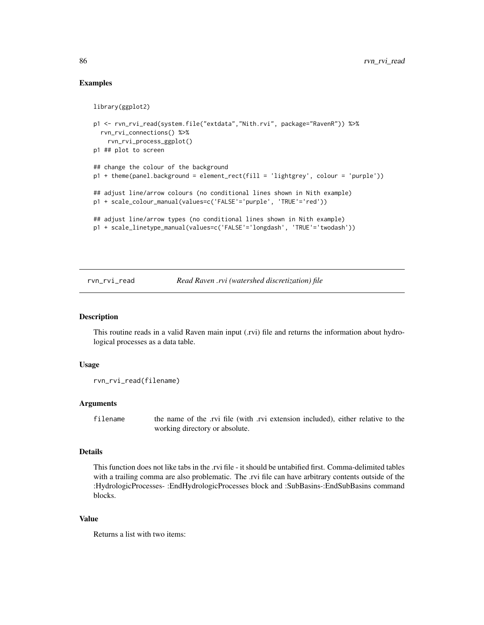# Examples

```
library(ggplot2)
p1 <- rvn_rvi_read(system.file("extdata","Nith.rvi", package="RavenR")) %>%
 rvn_rvi_connections() %>%
   rvn_rvi_process_ggplot()
p1 ## plot to screen
## change the colour of the background
p1 + theme(panel.background = element_rect(fill = 'lightgrey', colour = 'purple'))
## adjust line/arrow colours (no conditional lines shown in Nith example)
p1 + scale_colour_manual(values=c('FALSE'='purple', 'TRUE'='red'))
## adjust line/arrow types (no conditional lines shown in Nith example)
p1 + scale_linetype_manual(values=c('FALSE'='longdash', 'TRUE'='twodash'))
```
#### <span id="page-85-0"></span>rvn\_rvi\_read *Read Raven .rvi (watershed discretization) file*

#### Description

This routine reads in a valid Raven main input (.rvi) file and returns the information about hydrological processes as a data table.

#### Usage

rvn\_rvi\_read(filename)

#### Arguments

filename the name of the .rvi file (with .rvi extension included), either relative to the working directory or absolute.

#### Details

This function does not like tabs in the .rvi file - it should be untabified first. Comma-delimited tables with a trailing comma are also problematic. The .rvi file can have arbitrary contents outside of the :HydrologicProcesses- :EndHydrologicProcesses block and :SubBasins-:EndSubBasins command blocks.

#### Value

Returns a list with two items: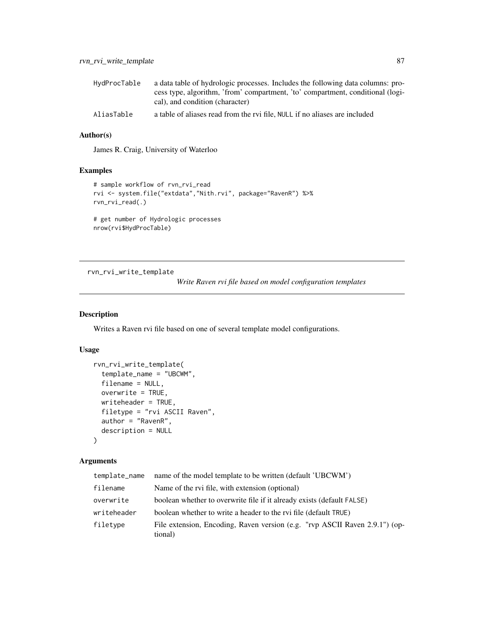| HvdProcTable | a data table of hydrologic processes. Includes the following data columns: pro- |
|--------------|---------------------------------------------------------------------------------|
|              | cess type, algorithm, 'from' compartment, 'to' compartment, conditional (logi-  |
|              | cal), and condition (character)                                                 |
| AliasTable   | a table of aliases read from the rvi file. NULL if no aliases are included      |

# Author(s)

James R. Craig, University of Waterloo

# Examples

```
# sample workflow of rvn_rvi_read
rvi <- system.file("extdata","Nith.rvi", package="RavenR") %>%
rvn_rvi_read(.)
# get number of Hydrologic processes
nrow(rvi$HydProcTable)
```
<span id="page-86-0"></span>rvn\_rvi\_write\_template

*Write Raven rvi file based on model configuration templates*

# Description

Writes a Raven rvi file based on one of several template model configurations.

## Usage

```
rvn_rvi_write_template(
  template_name = "UBCWM",
 filename = NULL,
 overwrite = TRUE,
 writeheader = TRUE,
 filetype = "rvi ASCII Raven",
 author = "RavenR",
 description = NULL
)
```
# Arguments

| template_name | name of the model template to be written (default 'UBCWM')                             |
|---------------|----------------------------------------------------------------------------------------|
| filename      | Name of the rvi file, with extension (optional)                                        |
| overwrite     | boolean whether to overwrite file if it already exists (default FALSE)                 |
| writeheader   | boolean whether to write a header to the rvi file (default TRUE)                       |
| filetype      | File extension, Encoding, Raven version (e.g. "rvp ASCII Raven 2.9.1") (op-<br>tional) |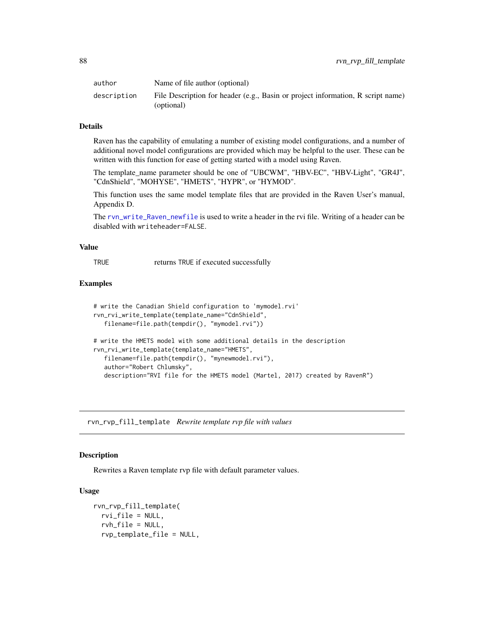| author      | Name of file author (optional)                                                                |
|-------------|-----------------------------------------------------------------------------------------------|
| description | File Description for header (e.g., Basin or project information, R script name)<br>(optional) |

# Details

Raven has the capability of emulating a number of existing model configurations, and a number of additional novel model configurations are provided which may be helpful to the user. These can be written with this function for ease of getting started with a model using Raven.

The template\_name parameter should be one of "UBCWM", "HBV-EC", "HBV-Light", "GR4J", "CdnShield", "MOHYSE", "HMETS", "HYPR", or "HYMOD".

This function uses the same model template files that are provided in the Raven User's manual, Appendix D.

The [rvn\\_write\\_Raven\\_newfile](#page-112-0) is used to write a header in the rvi file. Writing of a header can be disabled with writeheader=FALSE.

# Value

TRUE returns TRUE if executed successfully

## Examples

```
# write the Canadian Shield configuration to 'mymodel.rvi'
rvn_rvi_write_template(template_name="CdnShield",
   filename=file.path(tempdir(), "mymodel.rvi"))
# write the HMETS model with some additional details in the description
rvn_rvi_write_template(template_name="HMETS",
   filename=file.path(tempdir(), "mynewmodel.rvi"),
   author="Robert Chlumsky",
  description="RVI file for the HMETS model (Martel, 2017) created by RavenR")
```
rvn\_rvp\_fill\_template *Rewrite template rvp file with values*

# Description

Rewrites a Raven template rvp file with default parameter values.

#### Usage

```
rvn_rvp_fill_template(
  rvi_file = NULL,
  rvh_file = NULL,
  rvp_template_file = NULL,
```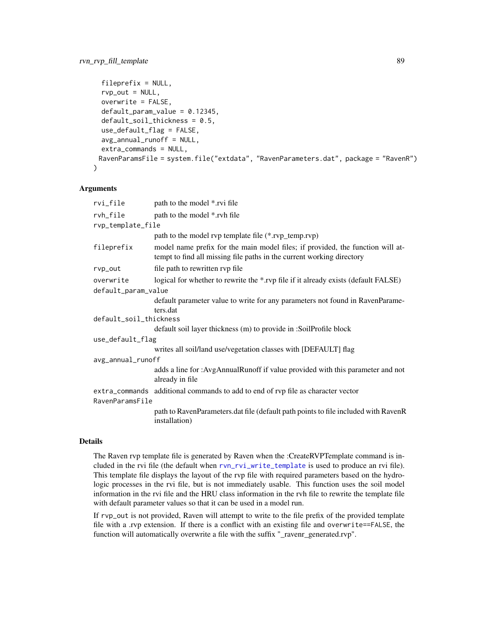```
fileprefix = NULL,
  rvp\_out = NULL,overwrite = FALSE,
  default\_param_value = 0.12345,default_soil_thickness = 0.5,
  use_default_flag = FALSE,
  avg_annual_runoff = NULL,
  extra_commands = NULL,
 RavenParamsFile = system.file("extdata", "RavenParameters.dat", package = "RavenR")
)
```
#### Arguments

| rvi_file               | path to the model *.rvi file                                                                                                                            |  |
|------------------------|---------------------------------------------------------------------------------------------------------------------------------------------------------|--|
| rvh_file               | path to the model *.rvh file                                                                                                                            |  |
| rvp_template_file      |                                                                                                                                                         |  |
|                        | path to the model rvp template file (*.rvp_temp.rvp)                                                                                                    |  |
| fileprefix             | model name prefix for the main model files; if provided, the function will at-<br>tempt to find all missing file paths in the current working directory |  |
| rvp_out                | file path to rewritten rvp file                                                                                                                         |  |
| overwrite              | logical for whether to rewrite the *.rvp file if it already exists (default FALSE)                                                                      |  |
| default_param_value    |                                                                                                                                                         |  |
|                        | default parameter value to write for any parameters not found in RavenParame-<br>ters.dat                                                               |  |
| default_soil_thickness |                                                                                                                                                         |  |
|                        | default soil layer thickness (m) to provide in :SoilProfile block                                                                                       |  |
| use_default_flag       |                                                                                                                                                         |  |
|                        | writes all soil/land use/vegetation classes with [DEFAULT] flag                                                                                         |  |
| avg_annual_runoff      |                                                                                                                                                         |  |
|                        | adds a line for :AvgAnnualRunoff if value provided with this parameter and not<br>already in file                                                       |  |
| RavenParamsFile        | extra_commands additional commands to add to end of rvp file as character vector                                                                        |  |
|                        | path to RavenParameters.dat file (default path points to file included with RavenR<br>installation)                                                     |  |

#### Details

The Raven rvp template file is generated by Raven when the :CreateRVPTemplate command is included in the rvi file (the default when [rvn\\_rvi\\_write\\_template](#page-86-0) is used to produce an rvi file). This template file displays the layout of the rvp file with required parameters based on the hydrologic processes in the rvi file, but is not immediately usable. This function uses the soil model information in the rvi file and the HRU class information in the rvh file to rewrite the template file with default parameter values so that it can be used in a model run.

If rvp\_out is not provided, Raven will attempt to write to the file prefix of the provided template file with a .rvp extension. If there is a conflict with an existing file and overwrite==FALSE, the function will automatically overwrite a file with the suffix "\_ravenr\_generated.rvp".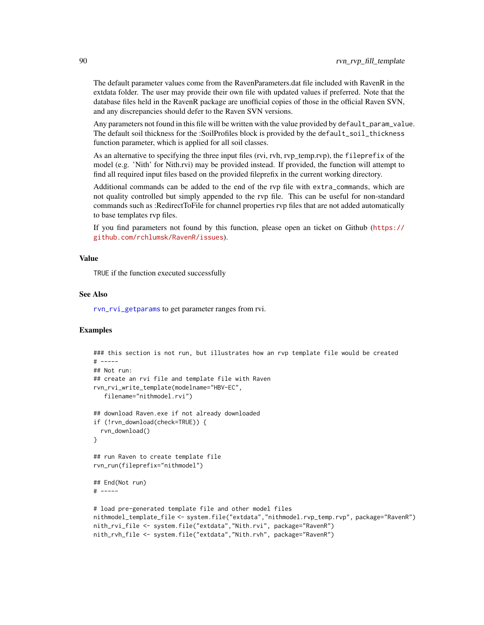The default parameter values come from the RavenParameters.dat file included with RavenR in the extdata folder. The user may provide their own file with updated values if preferred. Note that the database files held in the RavenR package are unofficial copies of those in the official Raven SVN, and any discrepancies should defer to the Raven SVN versions.

Any parameters not found in this file will be written with the value provided by default\_param\_value. The default soil thickness for the :SoilProfiles block is provided by the default\_soil\_thickness function parameter, which is applied for all soil classes.

As an alternative to specifying the three input files (rvi, rvh, rvp\_temp.rvp), the fileprefix of the model (e.g. 'Nith' for Nith.rvi) may be provided instead. If provided, the function will attempt to find all required input files based on the provided fileprefix in the current working directory.

Additional commands can be added to the end of the rvp file with extra\_commands, which are not quality controlled but simply appended to the rvp file. This can be useful for non-standard commands such as :RedirectToFile for channel properties rvp files that are not added automatically to base templates rvp files.

If you find parameters not found by this function, please open an ticket on Github ([https://](https://github.com/rchlumsk/RavenR/issues) [github.com/rchlumsk/RavenR/issues](https://github.com/rchlumsk/RavenR/issues)).

## Value

TRUE if the function executed successfully

#### See Also

[rvn\\_rvi\\_getparams](#page-80-0) to get parameter ranges from rvi.

```
### this section is not run, but illustrates how an rvp template file would be created
# -----
## Not run:
## create an rvi file and template file with Raven
rvn_rvi_write_template(modelname="HBV-EC",
   filename="nithmodel.rvi")
## download Raven.exe if not already downloaded
if (!rvn_download(check=TRUE)) {
  rvn_download()
}
## run Raven to create template file
rvn_run(fileprefix="nithmodel")
## End(Not run)
# -----
# load pre-generated template file and other model files
nithmodel_template_file <- system.file("extdata","nithmodel.rvp_temp.rvp", package="RavenR")
nith_rvi_file <- system.file("extdata","Nith.rvi", package="RavenR")
nith_rvh_file <- system.file("extdata","Nith.rvh", package="RavenR")
```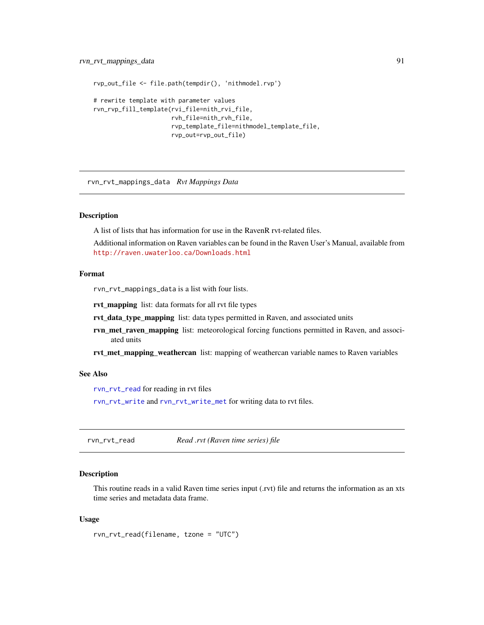```
rvp_out_file <- file.path(tempdir(), 'nithmodel.rvp')
# rewrite template with parameter values
rvn_rvp_fill_template(rvi_file=nith_rvi_file,
                      rvh_file=nith_rvh_file,
                      rvp_template_file=nithmodel_template_file,
                      rvp_out=rvp_out_file)
```
rvn\_rvt\_mappings\_data *Rvt Mappings Data*

# Description

A list of lists that has information for use in the RavenR rvt-related files.

Additional information on Raven variables can be found in the Raven User's Manual, available from <http://raven.uwaterloo.ca/Downloads.html>

# Format

rvn\_rvt\_mappings\_data is a list with four lists.

rvt\_mapping list: data formats for all rvt file types

rvt\_data\_type\_mapping list: data types permitted in Raven, and associated units

rvn\_met\_raven\_mapping list: meteorological forcing functions permitted in Raven, and associated units

rvt\_met\_mapping\_weathercan list: mapping of weathercan variable names to Raven variables

#### See Also

[rvn\\_rvt\\_read](#page-90-0) for reading in rvt files

[rvn\\_rvt\\_write](#page-94-0) and [rvn\\_rvt\\_write\\_met](#page-95-0) for writing data to rvt files.

<span id="page-90-0"></span>rvn\_rvt\_read *Read .rvt (Raven time series) file*

# Description

This routine reads in a valid Raven time series input (.rvt) file and returns the information as an xts time series and metadata data frame.

#### Usage

rvn\_rvt\_read(filename, tzone = "UTC")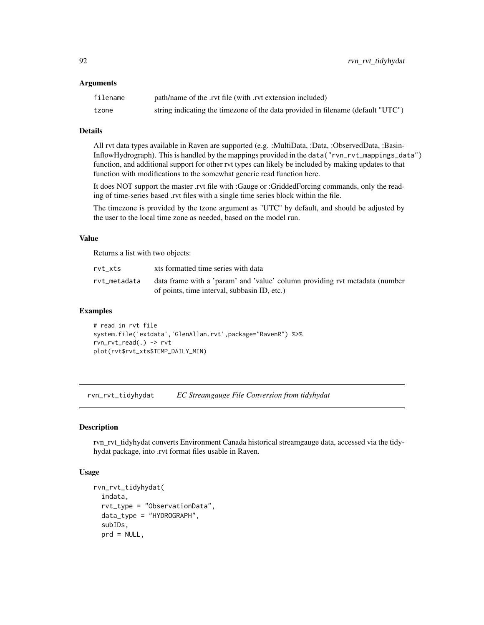#### Arguments

| filename | path/name of the .rvt file (with .rvt extension included)                       |
|----------|---------------------------------------------------------------------------------|
| tzone    | string indicating the timezone of the data provided in filename (default "UTC") |

# Details

All rvt data types available in Raven are supported (e.g. :MultiData, :Data, :ObservedData, :Basin-InflowHydrograph). This is handled by the mappings provided in the data("rvn\_rvt\_mappings\_data") function, and additional support for other rvt types can likely be included by making updates to that function with modifications to the somewhat generic read function here.

It does NOT support the master .rvt file with :Gauge or :GriddedForcing commands, only the reading of time-series based .rvt files with a single time series block within the file.

The timezone is provided by the tzone argument as "UTC" by default, and should be adjusted by the user to the local time zone as needed, based on the model run.

# Value

Returns a list with two objects:

| rvt xts      | xts formatted time series with data                                                                                         |
|--------------|-----------------------------------------------------------------------------------------------------------------------------|
| rvt_metadata | data frame with a 'param' and 'value' column providing ryt metadata (number<br>of points, time interval, subbasin ID, etc.) |

## Examples

# read in rvt file system.file('extdata','GlenAllan.rvt',package="RavenR") %>% rvn\_rvt\_read(.) -> rvt plot(rvt\$rvt\_xts\$TEMP\_DAILY\_MIN)

<span id="page-91-0"></span>rvn\_rvt\_tidyhydat *EC Streamgauge File Conversion from tidyhydat*

#### Description

rvn\_rvt\_tidyhydat converts Environment Canada historical streamgauge data, accessed via the tidyhydat package, into .rvt format files usable in Raven.

# Usage

```
rvn_rvt_tidyhydat(
  indata,
  rvt_type = "ObservationData",
  data_type = "HYDROGRAPH",
  subIDs,
  prd = NULL,
```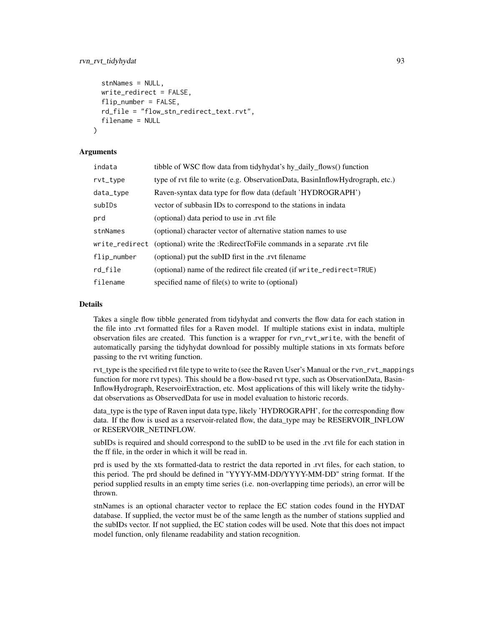```
stnNames = NULL,
 write_redirect = FALSE,
 flip_number = FALSE,
 rd_file = "flow_stn_redirect_text.rvt",
  filename = NULL
)
```
## Arguments

| indata         | tibble of WSC flow data from tidyhydat's hy_daily_flows() function            |
|----------------|-------------------------------------------------------------------------------|
| rvt_type       | type of rvt file to write (e.g. ObservationData, BasinInflowHydrograph, etc.) |
| data_type      | Raven-syntax data type for flow data (default 'HYDROGRAPH')                   |
| subIDs         | vector of subbasin IDs to correspond to the stations in indata                |
| prd            | (optional) data period to use in .rvt file                                    |
| stnNames       | (optional) character vector of alternative station names to use               |
| write_redirect | (optional) write the :RedirectToFile commands in a separate .rvt file         |
| flip_number    | (optional) put the subID first in the .rvt filename                           |
| rd_file        | (optional) name of the redirect file created (if write_redirect=TRUE)         |
| filename       | specified name of file(s) to write to (optional)                              |

#### Details

Takes a single flow tibble generated from tidyhydat and converts the flow data for each station in the file into .rvt formatted files for a Raven model. If multiple stations exist in indata, multiple observation files are created. This function is a wrapper for rvn\_rvt\_write, with the benefit of automatically parsing the tidyhydat download for possibly multiple stations in xts formats before passing to the rvt writing function.

rvt type is the specified rvt file type to write to (see the Raven User's Manual or the rvn\_rvt\_mappings function for more rvt types). This should be a flow-based rvt type, such as ObservationData, Basin-InflowHydrograph, ReservoirExtraction, etc. Most applications of this will likely write the tidyhydat observations as ObservedData for use in model evaluation to historic records.

data\_type is the type of Raven input data type, likely 'HYDROGRAPH', for the corresponding flow data. If the flow is used as a reservoir-related flow, the data\_type may be RESERVOIR\_INFLOW or RESERVOIR\_NETINFLOW.

subIDs is required and should correspond to the subID to be used in the .rvt file for each station in the ff file, in the order in which it will be read in.

prd is used by the xts formatted-data to restrict the data reported in .rvt files, for each station, to this period. The prd should be defined in "YYYY-MM-DD/YYYY-MM-DD" string format. If the period supplied results in an empty time series (i.e. non-overlapping time periods), an error will be thrown.

stnNames is an optional character vector to replace the EC station codes found in the HYDAT database. If supplied, the vector must be of the same length as the number of stations supplied and the subIDs vector. If not supplied, the EC station codes will be used. Note that this does not impact model function, only filename readability and station recognition.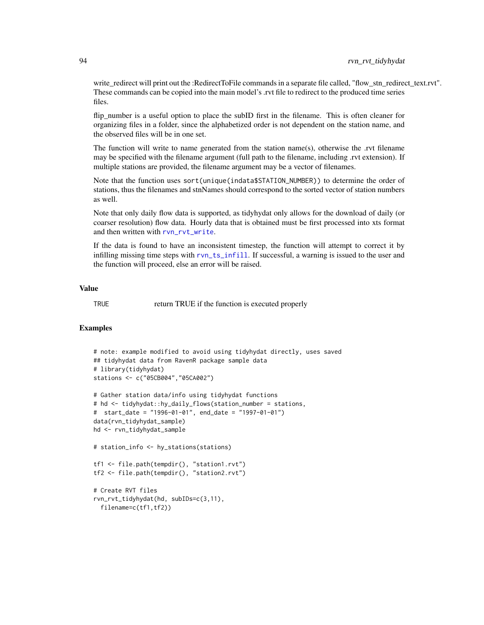write\_redirect will print out the :RedirectToFile commands in a separate file called, "flow\_stn\_redirect\_text.rvt". These commands can be copied into the main model's .rvt file to redirect to the produced time series files.

flip\_number is a useful option to place the subID first in the filename. This is often cleaner for organizing files in a folder, since the alphabetized order is not dependent on the station name, and the observed files will be in one set.

The function will write to name generated from the station name(s), otherwise the .rvt filename may be specified with the filename argument (full path to the filename, including .rvt extension). If multiple stations are provided, the filename argument may be a vector of filenames.

Note that the function uses sort(unique(indata\$STATION\_NUMBER)) to determine the order of stations, thus the filenames and stnNames should correspond to the sorted vector of station numbers as well.

Note that only daily flow data is supported, as tidyhydat only allows for the download of daily (or coarser resolution) flow data. Hourly data that is obtained must be first processed into xts format and then written with ryn\_ryt\_write.

If the data is found to have an inconsistent timestep, the function will attempt to correct it by infilling missing time steps with [rvn\\_ts\\_infill](#page-103-0). If successful, a warning is issued to the user and the function will proceed, else an error will be raised.

# Value

TRUE return TRUE if the function is executed properly

```
# note: example modified to avoid using tidyhydat directly, uses saved
## tidyhydat data from RavenR package sample data
# library(tidyhydat)
stations <- c("05CB004","05CA002")
# Gather station data/info using tidyhydat functions
# hd <- tidyhydat::hy_daily_flows(station_number = stations,
# start_date = "1996-01-01", end_date = "1997-01-01")
data(rvn_tidyhydat_sample)
hd <- rvn_tidyhydat_sample
# station_info <- hy_stations(stations)
tf1 <- file.path(tempdir(), "station1.rvt")
tf2 <- file.path(tempdir(), "station2.rvt")
# Create RVT files
rvn_rvt_tidyhydat(hd, subIDs=c(3,11),
 filename=c(tf1,tf2))
```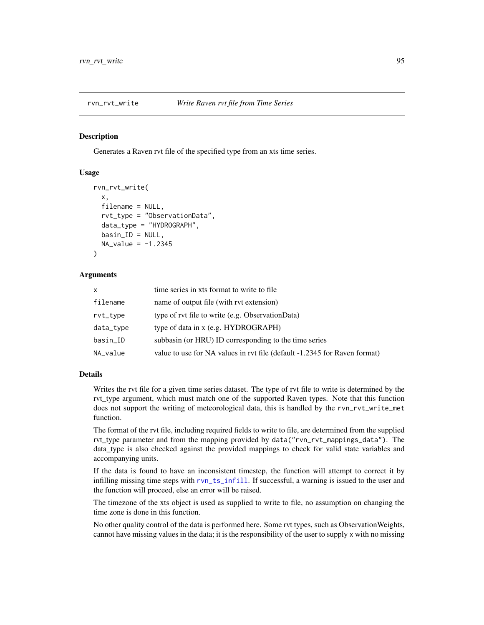<span id="page-94-0"></span>

#### **Description**

Generates a Raven rvt file of the specified type from an xts time series.

#### Usage

```
rvn_rvt_write(
 x,
 filename = NULL,
  rvt_type = "ObservationData",
 data_type = "HYDROGRAPH",
 basin\_ID = NULL,NA_value = -1.2345)
```
## **Arguments**

| X         | time series in xts format to write to file.                               |
|-----------|---------------------------------------------------------------------------|
| filename  | name of output file (with rvt extension)                                  |
| rvt_type  | type of rvt file to write (e.g. ObservationData)                          |
| data_type | type of data in $x$ (e.g. HYDROGRAPH)                                     |
| basin_ID  | subbasin (or HRU) ID corresponding to the time series                     |
| NA_value  | value to use for NA values in rvt file (default -1.2345 for Raven format) |

# Details

Writes the rvt file for a given time series dataset. The type of rvt file to write is determined by the rvt\_type argument, which must match one of the supported Raven types. Note that this function does not support the writing of meteorological data, this is handled by the rvn\_rvt\_write\_met function.

The format of the rvt file, including required fields to write to file, are determined from the supplied rvt\_type parameter and from the mapping provided by data("rvn\_rvt\_mappings\_data"). The data\_type is also checked against the provided mappings to check for valid state variables and accompanying units.

If the data is found to have an inconsistent timestep, the function will attempt to correct it by infilling missing time steps with [rvn\\_ts\\_infill](#page-103-0). If successful, a warning is issued to the user and the function will proceed, else an error will be raised.

The timezone of the xts object is used as supplied to write to file, no assumption on changing the time zone is done in this function.

No other quality control of the data is performed here. Some rvt types, such as ObservationWeights, cannot have missing values in the data; it is the responsibility of the user to supply x with no missing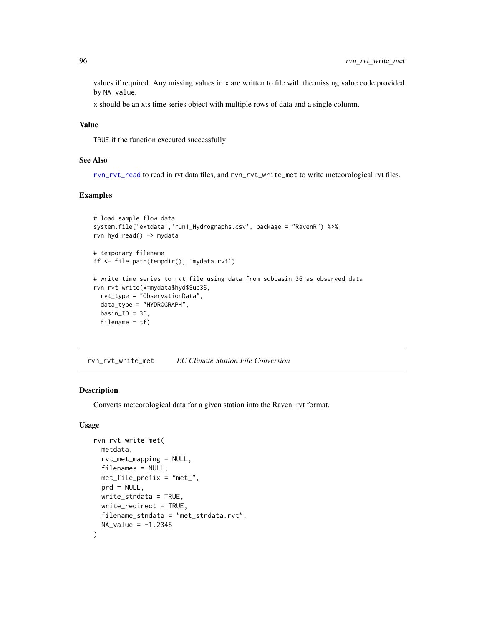values if required. Any missing values in x are written to file with the missing value code provided by NA\_value.

x should be an xts time series object with multiple rows of data and a single column.

#### Value

TRUE if the function executed successfully

#### See Also

[rvn\\_rvt\\_read](#page-90-0) to read in rvt data files, and rvn\_rvt\_write\_met to write meteorological rvt files.

## Examples

```
# load sample flow data
system.file('extdata','run1_Hydrographs.csv', package = "RavenR") %>%
rvn_hyd_read() -> mydata
# temporary filename
tf <- file.path(tempdir(), 'mydata.rvt')
# write time series to rvt file using data from subbasin 36 as observed data
rvn_rvt_write(x=mydata$hyd$Sub36,
 rvt_type = "ObservationData",
 data_type = "HYDROGRAPH",
 basin<sub>-ID</sub> = 36,
 filename = tf)
```
<span id="page-95-0"></span>rvn\_rvt\_write\_met *EC Climate Station File Conversion*

# Description

Converts meteorological data for a given station into the Raven .rvt format.

#### Usage

```
rvn_rvt_write_met(
 metdata,
  rvt_met_mapping = NULL,
  filenames = NULL,
 met_file_prefix = "met_",
 prd = NULL,
 write_stndata = TRUE,
 write_redirect = TRUE,
 filename_stndata = "met_stndata.rvt",
 NA_value = -1.2345)
```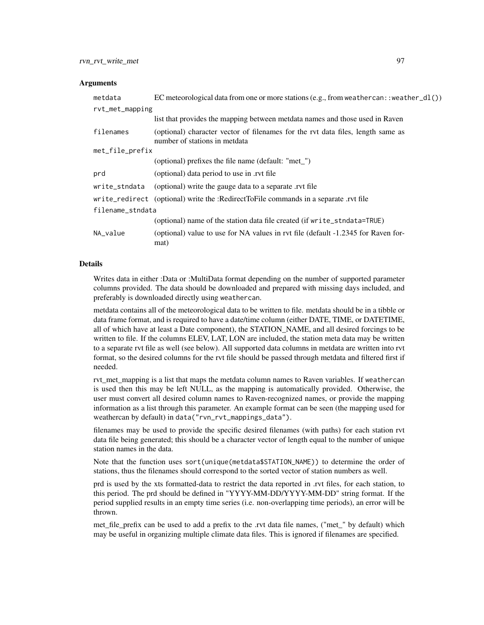#### Arguments

| metdata          | EC meteorological data from one or more stations (e.g., from weathercan: : weather_dl())                         |  |
|------------------|------------------------------------------------------------------------------------------------------------------|--|
| rvt_met_mapping  |                                                                                                                  |  |
|                  | list that provides the mapping between metdata names and those used in Raven                                     |  |
| filenames        | (optional) character vector of filenames for the rvt data files, length same as<br>number of stations in metdata |  |
| met_file_prefix  |                                                                                                                  |  |
|                  | (optional) prefixes the file name (default: "met_")                                                              |  |
| prd              | (optional) data period to use in .rvt file                                                                       |  |
| write_stndata    | (optional) write the gauge data to a separate rvt file                                                           |  |
|                  | write_redirect (optional) write the :RedirectToFile commands in a separate .rvt file                             |  |
| filename_stndata |                                                                                                                  |  |
|                  | (optional) name of the station data file created (if write_stndata=TRUE)                                         |  |
| NA_value         | (optional) value to use for NA values in rvt file (default -1.2345 for Raven for-<br>mat)                        |  |

#### Details

Writes data in either :Data or :MultiData format depending on the number of supported parameter columns provided. The data should be downloaded and prepared with missing days included, and preferably is downloaded directly using weathercan.

metdata contains all of the meteorological data to be written to file. metdata should be in a tibble or data frame format, and is required to have a date/time column (either DATE, TIME, or DATETIME, all of which have at least a Date component), the STATION\_NAME, and all desired forcings to be written to file. If the columns ELEV, LAT, LON are included, the station meta data may be written to a separate rvt file as well (see below). All supported data columns in metdata are written into rvt format, so the desired columns for the rvt file should be passed through metdata and filtered first if needed.

rvt\_met\_mapping is a list that maps the metdata column names to Raven variables. If weathercan is used then this may be left NULL, as the mapping is automatically provided. Otherwise, the user must convert all desired column names to Raven-recognized names, or provide the mapping information as a list through this parameter. An example format can be seen (the mapping used for weathercan by default) in data("rvn\_rvt\_mappings\_data").

filenames may be used to provide the specific desired filenames (with paths) for each station rvt data file being generated; this should be a character vector of length equal to the number of unique station names in the data.

Note that the function uses sort(unique(metdata\$STATION\_NAME)) to determine the order of stations, thus the filenames should correspond to the sorted vector of station numbers as well.

prd is used by the xts formatted-data to restrict the data reported in .rvt files, for each station, to this period. The prd should be defined in "YYYY-MM-DD/YYYY-MM-DD" string format. If the period supplied results in an empty time series (i.e. non-overlapping time periods), an error will be thrown.

met\_file\_prefix can be used to add a prefix to the .rvt data file names, ("met\_" by default) which may be useful in organizing multiple climate data files. This is ignored if filenames are specified.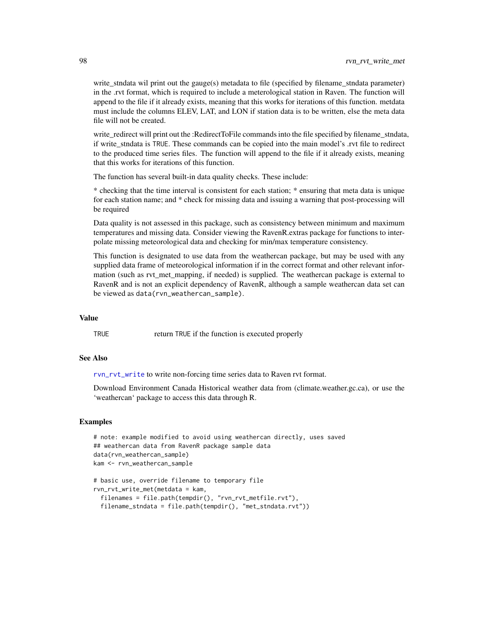write\_stndata wil print out the gauge(s) metadata to file (specified by filename\_stndata parameter) in the .rvt format, which is required to include a meterological station in Raven. The function will append to the file if it already exists, meaning that this works for iterations of this function. metdata must include the columns ELEV, LAT, and LON if station data is to be written, else the meta data file will not be created.

write\_redirect will print out the :RedirectToFile commands into the file specified by filename\_stndata, if write\_stndata is TRUE. These commands can be copied into the main model's .rvt file to redirect to the produced time series files. The function will append to the file if it already exists, meaning that this works for iterations of this function.

The function has several built-in data quality checks. These include:

\* checking that the time interval is consistent for each station; \* ensuring that meta data is unique for each station name; and \* check for missing data and issuing a warning that post-processing will be required

Data quality is not assessed in this package, such as consistency between minimum and maximum temperatures and missing data. Consider viewing the RavenR.extras package for functions to interpolate missing meteorological data and checking for min/max temperature consistency.

This function is designated to use data from the weathercan package, but may be used with any supplied data frame of meteorological information if in the correct format and other relevant information (such as rvt met mapping, if needed) is supplied. The weathercan package is external to RavenR and is not an explicit dependency of RavenR, although a sample weathercan data set can be viewed as data(rvn\_weathercan\_sample).

#### Value

TRUE return TRUE if the function is executed properly

#### See Also

[rvn\\_rvt\\_write](#page-94-0) to write non-forcing time series data to Raven rvt format.

Download Environment Canada Historical weather data from (climate.weather.gc.ca), or use the 'weathercan' package to access this data through R.

```
# note: example modified to avoid using weathercan directly, uses saved
## weathercan data from RavenR package sample data
data(rvn_weathercan_sample)
kam <- rvn_weathercan_sample
```

```
# basic use, override filename to temporary file
rvn_rvt_write_met(metdata = kam,
 filenames = file.path(tempdir(), "rvn_rvt_metfile.rvt"),
 filename_stndata = file.path(tempdir(), "met_stndata.rvt"))
```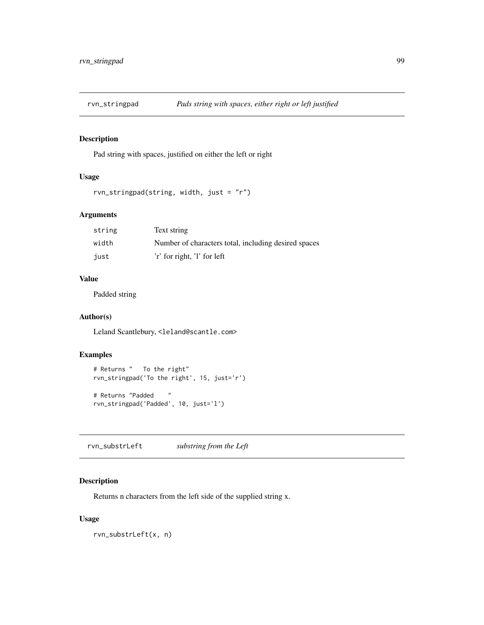# Description

Pad string with spaces, justified on either the left or right

#### Usage

```
rvn_stringpad(string, width, just = "r")
```
# Arguments

| string | Text string                                          |
|--------|------------------------------------------------------|
| width  | Number of characters total, including desired spaces |
| iust   | 'r' for right, 'l' for left                          |

# Value

Padded string

# Author(s)

Leland Scantlebury, <leland@scantle.com>

# Examples

```
# Returns " To the right"
rvn_stringpad('To the right', 15, just='r')
# Returns "Padded "
rvn_stringpad('Padded', 10, just='l')
```
<span id="page-98-0"></span>rvn\_substrLeft *substring from the Left*

# Description

Returns n characters from the left side of the supplied string x.

#### Usage

rvn\_substrLeft(x, n)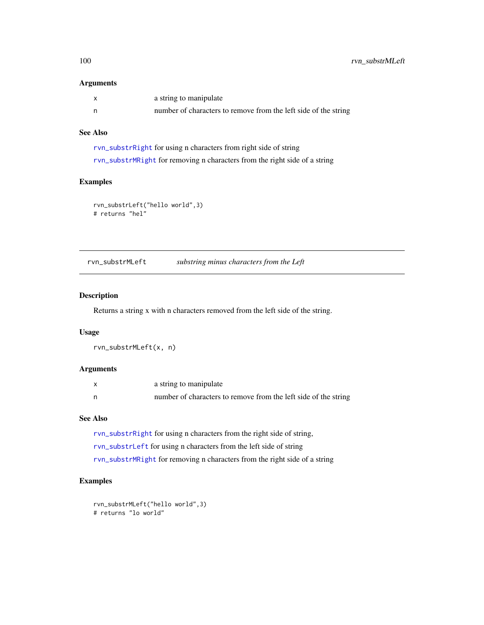## Arguments

| a string to manipulate                                          |
|-----------------------------------------------------------------|
| number of characters to remove from the left side of the string |

# See Also

[rvn\\_substrRight](#page-100-0) for using n characters from right side of string [rvn\\_substrMRight](#page-100-1) for removing n characters from the right side of a string

# Examples

```
rvn_substrLeft("hello world",3)
# returns "hel"
```
<span id="page-99-0"></span>rvn\_substrMLeft *substring minus characters from the Left*

# Description

Returns a string x with n characters removed from the left side of the string.

# Usage

rvn\_substrMLeft(x, n)

# Arguments

| X | a string to manipulate                                          |
|---|-----------------------------------------------------------------|
| n | number of characters to remove from the left side of the string |

#### See Also

[rvn\\_substrRight](#page-100-0) for using n characters from the right side of string,

[rvn\\_substrLeft](#page-98-0) for using n characters from the left side of string

[rvn\\_substrMRight](#page-100-1) for removing n characters from the right side of a string

```
rvn_substrMLeft("hello world",3)
# returns "lo world"
```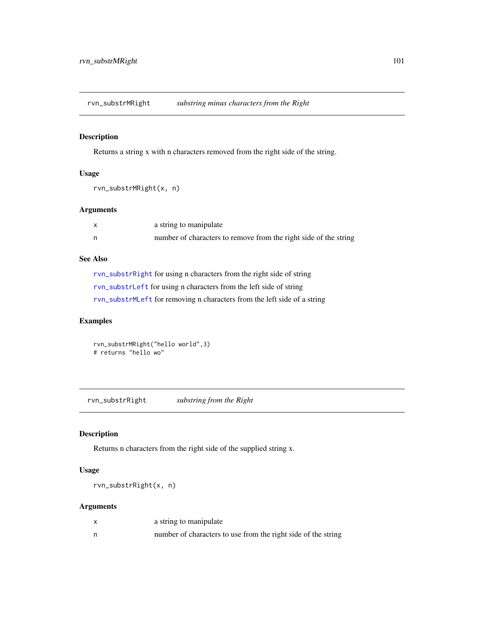<span id="page-100-1"></span>rvn\_substrMRight *substring minus characters from the Right*

# Description

Returns a string x with n characters removed from the right side of the string.

# Usage

```
rvn_substrMRight(x, n)
```
## Arguments

| X  | a string to manipulate                                           |
|----|------------------------------------------------------------------|
| n, | number of characters to remove from the right side of the string |

# See Also

[rvn\\_substrRight](#page-100-0) for using n characters from the right side of string [rvn\\_substrLeft](#page-98-0) for using n characters from the left side of string [rvn\\_substrMLeft](#page-99-0) for removing n characters from the left side of a string

# Examples

rvn\_substrMRight("hello world",3) # returns "hello wo"

<span id="page-100-0"></span>rvn\_substrRight *substring from the Right*

# Description

Returns n characters from the right side of the supplied string x.

# Usage

rvn\_substrRight(x, n)

# Arguments

| a string to manipulate                                        |
|---------------------------------------------------------------|
| number of characters to use from the right side of the string |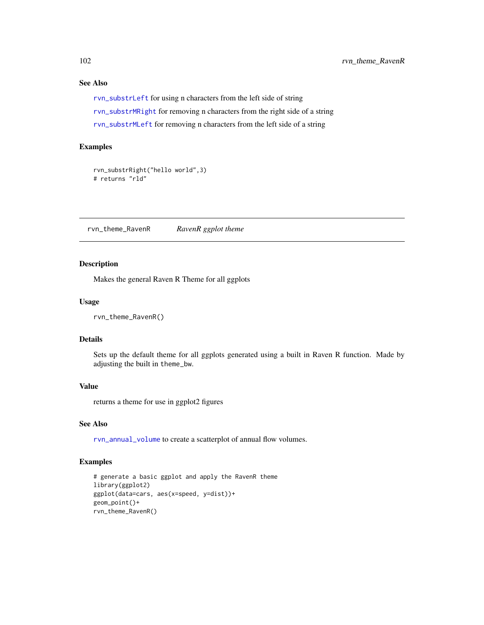# See Also

[rvn\\_substrLeft](#page-98-0) for using n characters from the left side of string [rvn\\_substrMRight](#page-100-1) for removing n characters from the right side of a string [rvn\\_substrMLeft](#page-99-0) for removing n characters from the left side of a string

#### Examples

```
rvn_substrRight("hello world",3)
# returns "rld"
```
rvn\_theme\_RavenR *RavenR ggplot theme*

# Description

Makes the general Raven R Theme for all ggplots

#### Usage

rvn\_theme\_RavenR()

## Details

Sets up the default theme for all ggplots generated using a built in Raven R function. Made by adjusting the built in theme\_bw.

# Value

returns a theme for use in ggplot2 figures

# See Also

[rvn\\_annual\\_volume](#page-14-0) to create a scatterplot of annual flow volumes.

```
# generate a basic ggplot and apply the RavenR theme
library(ggplot2)
ggplot(data=cars, aes(x=speed, y=dist))+
geom_point()+
rvn_theme_RavenR()
```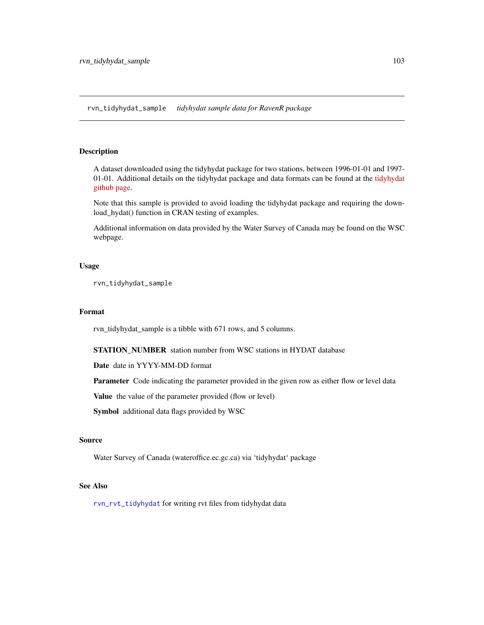rvn\_tidyhydat\_sample *tidyhydat sample data for RavenR package*

# Description

A dataset downloaded using the tidyhydat package for two stations, between 1996-01-01 and 1997- 01-01. Additional details on the tidyhydat package and data formats can be found at the [tidyhydat](https://github.com/ropensci/tidyhydat) [github page.](https://github.com/ropensci/tidyhydat)

Note that this sample is provided to avoid loading the tidyhydat package and requiring the download\_hydat() function in CRAN testing of examples.

Additional information on data provided by the Water Survey of Canada may be found on the WSC webpage.

# Usage

rvn\_tidyhydat\_sample

## Format

rvn\_tidyhydat\_sample is a tibble with 671 rows, and 5 columns.

STATION\_NUMBER station number from WSC stations in HYDAT database

Date date in YYYY-MM-DD format

Parameter Code indicating the parameter provided in the given row as either flow or level data

Value the value of the parameter provided (flow or level)

Symbol additional data flags provided by WSC

# Source

Water Survey of Canada (wateroffice.ec.gc.ca) via 'tidyhydat' package

# See Also

[rvn\\_rvt\\_tidyhydat](#page-91-0) for writing rvt files from tidyhydat data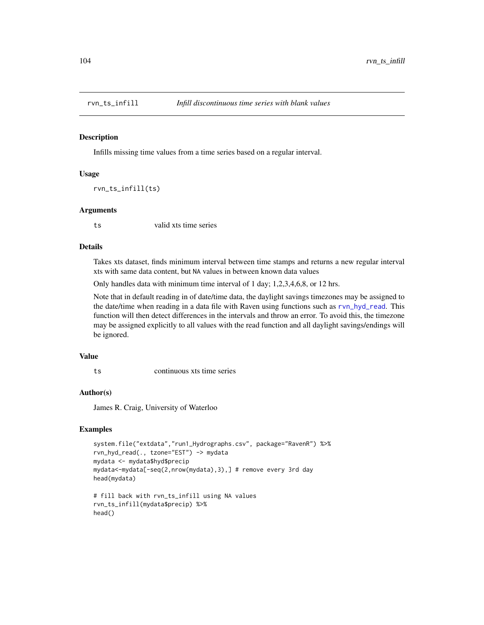<span id="page-103-0"></span>

#### Description

Infills missing time values from a time series based on a regular interval.

# Usage

rvn\_ts\_infill(ts)

#### Arguments

ts valid xts time series

# Details

Takes xts dataset, finds minimum interval between time stamps and returns a new regular interval xts with same data content, but NA values in between known data values

Only handles data with minimum time interval of 1 day; 1,2,3,4,6,8, or 12 hrs.

Note that in default reading in of date/time data, the daylight savings timezones may be assigned to the date/time when reading in a data file with Raven using functions such as [rvn\\_hyd\\_read](#page-46-0). This function will then detect differences in the intervals and throw an error. To avoid this, the timezone may be assigned explicitly to all values with the read function and all daylight savings/endings will be ignored.

## Value

ts continuous xts time series

#### Author(s)

James R. Craig, University of Waterloo

```
system.file("extdata","run1_Hydrographs.csv", package="RavenR") %>%
rvn_hyd_read(., tzone="EST") -> mydata
mydata <- mydata$hyd$precip
mydata<-mydata[-seq(2,nrow(mydata),3),] # remove every 3rd day
head(mydata)
# fill back with rvn_ts_infill using NA values
```

```
rvn_ts_infill(mydata$precip) %>%
head()
```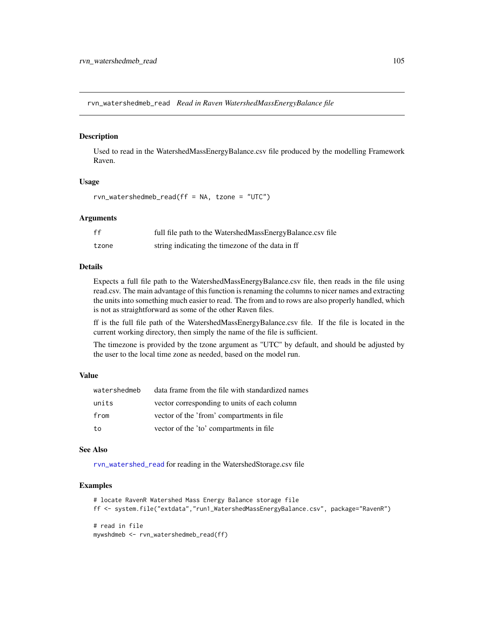<span id="page-104-0"></span>rvn\_watershedmeb\_read *Read in Raven WatershedMassEnergyBalance file*

#### Description

Used to read in the WatershedMassEnergyBalance.csv file produced by the modelling Framework Raven.

# Usage

rvn\_watershedmeb\_read(ff = NA, tzone = "UTC")

#### Arguments

| ff    | full file path to the WatershedMassEnergyBalance.csv file |
|-------|-----------------------------------------------------------|
| tzone | string indicating the timezone of the data in ff          |

#### Details

Expects a full file path to the WatershedMassEnergyBalance.csv file, then reads in the file using read.csv. The main advantage of this function is renaming the columns to nicer names and extracting the units into something much easier to read. The from and to rows are also properly handled, which is not as straightforward as some of the other Raven files.

ff is the full file path of the WatershedMassEnergyBalance.csv file. If the file is located in the current working directory, then simply the name of the file is sufficient.

The timezone is provided by the tzone argument as "UTC" by default, and should be adjusted by the user to the local time zone as needed, based on the model run.

# Value

| watershedmeb | data frame from the file with standardized names |
|--------------|--------------------------------------------------|
| units        | vector corresponding to units of each column     |
| from         | vector of the 'from' compartments in file.       |
| to           | vector of the 'to' compartments in file          |

#### See Also

[rvn\\_watershed\\_read](#page-106-0) for reading in the WatershedStorage.csv file

```
# locate RavenR Watershed Mass Energy Balance storage file
ff <- system.file("extdata","run1_WatershedMassEnergyBalance.csv", package="RavenR")
# read in file
mywshdmeb <- rvn_watershedmeb_read(ff)
```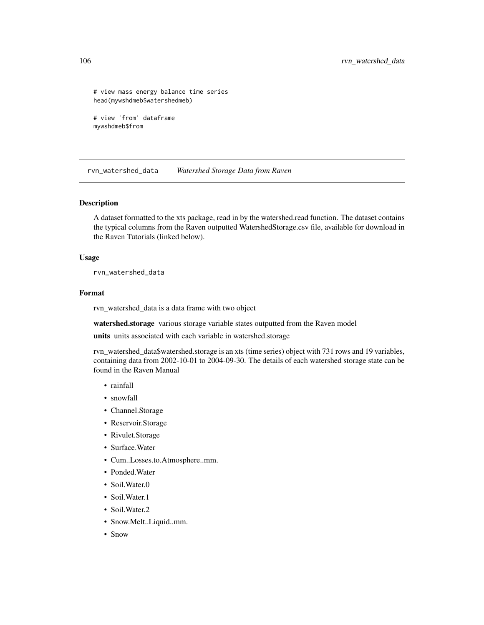# view mass energy balance time series head(mywshdmeb\$watershedmeb)

```
# view 'from' dataframe
mywshdmeb$from
```
rvn\_watershed\_data *Watershed Storage Data from Raven*

#### Description

A dataset formatted to the xts package, read in by the watershed.read function. The dataset contains the typical columns from the Raven outputted WatershedStorage.csv file, available for download in the Raven Tutorials (linked below).

# Usage

rvn\_watershed\_data

#### Format

rvn\_watershed\_data is a data frame with two object

watershed.storage various storage variable states outputted from the Raven model

units units associated with each variable in watershed.storage

rvn\_watershed\_data\$watershed.storage is an xts (time series) object with 731 rows and 19 variables, containing data from 2002-10-01 to 2004-09-30. The details of each watershed storage state can be found in the Raven Manual

- rainfall
- snowfall
- Channel.Storage
- Reservoir.Storage
- Rivulet.Storage
- Surface.Water
- Cum..Losses.to.Atmosphere..mm.
- Ponded.Water
- Soil.Water.0
- Soil.Water.1
- Soil.Water.2
- Snow.Melt..Liquid..mm.
- Snow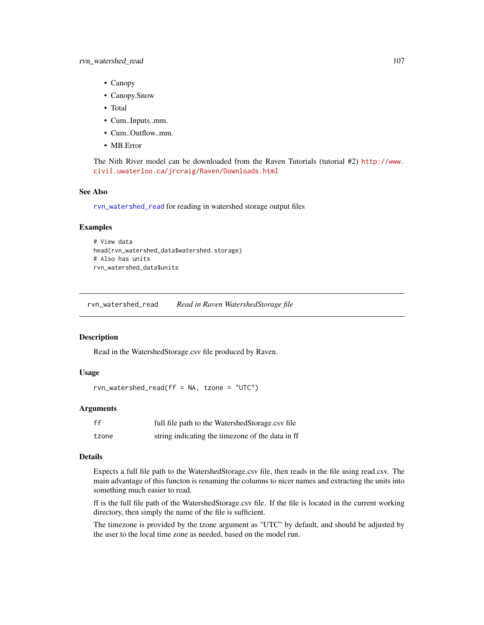- Canopy
- Canopy.Snow
- Total
- Cum..Inputs..mm.
- Cum..Outflow..mm.
- MB.Error

The Nith River model can be downloaded from the Raven Tutorials (tutorial #2) [http://www.](http://www.civil.uwaterloo.ca/jrcraig/Raven/Downloads.html) [civil.uwaterloo.ca/jrcraig/Raven/Downloads.html](http://www.civil.uwaterloo.ca/jrcraig/Raven/Downloads.html)

## See Also

[rvn\\_watershed\\_read](#page-106-0) for reading in watershed storage output files

#### Examples

```
# View data
head(rvn_watershed_data$watershed.storage)
# Also has units
rvn_watershed_data$units
```
<span id="page-106-0"></span>rvn\_watershed\_read *Read in Raven WatershedStorage file*

#### Description

Read in the WatershedStorage.csv file produced by Raven.

# Usage

```
rvn_watershed_read(ff = NA, tzone = "UTC")
```
# Arguments

| ff    | full file path to the WatershedStorage.csv file  |
|-------|--------------------------------------------------|
| tzone | string indicating the timezone of the data in ff |

## Details

Expects a full file path to the WatershedStorage.csv file, then reads in the file using read.csv. The main advantage of this functon is renaming the columns to nicer names and extracting the units into something much easier to read.

ff is the full file path of the WatershedStorage.csv file. If the file is located in the current working directory, then simply the name of the file is sufficient.

The timezone is provided by the tzone argument as "UTC" by default, and should be adjusted by the user to the local time zone as needed, based on the model run.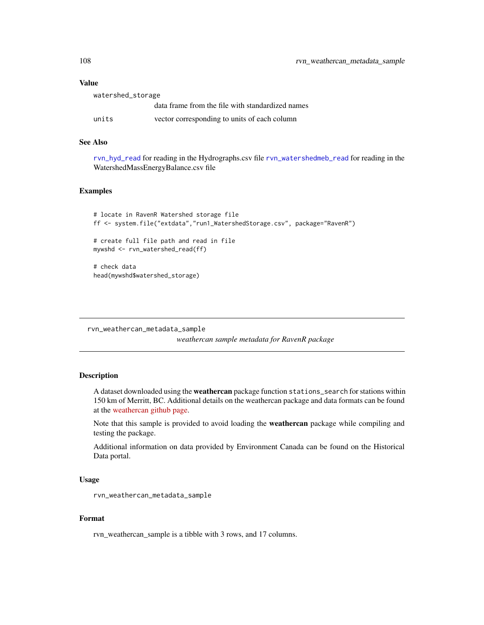## Value

| watershed_storage |                                                  |  |
|-------------------|--------------------------------------------------|--|
|                   | data frame from the file with standardized names |  |
| units             | vector corresponding to units of each column     |  |

# See Also

[rvn\\_hyd\\_read](#page-46-0) for reading in the Hydrographs.csv file [rvn\\_watershedmeb\\_read](#page-104-0) for reading in the WatershedMassEnergyBalance.csv file

# Examples

```
# locate in RavenR Watershed storage file
ff <- system.file("extdata","run1_WatershedStorage.csv", package="RavenR")
# create full file path and read in file
mywshd <- rvn_watershed_read(ff)
# check data
head(mywshd$watershed_storage)
```
rvn\_weathercan\_metadata\_sample

*weathercan sample metadata for RavenR package*

# Description

A dataset downloaded using the weathercan package function stations\_search for stations within 150 km of Merritt, BC. Additional details on the weathercan package and data formats can be found at the [weathercan github page.](https://github.com/ropensci/weathercan)

Note that this sample is provided to avoid loading the weathercan package while compiling and testing the package.

Additional information on data provided by Environment Canada can be found on the Historical Data portal.

#### Usage

```
rvn_weathercan_metadata_sample
```
#### Format

rvn\_weathercan\_sample is a tibble with 3 rows, and 17 columns.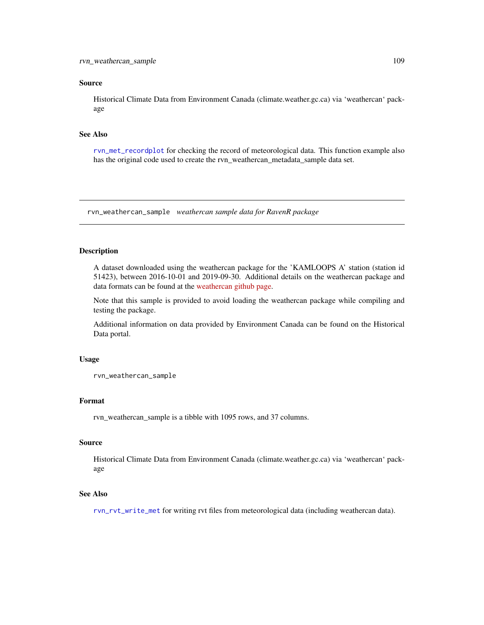#### <span id="page-108-0"></span>Source

Historical Climate Data from Environment Canada (climate.weather.gc.ca) via 'weathercan' package

## See Also

[rvn\\_met\\_recordplot](#page-49-0) for checking the record of meteorological data. This function example also has the original code used to create the rvn\_weathercan\_metadata\_sample data set.

rvn\_weathercan\_sample *weathercan sample data for RavenR package*

## Description

A dataset downloaded using the weathercan package for the 'KAMLOOPS A' station (station id 51423), between 2016-10-01 and 2019-09-30. Additional details on the weathercan package and data formats can be found at the [weathercan github page.](https://github.com/ropensci/weathercan)

Note that this sample is provided to avoid loading the weathercan package while compiling and testing the package.

Additional information on data provided by Environment Canada can be found on the Historical Data portal.

#### Usage

rvn\_weathercan\_sample

#### Format

rvn\_weathercan\_sample is a tibble with 1095 rows, and 37 columns.

#### Source

Historical Climate Data from Environment Canada (climate.weather.gc.ca) via 'weathercan' package

## See Also

[rvn\\_rvt\\_write\\_met](#page-95-0) for writing rvt files from meteorological data (including weathercan data).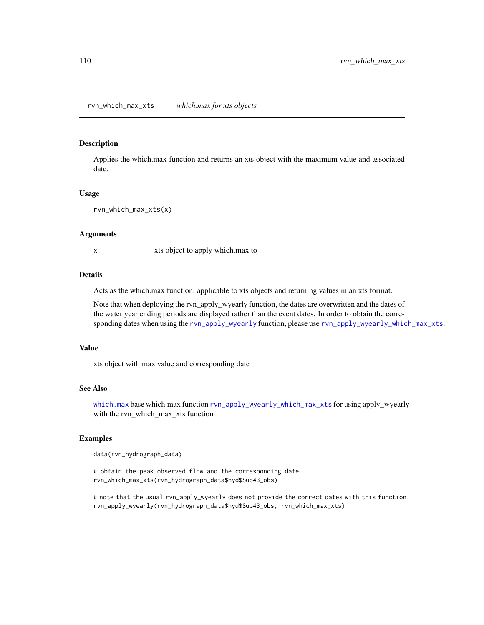## <span id="page-109-0"></span>Description

Applies the which.max function and returns an xts object with the maximum value and associated date.

#### Usage

```
rvn_which_max_xts(x)
```
#### Arguments

x xts object to apply which max to

#### Details

Acts as the which.max function, applicable to xts objects and returning values in an xts format.

Note that when deploying the rvn\_apply\_wyearly function, the dates are overwritten and the dates of the water year ending periods are displayed rather than the event dates. In order to obtain the corresponding dates when using the [rvn\\_apply\\_wyearly](#page-16-0) function, please use [rvn\\_apply\\_wyearly\\_which\\_max\\_xts](#page-17-0).

#### Value

xts object with max value and corresponding date

## See Also

[which.max](#page-0-0) base which.max function [rvn\\_apply\\_wyearly\\_which\\_max\\_xts](#page-17-0) for using apply\_wyearly with the rvn\_which\_max\_xts function

## Examples

data(rvn\_hydrograph\_data)

# obtain the peak observed flow and the corresponding date rvn\_which\_max\_xts(rvn\_hydrograph\_data\$hyd\$Sub43\_obs)

# note that the usual rvn\_apply\_wyearly does not provide the correct dates with this function rvn\_apply\_wyearly(rvn\_hydrograph\_data\$hyd\$Sub43\_obs, rvn\_which\_max\_xts)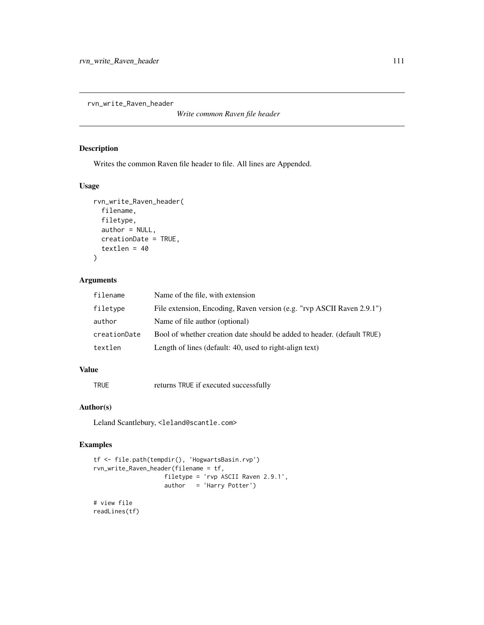<span id="page-110-0"></span>rvn\_write\_Raven\_header

*Write common Raven file header*

## Description

Writes the common Raven file header to file. All lines are Appended.

## Usage

```
rvn_write_Raven_header(
  filename,
  filetype,
  author = NULL,
 creationDate = TRUE,
  textlen = 40
\lambda
```
## Arguments

| filename     | Name of the file, with extension                                        |
|--------------|-------------------------------------------------------------------------|
| filetype     | File extension, Encoding, Raven version (e.g. "rvp ASCII Raven 2.9.1")  |
| author       | Name of file author (optional)                                          |
| creationDate | Bool of whether creation date should be added to header. (default TRUE) |
| textlen      | Length of lines (default: 40, used to right-align text)                 |

# Value

TRUE returns TRUE if executed successfully

## Author(s)

Leland Scantlebury, <leland@scantle.com>

## Examples

```
tf <- file.path(tempdir(), 'HogwartsBasin.rvp')
rvn_write_Raven_header(filename = tf,
                   filetype = 'rvp ASCII Raven 2.9.1',
                   author = 'Harry Potter')
# view file
readLines(tf)
```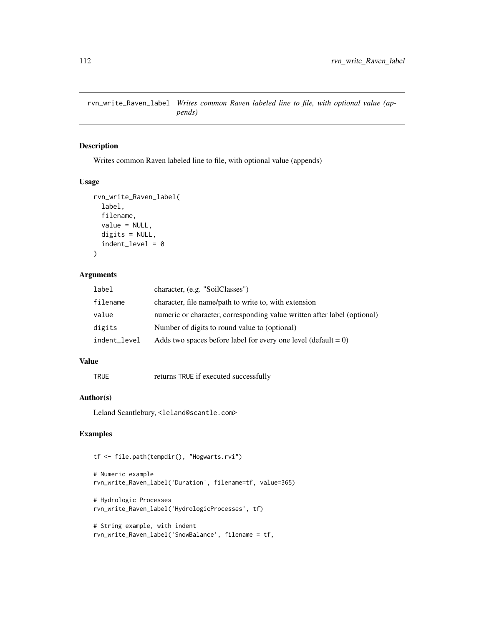<span id="page-111-0"></span>rvn\_write\_Raven\_label *Writes common Raven labeled line to file, with optional value (appends)*

#### Description

Writes common Raven labeled line to file, with optional value (appends)

## Usage

```
rvn_write_Raven_label(
  label,
  filename,
  value = NULL,
  digits = NULL,
  indent\_level = 0\mathcal{L}
```
## Arguments

| label        | character, (e.g. "SoilClasses")                                          |
|--------------|--------------------------------------------------------------------------|
| filename     | character, file name/path to write to, with extension                    |
| value        | numeric or character, corresponding value written after label (optional) |
| digits       | Number of digits to round value to (optional)                            |
| indent_level | Adds two spaces before label for every one level (default $= 0$ )        |

## Value

TRUE returns TRUE if executed successfully

#### Author(s)

Leland Scantlebury, <leland@scantle.com>

## Examples

tf <- file.path(tempdir(), "Hogwarts.rvi")

# Numeric example rvn\_write\_Raven\_label('Duration', filename=tf, value=365)

```
# Hydrologic Processes
rvn_write_Raven_label('HydrologicProcesses', tf)
```

```
# String example, with indent
rvn_write_Raven_label('SnowBalance', filename = tf,
```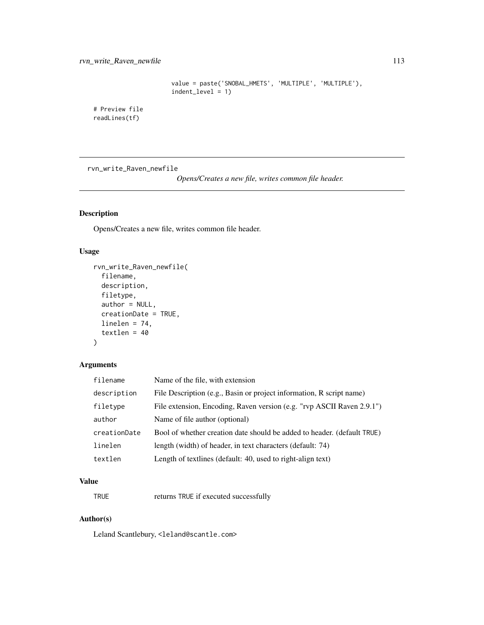```
value = paste('SNOBAL_HMETS', 'MULTIPLE', 'MULTIPLE'),
indent_level = 1)
```
<span id="page-112-0"></span># Preview file readLines(tf)

rvn\_write\_Raven\_newfile

*Opens/Creates a new file, writes common file header.*

# Description

Opens/Creates a new file, writes common file header.

## Usage

```
rvn_write_Raven_newfile(
  filename,
  description,
  filetype,
  author = NULL,creationDate = TRUE,
  linelen = 74,
  textlen = 40
)
```
## Arguments

| filename     | Name of the file, with extension                                        |
|--------------|-------------------------------------------------------------------------|
| description  | File Description (e.g., Basin or project information, R script name)    |
| filetype     | File extension, Encoding, Raven version (e.g. "rvp ASCII Raven 2.9.1")  |
| author       | Name of file author (optional)                                          |
| creationDate | Bool of whether creation date should be added to header. (default TRUE) |
| linelen      | length (width) of header, in text characters (default: 74)              |
| textlen      | Length of textlines (default: 40, used to right-align text)             |

## Value

TRUE returns TRUE if executed successfully

## Author(s)

Leland Scantlebury, <leland@scantle.com>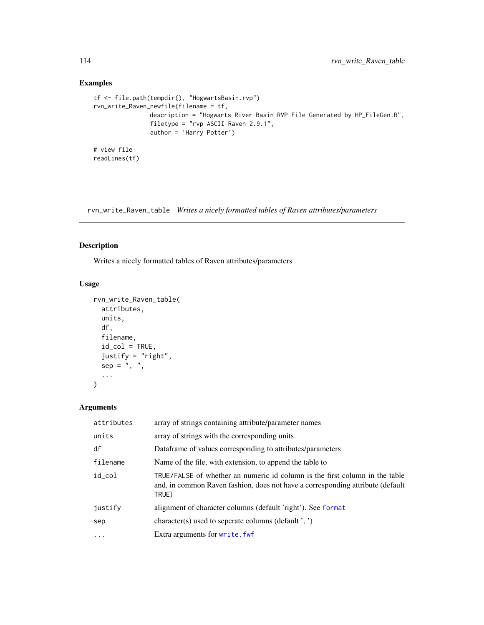## Examples

```
tf <- file.path(tempdir(), "HogwartsBasin.rvp")
rvn_write_Raven_newfile(filename = tf,
               description = "Hogwarts River Basin RVP File Generated by HP_FileGen.R",
                filetype = "rvp ASCII Raven 2.9.1",
                author = 'Harry Potter')
# view file
readLines(tf)
```
rvn\_write\_Raven\_table *Writes a nicely formatted tables of Raven attributes/parameters*

## Description

Writes a nicely formatted tables of Raven attributes/parameters

## Usage

```
rvn_write_Raven_table(
 attributes,
 units,
 df,
  filename,
  id\_col = TRUE,justify = "right",
 sep = ", ",
  ...
)
```
## Arguments

| attributes | array of strings containing attribute/parameter names                                                                                                                  |
|------------|------------------------------------------------------------------------------------------------------------------------------------------------------------------------|
| units      | array of strings with the corresponding units                                                                                                                          |
| df         | Dataframe of values corresponding to attributes/parameters                                                                                                             |
| filename   | Name of the file, with extension, to append the table to                                                                                                               |
| id_col     | TRUE/FALSE of whether an numeric id column is the first column in the table<br>and, in common Raven fashion, does not have a corresponding attribute (default<br>TRUE) |
| justify    | alignment of character columns (default 'right'). See format                                                                                                           |
| sep        | character(s) used to seperate columns (default ', ')                                                                                                                   |
| $\cdots$   | Extra arguments for write. fwf                                                                                                                                         |

<span id="page-113-0"></span>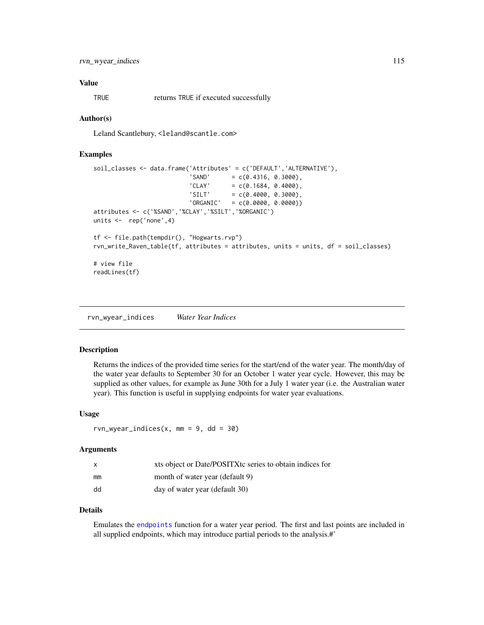## <span id="page-114-0"></span>Value

TRUE returns TRUE if executed successfully

#### Author(s)

Leland Scantlebury, <leland@scantle.com>

#### Examples

```
soil_classes <- data.frame('Attributes' = c('DEFAULT','ALTERNATIVE'),
                          'SAND' = c(0.4316, 0.3000),'CLAY' = c(0.1684, 0.4000),'SILT' = c(0.4000, 0.3000),'ORGANIC' = c(0.0000, 0.0000))attributes <- c('%SAND','%CLAY','%SILT','%ORGANIC')
units <- rep('none',4)
tf <- file.path(tempdir(), "Hogwarts.rvp")
rvn_write_Raven_table(tf, attributes = attributes, units = units, df = soil_classes)
# view file
readLines(tf)
```
rvn\_wyear\_indices *Water Year Indices*

#### Description

Returns the indices of the provided time series for the start/end of the water year. The month/day of the water year defaults to September 30 for an October 1 water year cycle. However, this may be supplied as other values, for example as June 30th for a July 1 water year (i.e. the Australian water year). This function is useful in supplying endpoints for water year evaluations.

#### Usage

 $rvn_wyear\_indices(x, mm = 9, dd = 30)$ 

#### Arguments

| X  | xts object or Date/POSITX tc series to obtain indices for |
|----|-----------------------------------------------------------|
| mm | month of water year (default 9)                           |
| dd | day of water year (default 30)                            |

#### Details

Emulates the [endpoints](#page-0-0) function for a water year period. The first and last points are included in all supplied endpoints, which may introduce partial periods to the analysis.#'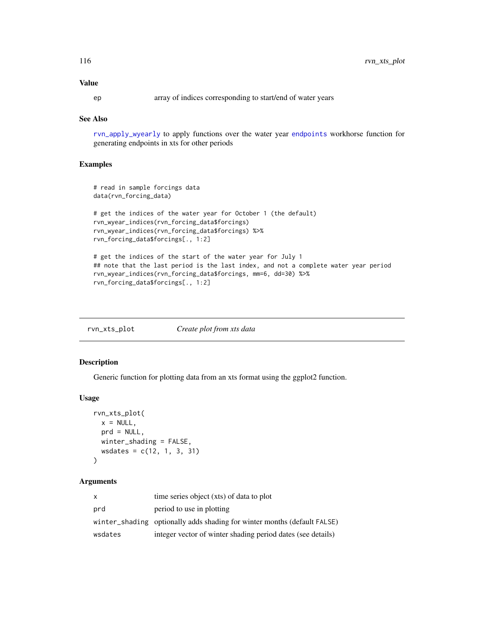## <span id="page-115-0"></span>Value

ep array of indices corresponding to start/end of water years

#### See Also

[rvn\\_apply\\_wyearly](#page-16-0) to apply functions over the water year [endpoints](#page-0-0) workhorse function for generating endpoints in xts for other periods

## Examples

```
# read in sample forcings data
data(rvn_forcing_data)
# get the indices of the water year for October 1 (the default)
rvn_wyear_indices(rvn_forcing_data$forcings)
rvn_wyear_indices(rvn_forcing_data$forcings) %>%
rvn_forcing_data$forcings[., 1:2]
```

```
# get the indices of the start of the water year for July 1
## note that the last period is the last index, and not a complete water year period
rvn_wyear_indices(rvn_forcing_data$forcings, mm=6, dd=30) %>%
rvn_forcing_data$forcings[., 1:2]
```

| rvn_xts_plot | Create plot from xts data |
|--------------|---------------------------|
|              |                           |

#### Description

Generic function for plotting data from an xts format using the ggplot2 function.

#### Usage

```
rvn_xts_plot(
  x = NULL,prd = NULL,winter_shading = FALSE,
  wsdates = c(12, 1, 3, 31)
\mathcal{L}
```
## Arguments

| $\mathsf{x}$ | time series object (xts) of data to plot                                 |
|--------------|--------------------------------------------------------------------------|
| prd          | period to use in plotting                                                |
|              | winter_shading optionally adds shading for winter months (default FALSE) |
| wsdates      | integer vector of winter shading period dates (see details)              |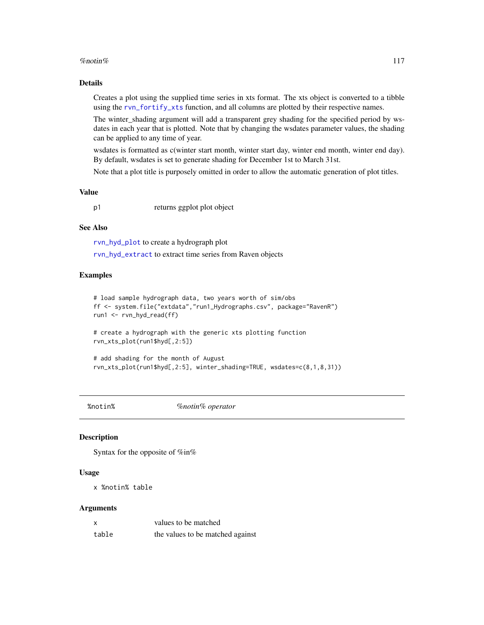#### <span id="page-116-0"></span>% notin% 117

#### Details

Creates a plot using the supplied time series in xts format. The xts object is converted to a tibble using the [rvn\\_fortify\\_xts](#page-38-0) function, and all columns are plotted by their respective names.

The winter\_shading argument will add a transparent grey shading for the specified period by wsdates in each year that is plotted. Note that by changing the wsdates parameter values, the shading can be applied to any time of year.

wsdates is formatted as c(winter start month, winter start day, winter end month, winter end day). By default, wsdates is set to generate shading for December 1st to March 31st.

Note that a plot title is purposely omitted in order to allow the automatic generation of plot titles.

## Value

p1 returns ggplot plot object

#### See Also

[rvn\\_hyd\\_plot](#page-44-0) to create a hydrograph plot [rvn\\_hyd\\_extract](#page-43-0) to extract time series from Raven objects

#### Examples

```
# load sample hydrograph data, two years worth of sim/obs
ff <- system.file("extdata","run1_Hydrographs.csv", package="RavenR")
run1 <- rvn_hyd_read(ff)
```
# create a hydrograph with the generic xts plotting function rvn\_xts\_plot(run1\$hyd[,2:5])

```
# add shading for the month of August
rvn_xts_plot(run1$hyd[,2:5], winter_shading=TRUE, wsdates=c(8,1,8,31))
```
%notin% *%notin% operator*

#### **Description**

Syntax for the opposite of %in%

#### Usage

x %notin% table

#### Arguments

| $\boldsymbol{\mathsf{x}}$ | values to be matched             |
|---------------------------|----------------------------------|
| table                     | the values to be matched against |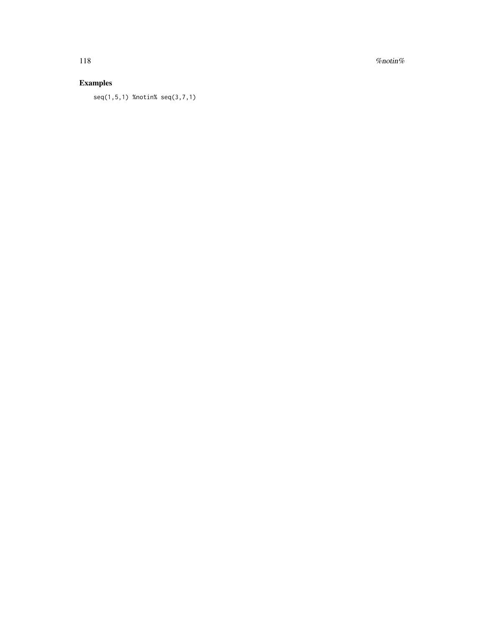118  $\%$  notin $\%$ 

# Examples

seq(1,5,1) %notin% seq(3,7,1)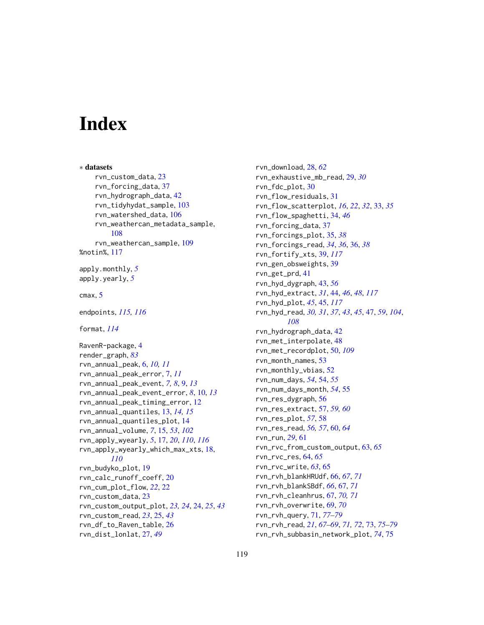# **Index**

∗ datasets rvn\_custom\_data, [23](#page-22-0) rvn\_forcing\_data, [37](#page-36-0) rvn\_hydrograph\_data, [42](#page-41-0) rvn\_tidyhydat\_sample, [103](#page-102-0) rvn\_watershed\_data, [106](#page-105-0) rvn\_weathercan\_metadata\_sample, [108](#page-107-0) rvn\_weathercan\_sample, [109](#page-108-0) %notin%, [117](#page-116-0) apply.monthly, *[5](#page-4-0)* apply.yearly, *[5](#page-4-0)* cmax, [5](#page-4-0) endpoints, *[115,](#page-114-0) [116](#page-115-0)* format, *[114](#page-113-0)* RavenR-package, [4](#page-3-0) render\_graph, *[83](#page-82-0)* rvn\_annual\_peak, [6,](#page-5-0) *[10,](#page-9-0) [11](#page-10-0)* rvn\_annual\_peak\_error, [7,](#page-6-0) *[11](#page-10-0)* rvn\_annual\_peak\_event, *[7,](#page-6-0) [8](#page-7-0)*, [9,](#page-8-0) *[13](#page-12-0)* rvn\_annual\_peak\_event\_error, *[8](#page-7-0)*, [10,](#page-9-0) *[13](#page-12-0)* rvn\_annual\_peak\_timing\_error, [12](#page-11-0) rvn\_annual\_quantiles, [13,](#page-12-0) *[14,](#page-13-0) [15](#page-14-0)* rvn\_annual\_quantiles\_plot, [14](#page-13-0) rvn\_annual\_volume, *[7](#page-6-0)*, [15,](#page-14-0) *[53](#page-52-0)*, *[102](#page-101-0)* rvn\_apply\_wyearly, *[5](#page-4-0)*, [17,](#page-16-1) *[20](#page-19-0)*, *[110](#page-109-0)*, *[116](#page-115-0)* rvn\_apply\_wyearly\_which\_max\_xts, [18,](#page-17-1) *[110](#page-109-0)* rvn\_budyko\_plot, [19](#page-18-0) rvn\_calc\_runoff\_coeff, [20](#page-19-0) rvn\_cum\_plot\_flow, *[22](#page-21-0)*, [22](#page-21-0) rvn\_custom\_data, [23](#page-22-0) rvn\_custom\_output\_plot, *[23,](#page-22-0) [24](#page-23-0)*, [24,](#page-23-0) *[25](#page-24-0)*, *[43](#page-42-0)* rvn\_custom\_read, *[23](#page-22-0)*, [25,](#page-24-0) *[43](#page-42-0)* rvn\_df\_to\_Raven\_table, [26](#page-25-0) rvn\_dist\_lonlat, [27,](#page-26-0) *[49](#page-48-0)*

rvn\_download, [28,](#page-27-0) *[62](#page-61-0)* rvn\_exhaustive\_mb\_read, [29,](#page-28-0) *[30](#page-29-0)* rvn\_fdc\_plot, [30](#page-29-0) rvn\_flow\_residuals, [31](#page-30-0) rvn\_flow\_scatterplot, *[16](#page-15-0)*, *[22](#page-21-0)*, *[32](#page-31-0)*, [33,](#page-32-0) *[35](#page-34-0)* rvn\_flow\_spaghetti, [34,](#page-33-0) *[46](#page-45-0)* rvn\_forcing\_data, [37](#page-36-0) rvn\_forcings\_plot, [35,](#page-34-0) *[38](#page-37-0)* rvn\_forcings\_read, *[34](#page-33-0)*, *[36](#page-35-0)*, [36,](#page-35-0) *[38](#page-37-0)* rvn\_fortify\_xts, [39,](#page-38-1) *[117](#page-116-0)* rvn\_gen\_obsweights, [39](#page-38-1) rvn\_get\_prd, [41](#page-40-0) rvn\_hyd\_dygraph, [43,](#page-42-0) *[56](#page-55-0)* rvn\_hyd\_extract, *[31](#page-30-0)*, [44,](#page-43-1) *[46](#page-45-0)*, *[48](#page-47-0)*, *[117](#page-116-0)* rvn\_hyd\_plot, *[45](#page-44-1)*, [45,](#page-44-1) *[117](#page-116-0)* rvn\_hyd\_read, *[30,](#page-29-0) [31](#page-30-0)*, *[37](#page-36-0)*, *[43](#page-42-0)*, *[45](#page-44-1)*, [47,](#page-46-0) *[59](#page-58-0)*, *[104](#page-103-0)*, *[108](#page-107-0)* rvn\_hydrograph\_data, [42](#page-41-0) rvn\_met\_interpolate, [48](#page-47-0) rvn\_met\_recordplot, [50,](#page-49-1) *[109](#page-108-0)* rvn\_month\_names, [53](#page-52-0) rvn\_monthly\_vbias, [52](#page-51-0) rvn\_num\_days, *[54](#page-53-0)*, [54,](#page-53-0) *[55](#page-54-0)* rvn\_num\_days\_month, *[54](#page-53-0)*, [55](#page-54-0) rvn\_res\_dygraph, [56](#page-55-0) rvn\_res\_extract, [57,](#page-56-0) *[59,](#page-58-0) [60](#page-59-0)* rvn\_res\_plot, *[57](#page-56-0)*, [58](#page-57-0) rvn\_res\_read, *[56,](#page-55-0) [57](#page-56-0)*, [60,](#page-59-0) *[64](#page-63-0)* rvn\_run, *[29](#page-28-0)*, [61](#page-60-0) rvn\_rvc\_from\_custom\_output, [63,](#page-62-0) *[65](#page-64-0)* rvn\_rvc\_res, [64,](#page-63-0) *[65](#page-64-0)* rvn\_rvc\_write, *[63](#page-62-0)*, [65](#page-64-0) rvn\_rvh\_blankHRUdf, [66,](#page-65-0) *[67](#page-66-0)*, *[71](#page-70-0)* rvn\_rvh\_blankSBdf, *[66](#page-65-0)*, [67,](#page-66-0) *[71](#page-70-0)* rvn\_rvh\_cleanhrus, [67,](#page-66-0) *[70,](#page-69-0) [71](#page-70-0)* rvn\_rvh\_overwrite, [69,](#page-68-0) *[70](#page-69-0)* rvn\_rvh\_query, [71,](#page-70-0) *[77](#page-76-0)[–79](#page-78-0)* rvn\_rvh\_read, *[21](#page-20-0)*, *[67](#page-66-0)[–69](#page-68-0)*, *[71,](#page-70-0) [72](#page-71-0)*, [73,](#page-72-0) *[75](#page-74-0)[–79](#page-78-0)* rvn\_rvh\_subbasin\_network\_plot, *[74](#page-73-0)*, [75](#page-74-0)